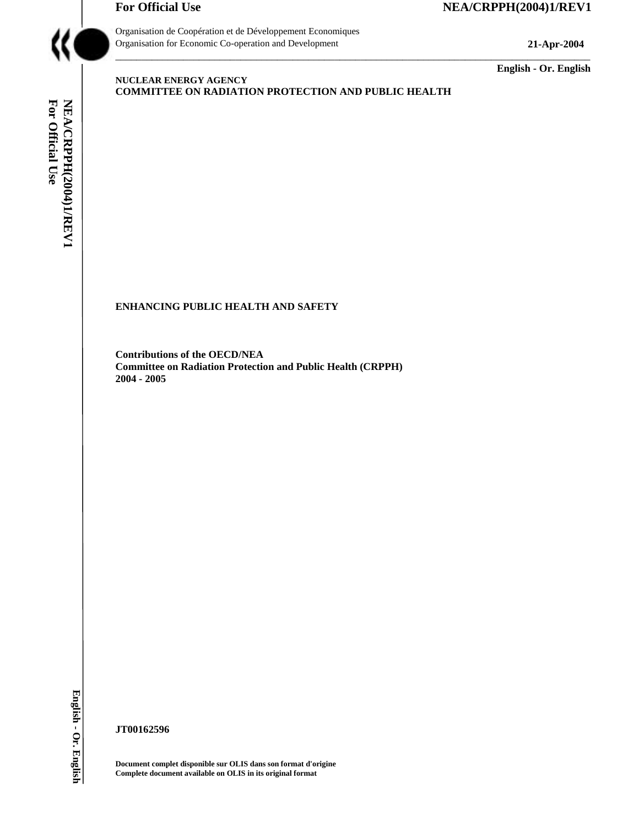

Organisation de Coopération et de Développement Economiques Organisation for Economic Co-operation and Development **21-Apr-2004** 

**English - Or. English** 

#### **NUCLEAR ENERGY AGENCY COMMITTEE ON RADIATION PROTECTION AND PUBLIC HEALTH**

\_\_\_\_\_\_\_\_\_\_\_\_\_\_\_\_\_\_\_\_\_\_\_\_\_\_\_\_\_\_\_\_\_\_\_\_\_\_\_\_\_\_\_\_\_\_\_\_\_\_\_\_\_\_\_\_\_\_\_\_\_\_\_\_\_\_\_\_\_\_\_\_\_\_\_\_\_\_\_\_\_\_\_\_\_\_\_\_\_\_\_

NEA/CRPH(2004)1/REV1<br>For Official Use **For Official Use NEA/CRPPH(2004)1/REV1 English - Or. English** 

#### **ENHANCING PUBLIC HEALTH AND SAFETY**

**Contributions of the OECD/NEA Committee on Radiation Protection and Public Health (CRPPH) 2004 - 2005** 

English - Or. English

**JT00162596** 

**Document complet disponible sur OLIS dans son format d'origine Complete document available on OLIS in its original format**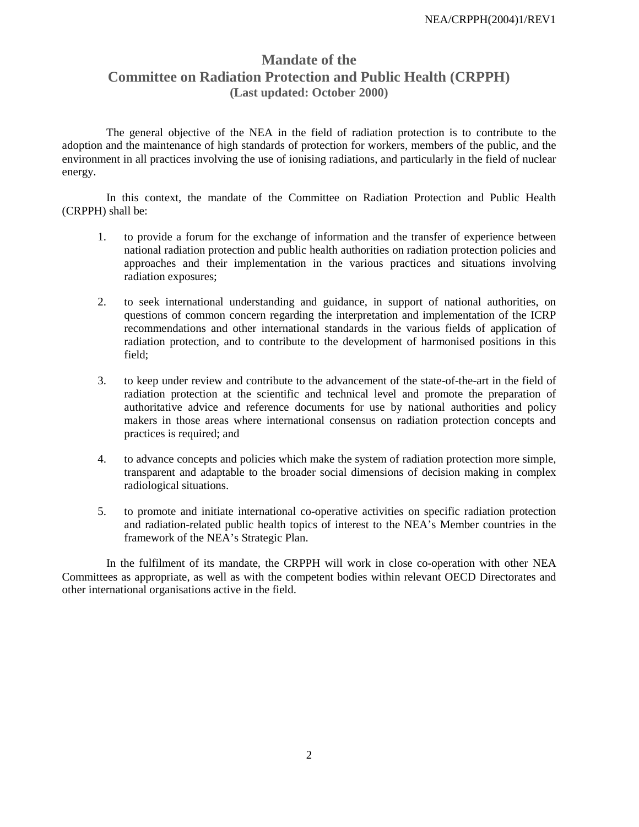# **Mandate of the Committee on Radiation Protection and Public Health (CRPPH) (Last updated: October 2000)**

 The general objective of the NEA in the field of radiation protection is to contribute to the adoption and the maintenance of high standards of protection for workers, members of the public, and the environment in all practices involving the use of ionising radiations, and particularly in the field of nuclear energy.

 In this context, the mandate of the Committee on Radiation Protection and Public Health (CRPPH) shall be:

- 1. to provide a forum for the exchange of information and the transfer of experience between national radiation protection and public health authorities on radiation protection policies and approaches and their implementation in the various practices and situations involving radiation exposures;
- 2. to seek international understanding and guidance, in support of national authorities, on questions of common concern regarding the interpretation and implementation of the ICRP recommendations and other international standards in the various fields of application of radiation protection, and to contribute to the development of harmonised positions in this field;
- 3. to keep under review and contribute to the advancement of the state-of-the-art in the field of radiation protection at the scientific and technical level and promote the preparation of authoritative advice and reference documents for use by national authorities and policy makers in those areas where international consensus on radiation protection concepts and practices is required; and
- 4. to advance concepts and policies which make the system of radiation protection more simple, transparent and adaptable to the broader social dimensions of decision making in complex radiological situations.
- 5. to promote and initiate international co-operative activities on specific radiation protection and radiation-related public health topics of interest to the NEA's Member countries in the framework of the NEA's Strategic Plan.

 In the fulfilment of its mandate, the CRPPH will work in close co-operation with other NEA Committees as appropriate, as well as with the competent bodies within relevant OECD Directorates and other international organisations active in the field.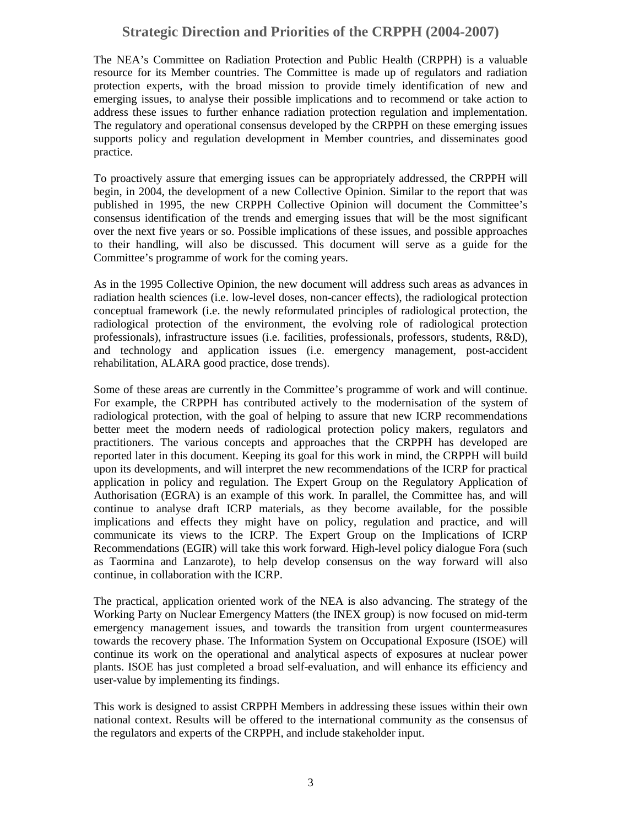# **Strategic Direction and Priorities of the CRPPH (2004-2007)**

The NEA's Committee on Radiation Protection and Public Health (CRPPH) is a valuable resource for its Member countries. The Committee is made up of regulators and radiation protection experts, with the broad mission to provide timely identification of new and emerging issues, to analyse their possible implications and to recommend or take action to address these issues to further enhance radiation protection regulation and implementation. The regulatory and operational consensus developed by the CRPPH on these emerging issues supports policy and regulation development in Member countries, and disseminates good practice.

To proactively assure that emerging issues can be appropriately addressed, the CRPPH will begin, in 2004, the development of a new Collective Opinion. Similar to the report that was published in 1995, the new CRPPH Collective Opinion will document the Committee's consensus identification of the trends and emerging issues that will be the most significant over the next five years or so. Possible implications of these issues, and possible approaches to their handling, will also be discussed. This document will serve as a guide for the Committee's programme of work for the coming years.

As in the 1995 Collective Opinion, the new document will address such areas as advances in radiation health sciences (i.e. low-level doses, non-cancer effects), the radiological protection conceptual framework (i.e. the newly reformulated principles of radiological protection, the radiological protection of the environment, the evolving role of radiological protection professionals), infrastructure issues (i.e. facilities, professionals, professors, students, R&D), and technology and application issues (i.e. emergency management, post-accident rehabilitation, ALARA good practice, dose trends).

Some of these areas are currently in the Committee's programme of work and will continue. For example, the CRPPH has contributed actively to the modernisation of the system of radiological protection, with the goal of helping to assure that new ICRP recommendations better meet the modern needs of radiological protection policy makers, regulators and practitioners. The various concepts and approaches that the CRPPH has developed are reported later in this document. Keeping its goal for this work in mind, the CRPPH will build upon its developments, and will interpret the new recommendations of the ICRP for practical application in policy and regulation. The Expert Group on the Regulatory Application of Authorisation (EGRA) is an example of this work. In parallel, the Committee has, and will continue to analyse draft ICRP materials, as they become available, for the possible implications and effects they might have on policy, regulation and practice, and will communicate its views to the ICRP. The Expert Group on the Implications of ICRP Recommendations (EGIR) will take this work forward. High-level policy dialogue Fora (such as Taormina and Lanzarote), to help develop consensus on the way forward will also continue, in collaboration with the ICRP.

The practical, application oriented work of the NEA is also advancing. The strategy of the Working Party on Nuclear Emergency Matters (the INEX group) is now focused on mid-term emergency management issues, and towards the transition from urgent countermeasures towards the recovery phase. The Information System on Occupational Exposure (ISOE) will continue its work on the operational and analytical aspects of exposures at nuclear power plants. ISOE has just completed a broad self-evaluation, and will enhance its efficiency and user-value by implementing its findings.

This work is designed to assist CRPPH Members in addressing these issues within their own national context. Results will be offered to the international community as the consensus of the regulators and experts of the CRPPH, and include stakeholder input.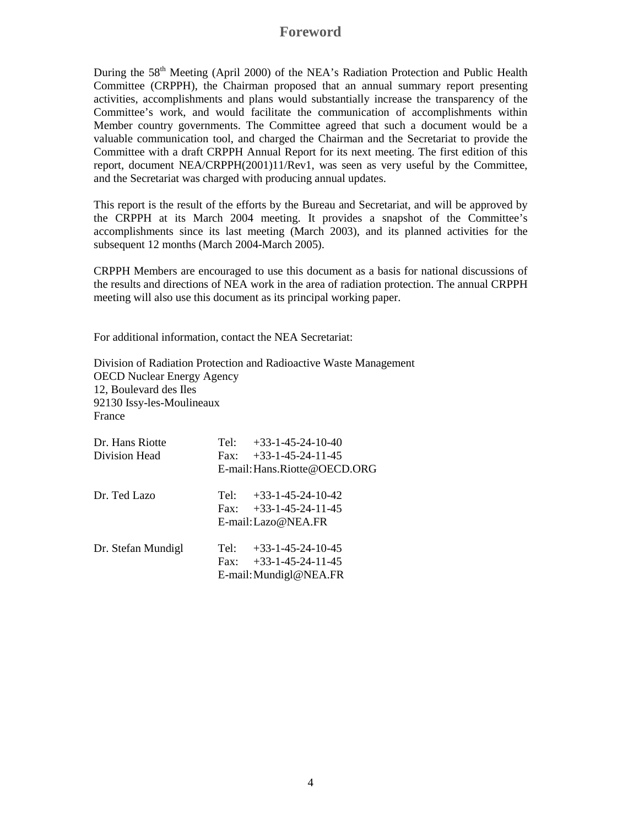# **Foreword**

During the 58<sup>th</sup> Meeting (April 2000) of the NEA's Radiation Protection and Public Health Committee (CRPPH), the Chairman proposed that an annual summary report presenting activities, accomplishments and plans would substantially increase the transparency of the Committee's work, and would facilitate the communication of accomplishments within Member country governments. The Committee agreed that such a document would be a valuable communication tool, and charged the Chairman and the Secretariat to provide the Committee with a draft CRPPH Annual Report for its next meeting. The first edition of this report, document NEA/CRPPH(2001)11/Rev1, was seen as very useful by the Committee, and the Secretariat was charged with producing annual updates.

This report is the result of the efforts by the Bureau and Secretariat, and will be approved by the CRPPH at its March 2004 meeting. It provides a snapshot of the Committee's accomplishments since its last meeting (March 2003), and its planned activities for the subsequent 12 months (March 2004-March 2005).

CRPPH Members are encouraged to use this document as a basis for national discussions of the results and directions of NEA work in the area of radiation protection. The annual CRPPH meeting will also use this document as its principal working paper.

For additional information, contact the NEA Secretariat:

Division of Radiation Protection and Radioactive Waste Management OECD Nuclear Energy Agency 12, Boulevard des Iles 92130 Issy-les-Moulineaux France

| Dr. Hans Riotte    | Tel: $+33-1-45-24-10-40$      |
|--------------------|-------------------------------|
| Division Head      | $+33-1-45-24-11-45$<br>Fax:   |
|                    | E-mail: Hans. Riotte@OECD.ORG |
| Dr. Ted Lazo       | Tel: $+33-1-45-24-10-42$      |
|                    | Fax: $+33-1-45-24-11-45$      |
|                    | $E$ -mail: Lazo @NEA.FR       |
| Dr. Stefan Mundigl | Tel:<br>$+33-1-45-24-10-45$   |
|                    | Fax: $+33-1-45-24-11-45$      |
|                    | E-mail: Mundigl@NEA.FR        |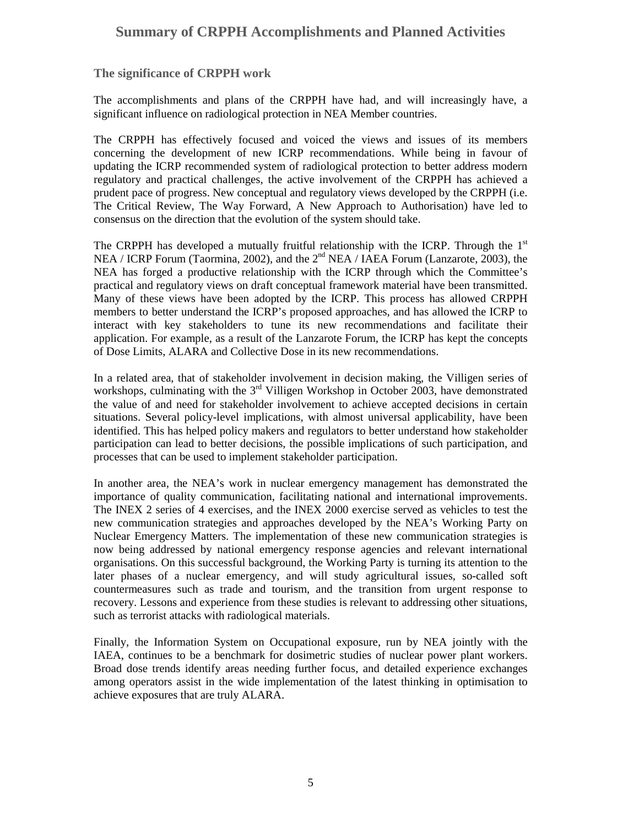# **Summary of CRPPH Accomplishments and Planned Activities**

### **The significance of CRPPH work**

The accomplishments and plans of the CRPPH have had, and will increasingly have, a significant influence on radiological protection in NEA Member countries.

The CRPPH has effectively focused and voiced the views and issues of its members concerning the development of new ICRP recommendations. While being in favour of updating the ICRP recommended system of radiological protection to better address modern regulatory and practical challenges, the active involvement of the CRPPH has achieved a prudent pace of progress. New conceptual and regulatory views developed by the CRPPH (i.e. The Critical Review, The Way Forward, A New Approach to Authorisation) have led to consensus on the direction that the evolution of the system should take.

The CRPPH has developed a mutually fruitful relationship with the ICRP. Through the  $1<sup>st</sup>$ NEA / ICRP Forum (Taormina, 2002), and the 2<sup>nd</sup> NEA / IAEA Forum (Lanzarote, 2003), the NEA has forged a productive relationship with the ICRP through which the Committee's practical and regulatory views on draft conceptual framework material have been transmitted. Many of these views have been adopted by the ICRP. This process has allowed CRPPH members to better understand the ICRP's proposed approaches, and has allowed the ICRP to interact with key stakeholders to tune its new recommendations and facilitate their application. For example, as a result of the Lanzarote Forum, the ICRP has kept the concepts of Dose Limits, ALARA and Collective Dose in its new recommendations.

In a related area, that of stakeholder involvement in decision making, the Villigen series of workshops, culminating with the 3<sup>rd</sup> Villigen Workshop in October 2003, have demonstrated the value of and need for stakeholder involvement to achieve accepted decisions in certain situations. Several policy-level implications, with almost universal applicability, have been identified. This has helped policy makers and regulators to better understand how stakeholder participation can lead to better decisions, the possible implications of such participation, and processes that can be used to implement stakeholder participation.

In another area, the NEA's work in nuclear emergency management has demonstrated the importance of quality communication, facilitating national and international improvements. The INEX 2 series of 4 exercises, and the INEX 2000 exercise served as vehicles to test the new communication strategies and approaches developed by the NEA's Working Party on Nuclear Emergency Matters. The implementation of these new communication strategies is now being addressed by national emergency response agencies and relevant international organisations. On this successful background, the Working Party is turning its attention to the later phases of a nuclear emergency, and will study agricultural issues, so-called soft countermeasures such as trade and tourism, and the transition from urgent response to recovery. Lessons and experience from these studies is relevant to addressing other situations, such as terrorist attacks with radiological materials.

Finally, the Information System on Occupational exposure, run by NEA jointly with the IAEA, continues to be a benchmark for dosimetric studies of nuclear power plant workers. Broad dose trends identify areas needing further focus, and detailed experience exchanges among operators assist in the wide implementation of the latest thinking in optimisation to achieve exposures that are truly ALARA.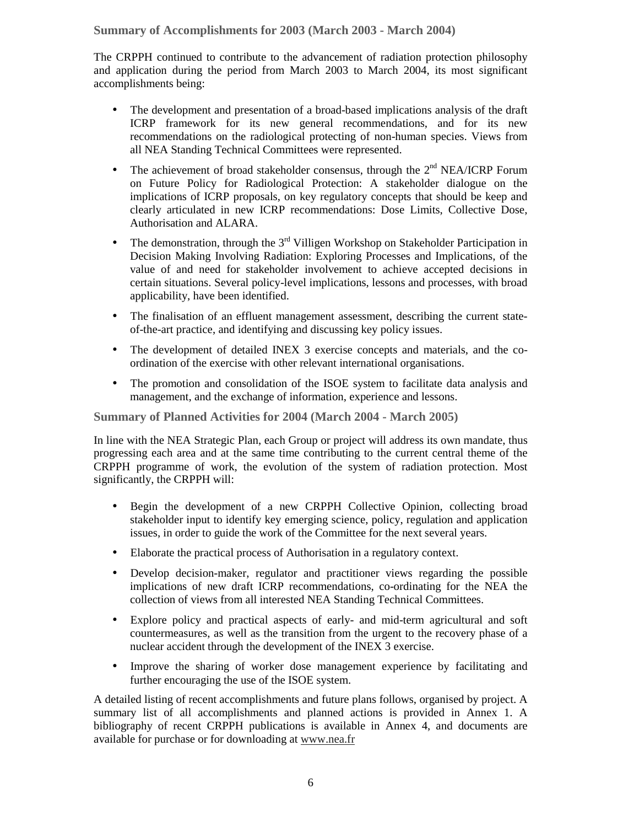### **Summary of Accomplishments for 2003 (March 2003 - March 2004)**

The CRPPH continued to contribute to the advancement of radiation protection philosophy and application during the period from March 2003 to March 2004, its most significant accomplishments being:

- The development and presentation of a broad-based implications analysis of the draft ICRP framework for its new general recommendations, and for its new recommendations on the radiological protecting of non-human species. Views from all NEA Standing Technical Committees were represented.
- The achievement of broad stakeholder consensus, through the  $2<sup>nd</sup> NEA/ICRP$  Forum on Future Policy for Radiological Protection: A stakeholder dialogue on the implications of ICRP proposals, on key regulatory concepts that should be keep and clearly articulated in new ICRP recommendations: Dose Limits, Collective Dose, Authorisation and ALARA.
- The demonstration, through the  $3<sup>rd</sup>$  Villigen Workshop on Stakeholder Participation in Decision Making Involving Radiation: Exploring Processes and Implications, of the value of and need for stakeholder involvement to achieve accepted decisions in certain situations. Several policy-level implications, lessons and processes, with broad applicability, have been identified.
- The finalisation of an effluent management assessment, describing the current stateof-the-art practice, and identifying and discussing key policy issues.
- The development of detailed INEX 3 exercise concepts and materials, and the coordination of the exercise with other relevant international organisations.
- The promotion and consolidation of the ISOE system to facilitate data analysis and management, and the exchange of information, experience and lessons.

#### **Summary of Planned Activities for 2004 (March 2004 - March 2005)**

In line with the NEA Strategic Plan, each Group or project will address its own mandate, thus progressing each area and at the same time contributing to the current central theme of the CRPPH programme of work, the evolution of the system of radiation protection. Most significantly, the CRPPH will:

- Begin the development of a new CRPPH Collective Opinion, collecting broad stakeholder input to identify key emerging science, policy, regulation and application issues, in order to guide the work of the Committee for the next several years.
- Elaborate the practical process of Authorisation in a regulatory context.
- Develop decision-maker, regulator and practitioner views regarding the possible implications of new draft ICRP recommendations, co-ordinating for the NEA the collection of views from all interested NEA Standing Technical Committees.
- Explore policy and practical aspects of early- and mid-term agricultural and soft countermeasures, as well as the transition from the urgent to the recovery phase of a nuclear accident through the development of the INEX 3 exercise.
- Improve the sharing of worker dose management experience by facilitating and further encouraging the use of the ISOE system.

A detailed listing of recent accomplishments and future plans follows, organised by project. A summary list of all accomplishments and planned actions is provided in Annex 1. A bibliography of recent CRPPH publications is available in Annex 4, and documents are available for purchase or for downloading at www.nea.fr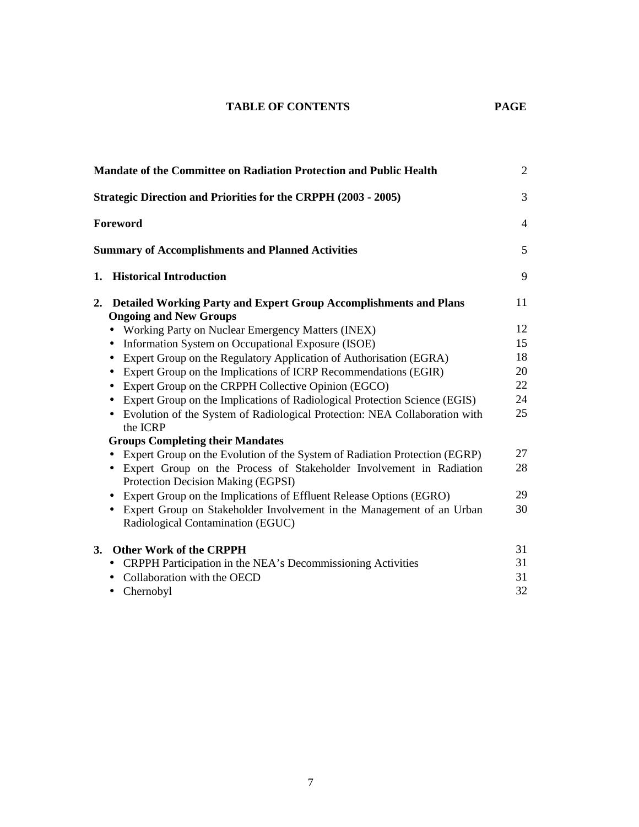**TABLE OF CONTENTS** 

| ٠ |  |
|---|--|
|---|--|

|    | Mandate of the Committee on Radiation Protection and Public Health                                                     | $\overline{2}$ |
|----|------------------------------------------------------------------------------------------------------------------------|----------------|
|    | <b>Strategic Direction and Priorities for the CRPPH (2003 - 2005)</b>                                                  | 3              |
|    | Foreword                                                                                                               | $\overline{4}$ |
|    | <b>Summary of Accomplishments and Planned Activities</b>                                                               | 5              |
| 1. | <b>Historical Introduction</b>                                                                                         | 9              |
| 2. | <b>Detailed Working Party and Expert Group Accomplishments and Plans</b><br><b>Ongoing and New Groups</b>              | 11             |
|    | Working Party on Nuclear Emergency Matters (INEX)                                                                      | 12             |
|    | Information System on Occupational Exposure (ISOE)<br>$\bullet$                                                        | 15             |
|    | Expert Group on the Regulatory Application of Authorisation (EGRA)<br>$\bullet$                                        | 18             |
|    | Expert Group on the Implications of ICRP Recommendations (EGIR)<br>٠                                                   | 20             |
|    | Expert Group on the CRPPH Collective Opinion (EGCO)                                                                    | 22             |
|    | Expert Group on the Implications of Radiological Protection Science (EGIS)<br>$\bullet$                                | 24             |
|    | Evolution of the System of Radiological Protection: NEA Collaboration with<br>$\bullet$<br>the ICRP                    | 25             |
|    | <b>Groups Completing their Mandates</b>                                                                                |                |
|    | Expert Group on the Evolution of the System of Radiation Protection (EGRP)<br>٠                                        | 27             |
|    | Expert Group on the Process of Stakeholder Involvement in Radiation<br>$\bullet$<br>Protection Decision Making (EGPSI) | 28             |
|    | Expert Group on the Implications of Effluent Release Options (EGRO)<br>$\bullet$                                       | 29             |
|    | Expert Group on Stakeholder Involvement in the Management of an Urban<br>Radiological Contamination (EGUC)             | 30             |
|    | 3. Other Work of the CRPPH                                                                                             | 31             |
|    | • CRPPH Participation in the NEA's Decommissioning Activities                                                          | 31             |
|    | Collaboration with the OECD<br>$\bullet$                                                                               | 31             |
|    | Chernobyl<br>$\bullet$                                                                                                 | 32             |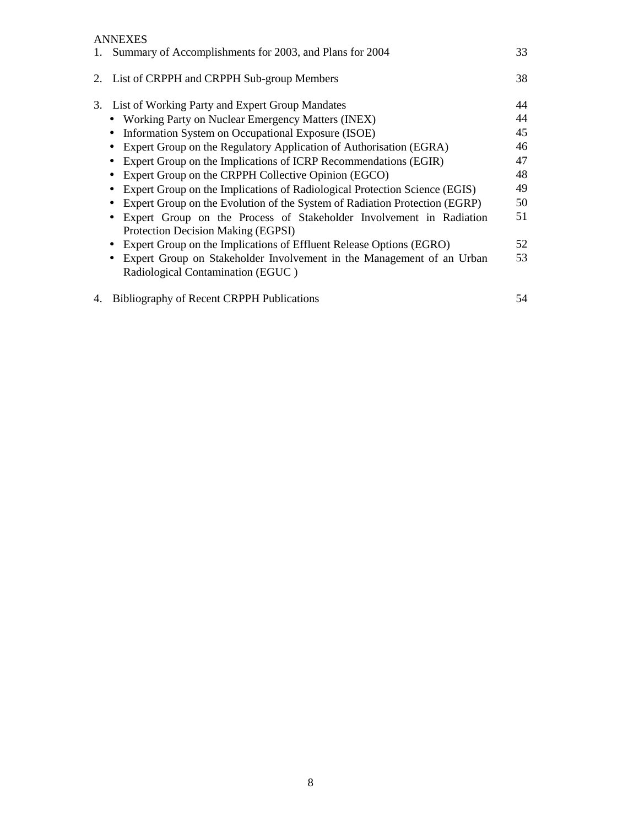|    | <b>ANNEXES</b>                                                                                                          |          |
|----|-------------------------------------------------------------------------------------------------------------------------|----------|
| 1. | Summary of Accomplishments for 2003, and Plans for 2004                                                                 | 33       |
| 2. | List of CRPPH and CRPPH Sub-group Members                                                                               | 38       |
|    | 3. List of Working Party and Expert Group Mandates<br>• Working Party on Nuclear Emergency Matters (INEX)               | 44<br>44 |
|    | Information System on Occupational Exposure (ISOE)<br>$\bullet$                                                         | 45       |
|    | Expert Group on the Regulatory Application of Authorisation (EGRA)                                                      | 46       |
|    | Expert Group on the Implications of ICRP Recommendations (EGIR)<br>$\bullet$                                            | 47       |
|    | Expert Group on the CRPPH Collective Opinion (EGCO)<br>$\bullet$                                                        | 48       |
|    | Expert Group on the Implications of Radiological Protection Science (EGIS)                                              | 49       |
|    | Expert Group on the Evolution of the System of Radiation Protection (EGRP)                                              | 50       |
|    | Expert Group on the Process of Stakeholder Involvement in Radiation<br>Protection Decision Making (EGPSI)               | 51       |
|    | Expert Group on the Implications of Effluent Release Options (EGRO)                                                     | 52       |
|    | Expert Group on Stakeholder Involvement in the Management of an Urban<br>$\bullet$<br>Radiological Contamination (EGUC) | 53       |
| 4. | <b>Bibliography of Recent CRPPH Publications</b>                                                                        | 54       |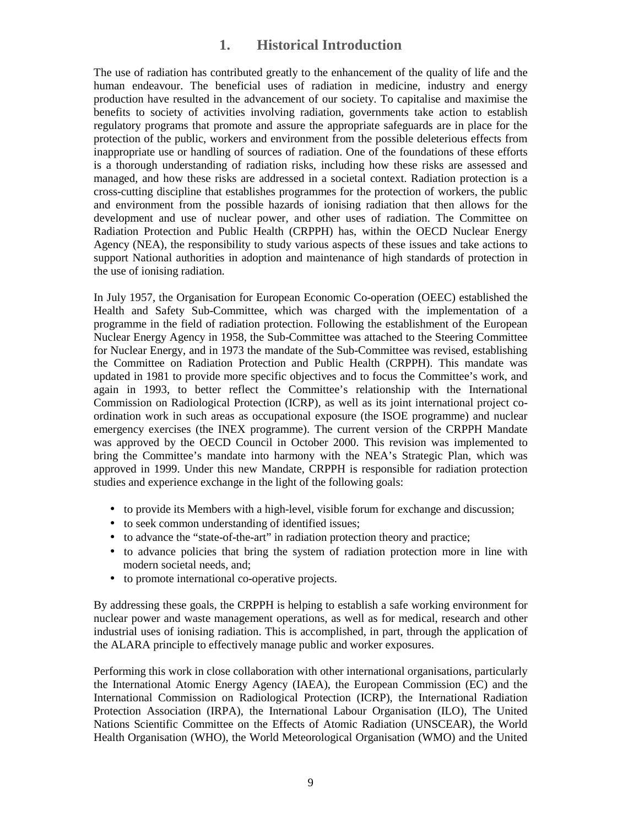# **1. Historical Introduction**

The use of radiation has contributed greatly to the enhancement of the quality of life and the human endeavour. The beneficial uses of radiation in medicine, industry and energy production have resulted in the advancement of our society. To capitalise and maximise the benefits to society of activities involving radiation, governments take action to establish regulatory programs that promote and assure the appropriate safeguards are in place for the protection of the public, workers and environment from the possible deleterious effects from inappropriate use or handling of sources of radiation. One of the foundations of these efforts is a thorough understanding of radiation risks, including how these risks are assessed and managed, and how these risks are addressed in a societal context. Radiation protection is a cross-cutting discipline that establishes programmes for the protection of workers, the public and environment from the possible hazards of ionising radiation that then allows for the development and use of nuclear power, and other uses of radiation. The Committee on Radiation Protection and Public Health (CRPPH) has, within the OECD Nuclear Energy Agency (NEA), the responsibility to study various aspects of these issues and take actions to support National authorities in adoption and maintenance of high standards of protection in the use of ionising radiation.

In July 1957, the Organisation for European Economic Co-operation (OEEC) established the Health and Safety Sub-Committee, which was charged with the implementation of a programme in the field of radiation protection. Following the establishment of the European Nuclear Energy Agency in 1958, the Sub-Committee was attached to the Steering Committee for Nuclear Energy, and in 1973 the mandate of the Sub-Committee was revised, establishing the Committee on Radiation Protection and Public Health (CRPPH). This mandate was updated in 1981 to provide more specific objectives and to focus the Committee's work, and again in 1993, to better reflect the Committee's relationship with the International Commission on Radiological Protection (ICRP), as well as its joint international project coordination work in such areas as occupational exposure (the ISOE programme) and nuclear emergency exercises (the INEX programme). The current version of the CRPPH Mandate was approved by the OECD Council in October 2000. This revision was implemented to bring the Committee's mandate into harmony with the NEA's Strategic Plan, which was approved in 1999. Under this new Mandate, CRPPH is responsible for radiation protection studies and experience exchange in the light of the following goals:

- to provide its Members with a high-level, visible forum for exchange and discussion;
- to seek common understanding of identified issues;
- to advance the "state-of-the-art" in radiation protection theory and practice;
- to advance policies that bring the system of radiation protection more in line with modern societal needs, and;
- to promote international co-operative projects.

By addressing these goals, the CRPPH is helping to establish a safe working environment for nuclear power and waste management operations, as well as for medical, research and other industrial uses of ionising radiation. This is accomplished, in part, through the application of the ALARA principle to effectively manage public and worker exposures.

Performing this work in close collaboration with other international organisations, particularly the International Atomic Energy Agency (IAEA), the European Commission (EC) and the International Commission on Radiological Protection (ICRP), the International Radiation Protection Association (IRPA), the International Labour Organisation (ILO), The United Nations Scientific Committee on the Effects of Atomic Radiation (UNSCEAR), the World Health Organisation (WHO), the World Meteorological Organisation (WMO) and the United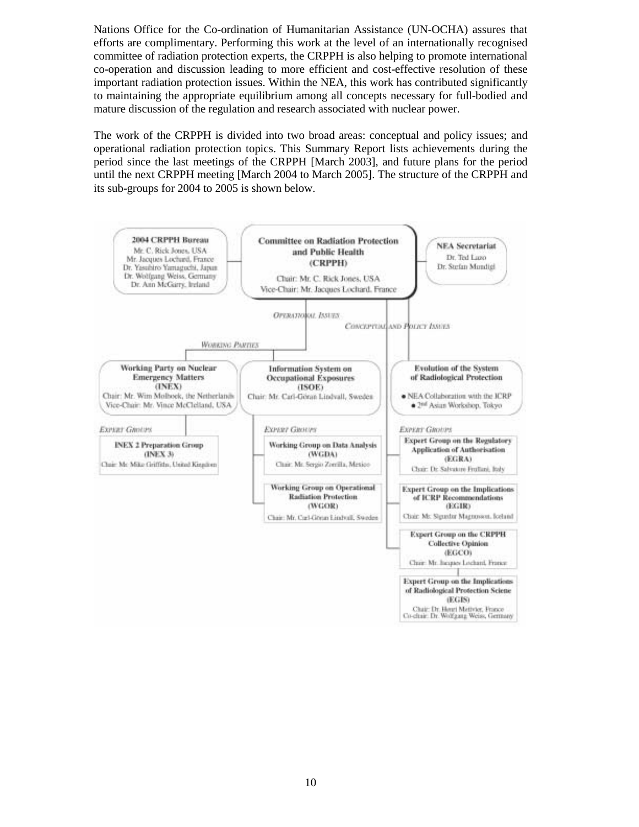Nations Office for the Co-ordination of Humanitarian Assistance (UN-OCHA) assures that efforts are complimentary. Performing this work at the level of an internationally recognised committee of radiation protection experts, the CRPPH is also helping to promote international co-operation and discussion leading to more efficient and cost-effective resolution of these important radiation protection issues. Within the NEA, this work has contributed significantly to maintaining the appropriate equilibrium among all concepts necessary for full-bodied and mature discussion of the regulation and research associated with nuclear power.

The work of the CRPPH is divided into two broad areas: conceptual and policy issues; and operational radiation protection topics. This Summary Report lists achievements during the period since the last meetings of the CRPPH [March 2003], and future plans for the period until the next CRPPH meeting [March 2004 to March 2005]. The structure of the CRPPH and its sub-groups for 2004 to 2005 is shown below.

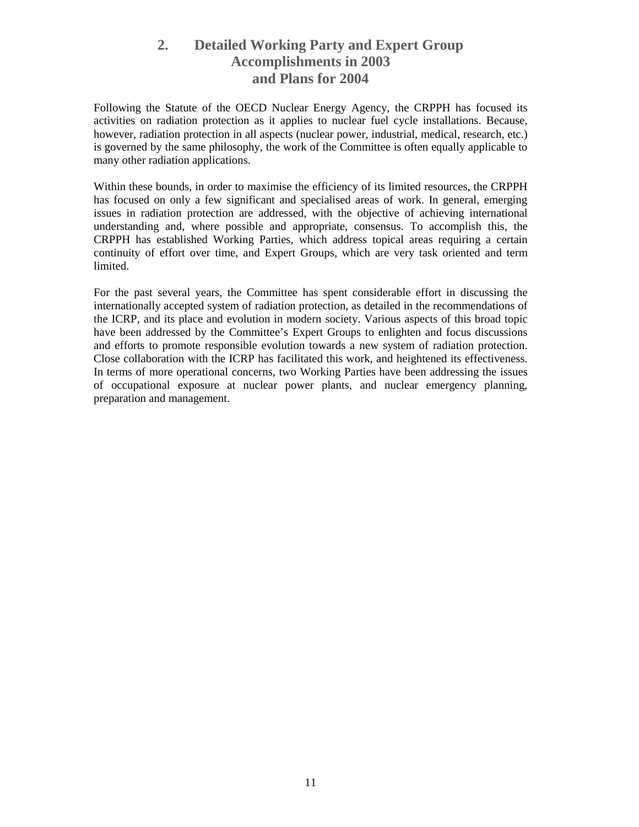# **2. Detailed Working Party and Expert Group Accomplishments in 2003 and Plans for 2004**

Following the Statute of the OECD Nuclear Energy Agency, the CRPPH has focused its activities on radiation protection as it applies to nuclear fuel cycle installations. Because, however, radiation protection in all aspects (nuclear power, industrial, medical, research, etc.) is governed by the same philosophy, the work of the Committee is often equally applicable to many other radiation applications.

Within these bounds, in order to maximise the efficiency of its limited resources, the CRPPH has focused on only a few significant and specialised areas of work. In general, emerging issues in radiation protection are addressed, with the objective of achieving international understanding and, where possible and appropriate, consensus. To accomplish this, the CRPPH has established Working Parties, which address topical areas requiring a certain continuity of effort over time, and Expert Groups, which are very task oriented and term limited.

For the past several years, the Committee has spent considerable effort in discussing the internationally accepted system of radiation protection, as detailed in the recommendations of the ICRP, and its place and evolution in modern society. Various aspects of this broad topic have been addressed by the Committee's Expert Groups to enlighten and focus discussions and efforts to promote responsible evolution towards a new system of radiation protection. Close collaboration with the ICRP has facilitated this work, and heightened its effectiveness. In terms of more operational concerns, two Working Parties have been addressing the issues of occupational exposure at nuclear power plants, and nuclear emergency planning, preparation and management.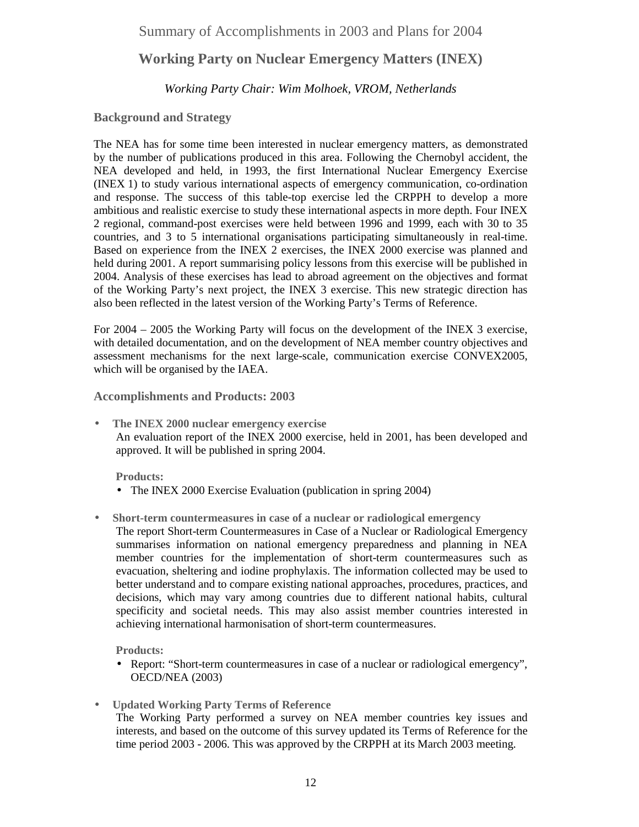# Summary of Accomplishments in 2003 and Plans for 2004

# **Working Party on Nuclear Emergency Matters (INEX)**

# *Working Party Chair: Wim Molhoek, VROM, Netherlands*

# **Background and Strategy**

The NEA has for some time been interested in nuclear emergency matters, as demonstrated by the number of publications produced in this area. Following the Chernobyl accident, the NEA developed and held, in 1993, the first International Nuclear Emergency Exercise (INEX 1) to study various international aspects of emergency communication, co-ordination and response. The success of this table-top exercise led the CRPPH to develop a more ambitious and realistic exercise to study these international aspects in more depth. Four INEX 2 regional, command-post exercises were held between 1996 and 1999, each with 30 to 35 countries, and 3 to 5 international organisations participating simultaneously in real-time. Based on experience from the INEX 2 exercises, the INEX 2000 exercise was planned and held during 2001. A report summarising policy lessons from this exercise will be published in 2004. Analysis of these exercises has lead to abroad agreement on the objectives and format of the Working Party's next project, the INEX 3 exercise. This new strategic direction has also been reflected in the latest version of the Working Party's Terms of Reference.

For 2004 – 2005 the Working Party will focus on the development of the INEX 3 exercise, with detailed documentation, and on the development of NEA member country objectives and assessment mechanisms for the next large-scale, communication exercise CONVEX2005, which will be organised by the IAEA.

**Accomplishments and Products: 2003** 

• **The INEX 2000 nuclear emergency exercise**  An evaluation report of the INEX 2000 exercise, held in 2001, has been developed and approved. It will be published in spring 2004.

**Products:** 

- The INEX 2000 Exercise Evaluation (publication in spring 2004)
- **Short-term countermeasures in case of a nuclear or radiological emergency** 
	- The report Short-term Countermeasures in Case of a Nuclear or Radiological Emergency summarises information on national emergency preparedness and planning in NEA member countries for the implementation of short-term countermeasures such as evacuation, sheltering and iodine prophylaxis. The information collected may be used to better understand and to compare existing national approaches, procedures, practices, and decisions, which may vary among countries due to different national habits, cultural specificity and societal needs. This may also assist member countries interested in achieving international harmonisation of short-term countermeasures.

**Products:** 

- Report: "Short-term countermeasures in case of a nuclear or radiological emergency", OECD/NEA (2003)
- **Updated Working Party Terms of Reference**  The Working Party performed a survey on NEA member countries key issues and interests, and based on the outcome of this survey updated its Terms of Reference for the time period 2003 - 2006. This was approved by the CRPPH at its March 2003 meeting.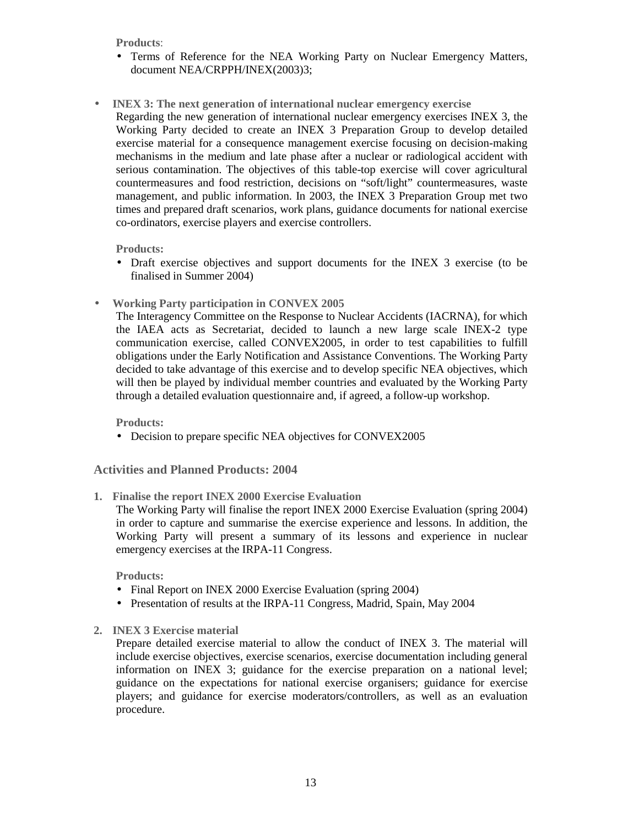**Products**:

- Terms of Reference for the NEA Working Party on Nuclear Emergency Matters, document NEA/CRPPH/INEX(2003)3;
- **INEX 3: The next generation of international nuclear emergency exercise**

Regarding the new generation of international nuclear emergency exercises INEX 3, the Working Party decided to create an INEX 3 Preparation Group to develop detailed exercise material for a consequence management exercise focusing on decision-making mechanisms in the medium and late phase after a nuclear or radiological accident with serious contamination. The objectives of this table-top exercise will cover agricultural countermeasures and food restriction, decisions on "soft/light" countermeasures, waste management, and public information. In 2003, the INEX 3 Preparation Group met two times and prepared draft scenarios, work plans, guidance documents for national exercise co-ordinators, exercise players and exercise controllers.

**Products:** 

- Draft exercise objectives and support documents for the INEX 3 exercise (to be finalised in Summer 2004)
- **Working Party participation in CONVEX 2005**

The Interagency Committee on the Response to Nuclear Accidents (IACRNA), for which the IAEA acts as Secretariat, decided to launch a new large scale INEX-2 type communication exercise, called CONVEX2005, in order to test capabilities to fulfill obligations under the Early Notification and Assistance Conventions. The Working Party decided to take advantage of this exercise and to develop specific NEA objectives, which will then be played by individual member countries and evaluated by the Working Party through a detailed evaluation questionnaire and, if agreed, a follow-up workshop.

**Products:** 

• Decision to prepare specific NEA objectives for CONVEX2005

**Activities and Planned Products: 2004** 

**1. Finalise the report INEX 2000 Exercise Evaluation** 

The Working Party will finalise the report INEX 2000 Exercise Evaluation (spring 2004) in order to capture and summarise the exercise experience and lessons. In addition, the Working Party will present a summary of its lessons and experience in nuclear emergency exercises at the IRPA-11 Congress.

**Products:** 

- Final Report on INEX 2000 Exercise Evaluation (spring 2004)
- Presentation of results at the IRPA-11 Congress, Madrid, Spain, May 2004
- **2. INEX 3 Exercise material**

Prepare detailed exercise material to allow the conduct of INEX 3. The material will include exercise objectives, exercise scenarios, exercise documentation including general information on INEX 3; guidance for the exercise preparation on a national level; guidance on the expectations for national exercise organisers; guidance for exercise players; and guidance for exercise moderators/controllers, as well as an evaluation procedure.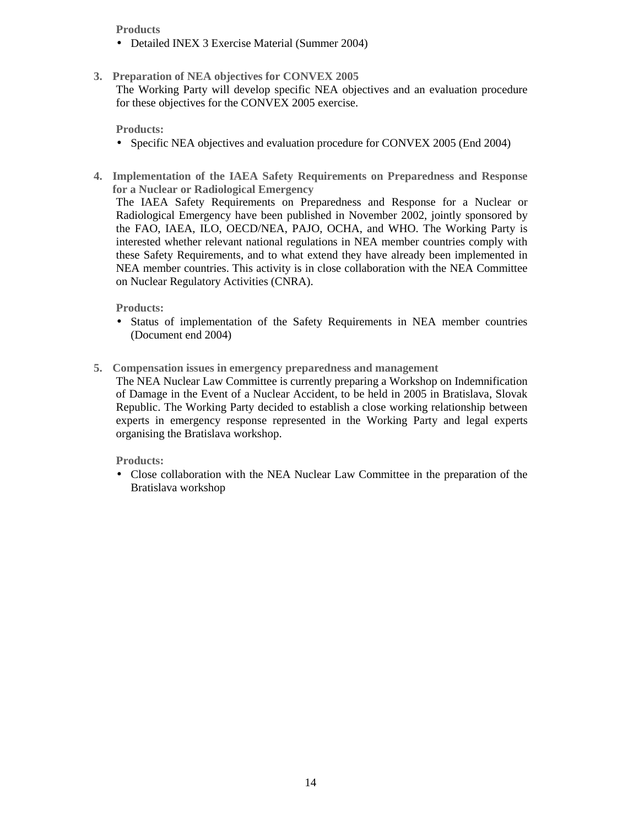**Products** 

- Detailed INEX 3 Exercise Material (Summer 2004)
- **3. Preparation of NEA objectives for CONVEX 2005**

The Working Party will develop specific NEA objectives and an evaluation procedure for these objectives for the CONVEX 2005 exercise.

**Products:** 

- Specific NEA objectives and evaluation procedure for CONVEX 2005 (End 2004)
- **4. Implementation of the IAEA Safety Requirements on Preparedness and Response for a Nuclear or Radiological Emergency**

The IAEA Safety Requirements on Preparedness and Response for a Nuclear or Radiological Emergency have been published in November 2002, jointly sponsored by the FAO, IAEA, ILO, OECD/NEA, PAJO, OCHA, and WHO. The Working Party is interested whether relevant national regulations in NEA member countries comply with these Safety Requirements, and to what extend they have already been implemented in NEA member countries. This activity is in close collaboration with the NEA Committee on Nuclear Regulatory Activities (CNRA).

**Products:** 

- Status of implementation of the Safety Requirements in NEA member countries (Document end 2004)
- **5. Compensation issues in emergency preparedness and management**

The NEA Nuclear Law Committee is currently preparing a Workshop on Indemnification of Damage in the Event of a Nuclear Accident, to be held in 2005 in Bratislava, Slovak Republic. The Working Party decided to establish a close working relationship between experts in emergency response represented in the Working Party and legal experts organising the Bratislava workshop.

**Products:** 

• Close collaboration with the NEA Nuclear Law Committee in the preparation of the Bratislava workshop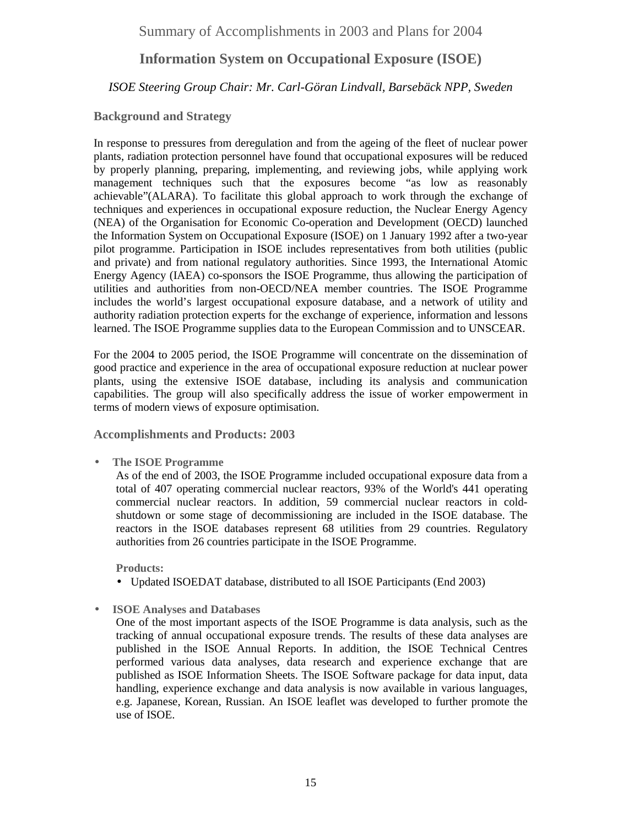Summary of Accomplishments in 2003 and Plans for 2004

# **Information System on Occupational Exposure (ISOE)**

# *ISOE Steering Group Chair: Mr. Carl-Göran Lindvall, Barsebäck NPP, Sweden*

### **Background and Strategy**

In response to pressures from deregulation and from the ageing of the fleet of nuclear power plants, radiation protection personnel have found that occupational exposures will be reduced by properly planning, preparing, implementing, and reviewing jobs, while applying work management techniques such that the exposures become "as low as reasonably achievable"(ALARA). To facilitate this global approach to work through the exchange of techniques and experiences in occupational exposure reduction, the Nuclear Energy Agency (NEA) of the Organisation for Economic Co-operation and Development (OECD) launched the Information System on Occupational Exposure (ISOE) on 1 January 1992 after a two-year pilot programme. Participation in ISOE includes representatives from both utilities (public and private) and from national regulatory authorities. Since 1993, the International Atomic Energy Agency (IAEA) co-sponsors the ISOE Programme, thus allowing the participation of utilities and authorities from non-OECD/NEA member countries. The ISOE Programme includes the world's largest occupational exposure database, and a network of utility and authority radiation protection experts for the exchange of experience, information and lessons learned. The ISOE Programme supplies data to the European Commission and to UNSCEAR.

For the 2004 to 2005 period, the ISOE Programme will concentrate on the dissemination of good practice and experience in the area of occupational exposure reduction at nuclear power plants, using the extensive ISOE database, including its analysis and communication capabilities. The group will also specifically address the issue of worker empowerment in terms of modern views of exposure optimisation.

**Accomplishments and Products: 2003** 

• **The ISOE Programme** 

As of the end of 2003, the ISOE Programme included occupational exposure data from a total of 407 operating commercial nuclear reactors, 93% of the World's 441 operating commercial nuclear reactors. In addition, 59 commercial nuclear reactors in coldshutdown or some stage of decommissioning are included in the ISOE database. The reactors in the ISOE databases represent 68 utilities from 29 countries. Regulatory authorities from 26 countries participate in the ISOE Programme.

**Products:** 

- Updated ISOEDAT database, distributed to all ISOE Participants (End 2003)
- **ISOE Analyses and Databases**

One of the most important aspects of the ISOE Programme is data analysis, such as the tracking of annual occupational exposure trends. The results of these data analyses are published in the ISOE Annual Reports. In addition, the ISOE Technical Centres performed various data analyses, data research and experience exchange that are published as ISOE Information Sheets. The ISOE Software package for data input, data handling, experience exchange and data analysis is now available in various languages, e.g. Japanese, Korean, Russian. An ISOE leaflet was developed to further promote the use of ISOE.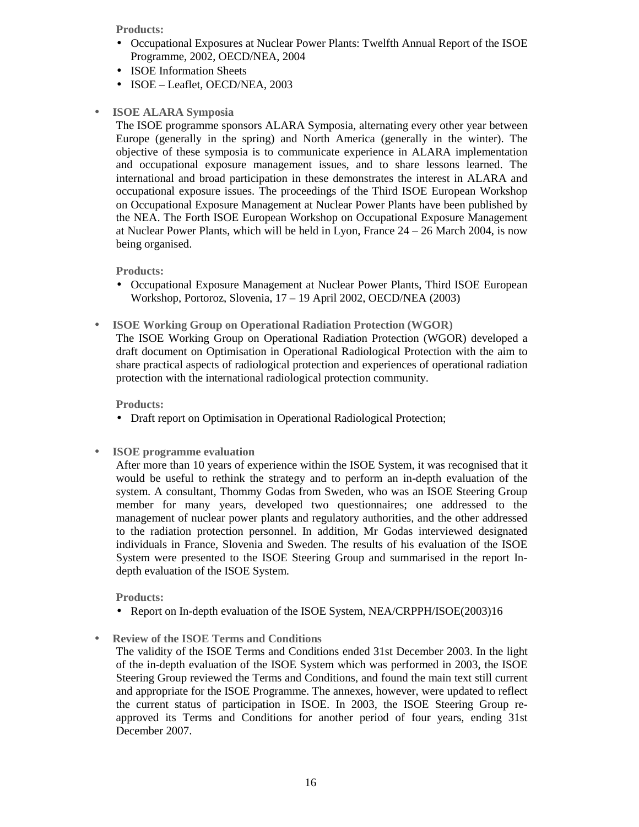**Products:** 

- Occupational Exposures at Nuclear Power Plants: Twelfth Annual Report of the ISOE Programme, 2002, OECD/NEA, 2004
- ISOE Information Sheets
- ISOE Leaflet, OECD/NEA, 2003
- **ISOE ALARA Symposia**

The ISOE programme sponsors ALARA Symposia, alternating every other year between Europe (generally in the spring) and North America (generally in the winter). The objective of these symposia is to communicate experience in ALARA implementation and occupational exposure management issues, and to share lessons learned. The international and broad participation in these demonstrates the interest in ALARA and occupational exposure issues. The proceedings of the Third ISOE European Workshop on Occupational Exposure Management at Nuclear Power Plants have been published by the NEA. The Forth ISOE European Workshop on Occupational Exposure Management at Nuclear Power Plants, which will be held in Lyon, France 24 – 26 March 2004, is now being organised.

**Products:** 

- Occupational Exposure Management at Nuclear Power Plants, Third ISOE European Workshop, Portoroz, Slovenia, 17 – 19 April 2002, OECD/NEA (2003)
- **ISOE Working Group on Operational Radiation Protection (WGOR)**  The ISOE Working Group on Operational Radiation Protection (WGOR) developed a draft document on Optimisation in Operational Radiological Protection with the aim to share practical aspects of radiological protection and experiences of operational radiation protection with the international radiological protection community.

**Products:** 

- Draft report on Optimisation in Operational Radiological Protection;
- **ISOE programme evaluation**

After more than 10 years of experience within the ISOE System, it was recognised that it would be useful to rethink the strategy and to perform an in-depth evaluation of the system. A consultant, Thommy Godas from Sweden, who was an ISOE Steering Group member for many years, developed two questionnaires; one addressed to the management of nuclear power plants and regulatory authorities, and the other addressed to the radiation protection personnel. In addition, Mr Godas interviewed designated individuals in France, Slovenia and Sweden. The results of his evaluation of the ISOE System were presented to the ISOE Steering Group and summarised in the report Indepth evaluation of the ISOE System.

**Products:** 

• Report on In-depth evaluation of the ISOE System, NEA/CRPPH/ISOE(2003)16

• **Review of the ISOE Terms and Conditions** 

The validity of the ISOE Terms and Conditions ended 31st December 2003. In the light of the in-depth evaluation of the ISOE System which was performed in 2003, the ISOE Steering Group reviewed the Terms and Conditions, and found the main text still current and appropriate for the ISOE Programme. The annexes, however, were updated to reflect the current status of participation in ISOE. In 2003, the ISOE Steering Group reapproved its Terms and Conditions for another period of four years, ending 31st December 2007.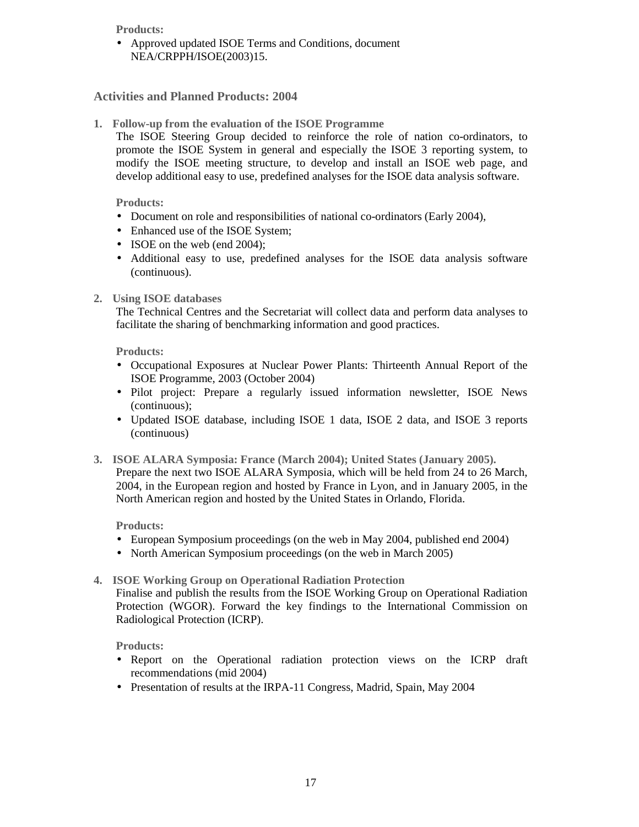**Products:** 

• Approved updated ISOE Terms and Conditions, document NEA/CRPPH/ISOE(2003)15.

### **Activities and Planned Products: 2004**

**1. Follow-up from the evaluation of the ISOE Programme** 

The ISOE Steering Group decided to reinforce the role of nation co-ordinators, to promote the ISOE System in general and especially the ISOE 3 reporting system, to modify the ISOE meeting structure, to develop and install an ISOE web page, and develop additional easy to use, predefined analyses for the ISOE data analysis software.

**Products:** 

- Document on role and responsibilities of national co-ordinators (Early 2004),
- Enhanced use of the ISOE System;
- ISOE on the web (end 2004);
- Additional easy to use, predefined analyses for the ISOE data analysis software (continuous).
- **2. Using ISOE databases**

The Technical Centres and the Secretariat will collect data and perform data analyses to facilitate the sharing of benchmarking information and good practices.

**Products:** 

- Occupational Exposures at Nuclear Power Plants: Thirteenth Annual Report of the ISOE Programme, 2003 (October 2004)
- Pilot project: Prepare a regularly issued information newsletter, ISOE News (continuous);
- Updated ISOE database, including ISOE 1 data, ISOE 2 data, and ISOE 3 reports (continuous)
- **3. ISOE ALARA Symposia: France (March 2004); United States (January 2005).**  Prepare the next two ISOE ALARA Symposia, which will be held from 24 to 26 March, 2004, in the European region and hosted by France in Lyon, and in January 2005, in the North American region and hosted by the United States in Orlando, Florida.

**Products:** 

- European Symposium proceedings (on the web in May 2004, published end 2004)
- North American Symposium proceedings (on the web in March 2005)

# **4. ISOE Working Group on Operational Radiation Protection**

Finalise and publish the results from the ISOE Working Group on Operational Radiation Protection (WGOR). Forward the key findings to the International Commission on Radiological Protection (ICRP).

**Products:** 

- Report on the Operational radiation protection views on the ICRP draft recommendations (mid 2004)
- Presentation of results at the IRPA-11 Congress, Madrid, Spain, May 2004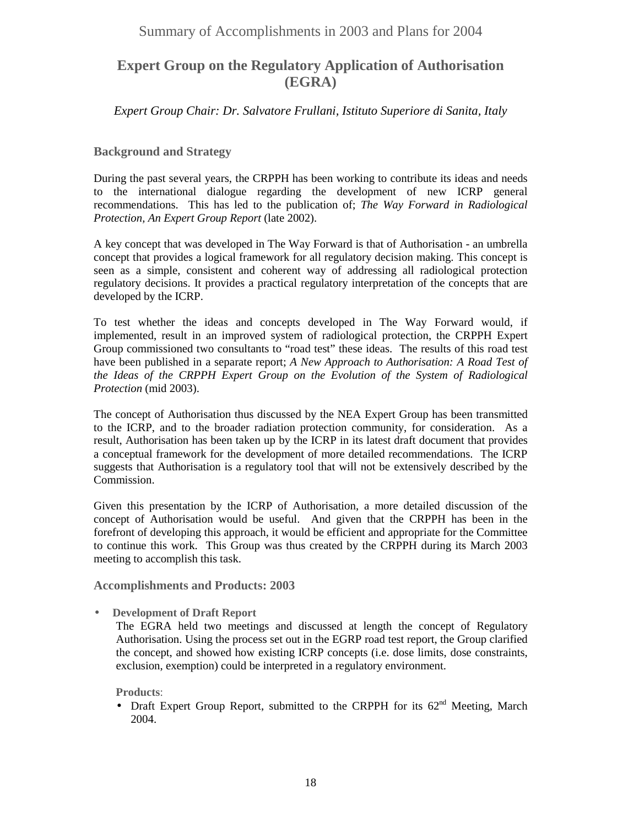# **Expert Group on the Regulatory Application of Authorisation (EGRA)**

*Expert Group Chair: Dr. Salvatore Frullani, Istituto Superiore di Sanita, Italy* 

# **Background and Strategy**

During the past several years, the CRPPH has been working to contribute its ideas and needs to the international dialogue regarding the development of new ICRP general recommendations. This has led to the publication of; *The Way Forward in Radiological Protection, An Expert Group Report* (late 2002).

A key concept that was developed in The Way Forward is that of Authorisation - an umbrella concept that provides a logical framework for all regulatory decision making. This concept is seen as a simple, consistent and coherent way of addressing all radiological protection regulatory decisions. It provides a practical regulatory interpretation of the concepts that are developed by the ICRP.

To test whether the ideas and concepts developed in The Way Forward would, if implemented, result in an improved system of radiological protection, the CRPPH Expert Group commissioned two consultants to "road test" these ideas. The results of this road test have been published in a separate report; *A New Approach to Authorisation: A Road Test of the Ideas of the CRPPH Expert Group on the Evolution of the System of Radiological Protection* (mid 2003).

The concept of Authorisation thus discussed by the NEA Expert Group has been transmitted to the ICRP, and to the broader radiation protection community, for consideration. As a result, Authorisation has been taken up by the ICRP in its latest draft document that provides a conceptual framework for the development of more detailed recommendations. The ICRP suggests that Authorisation is a regulatory tool that will not be extensively described by the Commission.

Given this presentation by the ICRP of Authorisation, a more detailed discussion of the concept of Authorisation would be useful. And given that the CRPPH has been in the forefront of developing this approach, it would be efficient and appropriate for the Committee to continue this work. This Group was thus created by the CRPPH during its March 2003 meeting to accomplish this task.

**Accomplishments and Products: 2003** 

• **Development of Draft Report** 

The EGRA held two meetings and discussed at length the concept of Regulatory Authorisation. Using the process set out in the EGRP road test report, the Group clarified the concept, and showed how existing ICRP concepts (i.e. dose limits, dose constraints, exclusion, exemption) could be interpreted in a regulatory environment.

### **Products**:

• Draft Expert Group Report, submitted to the CRPPH for its 62<sup>nd</sup> Meeting, March 2004.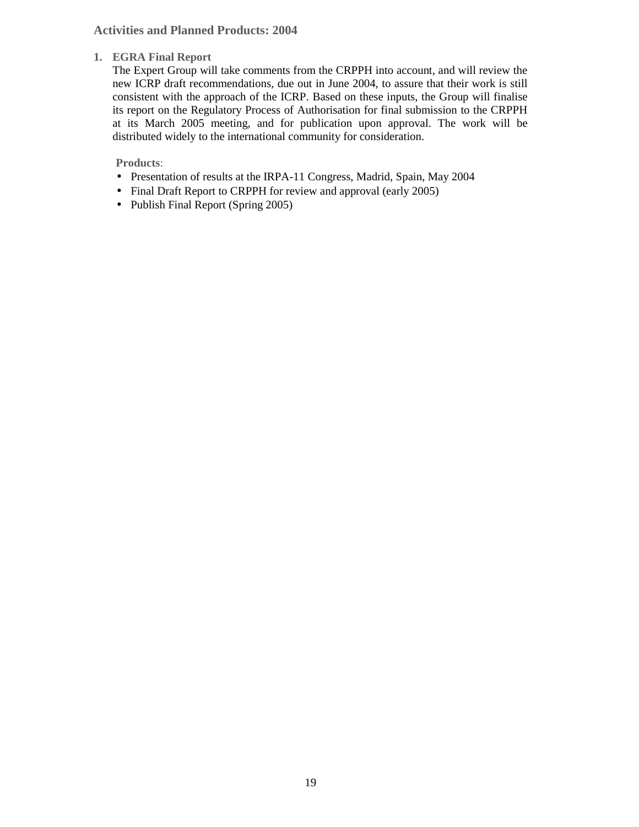### **Activities and Planned Products: 2004**

#### **1. EGRA Final Report**

The Expert Group will take comments from the CRPPH into account, and will review the new ICRP draft recommendations, due out in June 2004, to assure that their work is still consistent with the approach of the ICRP. Based on these inputs, the Group will finalise its report on the Regulatory Process of Authorisation for final submission to the CRPPH at its March 2005 meeting, and for publication upon approval. The work will be distributed widely to the international community for consideration.

#### **Products**:

- Presentation of results at the IRPA-11 Congress, Madrid, Spain, May 2004
- Final Draft Report to CRPPH for review and approval (early 2005)
- Publish Final Report (Spring 2005)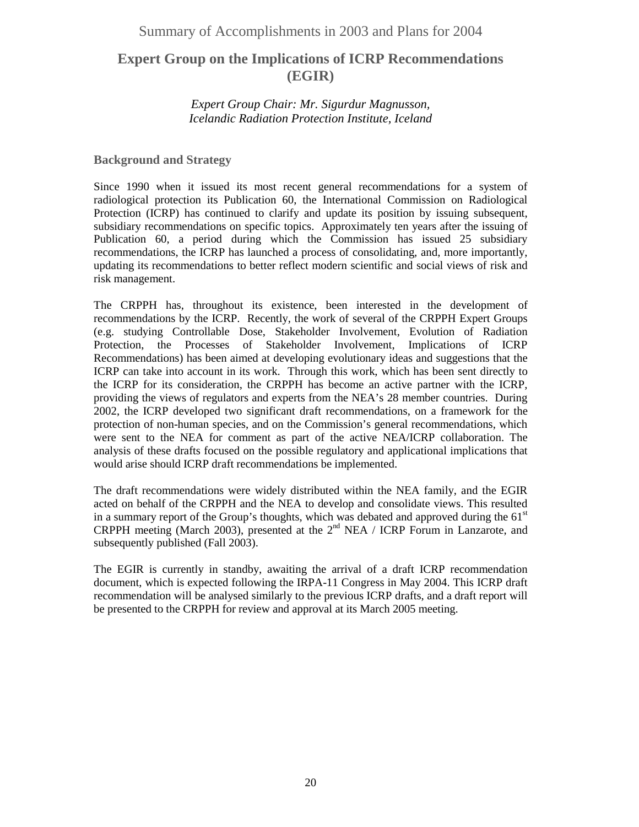Summary of Accomplishments in 2003 and Plans for 2004

# **Expert Group on the Implications of ICRP Recommendations (EGIR)**

# *Expert Group Chair: Mr. Sigurdur Magnusson, Icelandic Radiation Protection Institute, Iceland*

**Background and Strategy** 

Since 1990 when it issued its most recent general recommendations for a system of radiological protection its Publication 60, the International Commission on Radiological Protection (ICRP) has continued to clarify and update its position by issuing subsequent, subsidiary recommendations on specific topics. Approximately ten years after the issuing of Publication 60, a period during which the Commission has issued 25 subsidiary recommendations, the ICRP has launched a process of consolidating, and, more importantly, updating its recommendations to better reflect modern scientific and social views of risk and risk management.

The CRPPH has, throughout its existence, been interested in the development of recommendations by the ICRP. Recently, the work of several of the CRPPH Expert Groups (e.g. studying Controllable Dose, Stakeholder Involvement, Evolution of Radiation Protection, the Processes of Stakeholder Involvement, Implications of ICRP Recommendations) has been aimed at developing evolutionary ideas and suggestions that the ICRP can take into account in its work. Through this work, which has been sent directly to the ICRP for its consideration, the CRPPH has become an active partner with the ICRP, providing the views of regulators and experts from the NEA's 28 member countries. During 2002, the ICRP developed two significant draft recommendations, on a framework for the protection of non-human species, and on the Commission's general recommendations, which were sent to the NEA for comment as part of the active NEA/ICRP collaboration. The analysis of these drafts focused on the possible regulatory and applicational implications that would arise should ICRP draft recommendations be implemented.

The draft recommendations were widely distributed within the NEA family, and the EGIR acted on behalf of the CRPPH and the NEA to develop and consolidate views. This resulted in a summary report of the Group's thoughts, which was debated and approved during the  $61<sup>st</sup>$ CRPPH meeting (March 2003), presented at the  $2<sup>nd</sup>$  NEA / ICRP Forum in Lanzarote, and subsequently published (Fall 2003).

The EGIR is currently in standby, awaiting the arrival of a draft ICRP recommendation document, which is expected following the IRPA-11 Congress in May 2004. This ICRP draft recommendation will be analysed similarly to the previous ICRP drafts, and a draft report will be presented to the CRPPH for review and approval at its March 2005 meeting.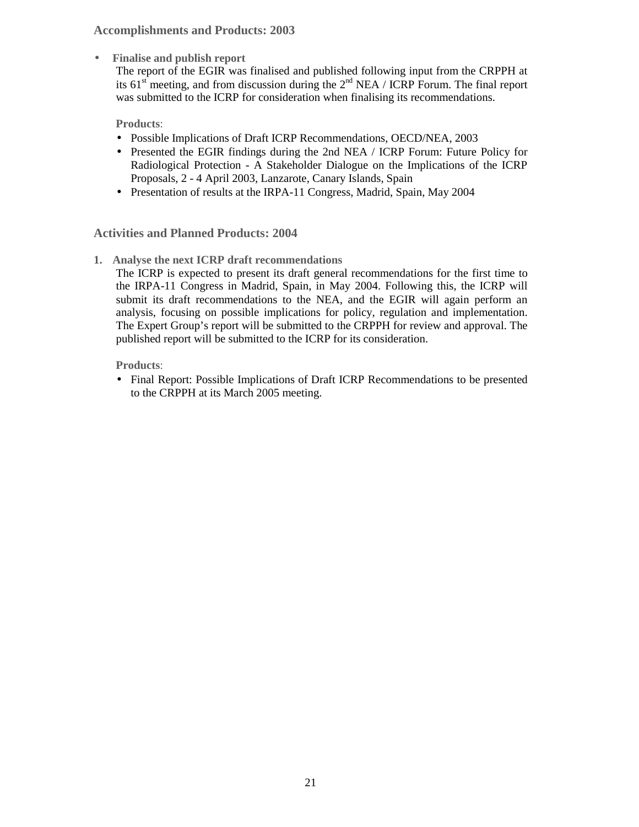### **Accomplishments and Products: 2003**

• **Finalise and publish report** 

The report of the EGIR was finalised and published following input from the CRPPH at its  $61<sup>st</sup>$  meeting, and from discussion during the  $2<sup>nd</sup>$  NEA / ICRP Forum. The final report was submitted to the ICRP for consideration when finalising its recommendations.

**Products**:

- Possible Implications of Draft ICRP Recommendations, OECD/NEA, 2003
- Presented the EGIR findings during the 2nd NEA / ICRP Forum: Future Policy for Radiological Protection - A Stakeholder Dialogue on the Implications of the ICRP Proposals, 2 - 4 April 2003, Lanzarote, Canary Islands, Spain
- Presentation of results at the IRPA-11 Congress, Madrid, Spain, May 2004

### **Activities and Planned Products: 2004**

- **1. Analyse the next ICRP draft recommendations** 
	- The ICRP is expected to present its draft general recommendations for the first time to the IRPA-11 Congress in Madrid, Spain, in May 2004. Following this, the ICRP will submit its draft recommendations to the NEA, and the EGIR will again perform an analysis, focusing on possible implications for policy, regulation and implementation. The Expert Group's report will be submitted to the CRPPH for review and approval. The published report will be submitted to the ICRP for its consideration.

**Products**:

• Final Report: Possible Implications of Draft ICRP Recommendations to be presented to the CRPPH at its March 2005 meeting.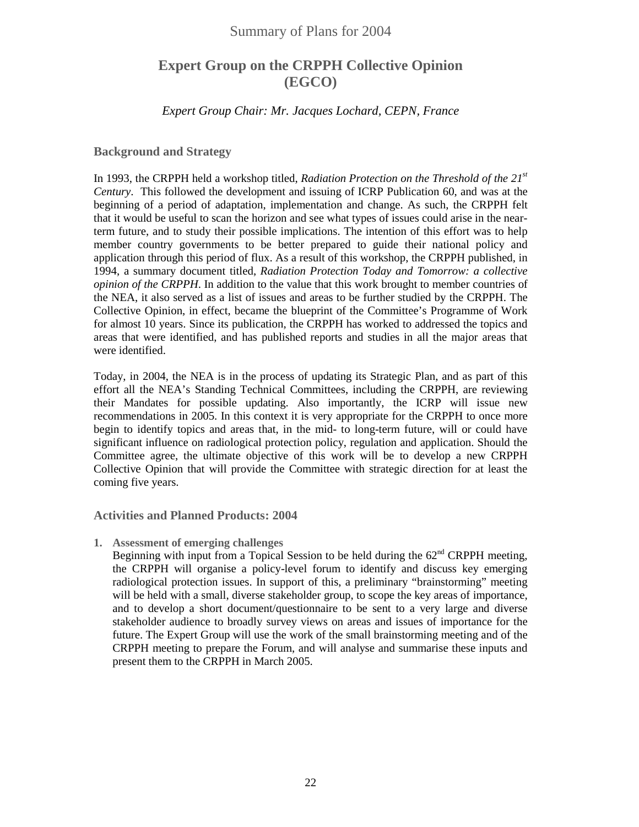Summary of Plans for 2004

# **Expert Group on the CRPPH Collective Opinion (EGCO)**

### *Expert Group Chair: Mr. Jacques Lochard, CEPN, France*

### **Background and Strategy**

In 1993, the CRPPH held a workshop titled, *Radiation Protection on the Threshold of the 21st Century*. This followed the development and issuing of ICRP Publication 60, and was at the beginning of a period of adaptation, implementation and change. As such, the CRPPH felt that it would be useful to scan the horizon and see what types of issues could arise in the nearterm future, and to study their possible implications. The intention of this effort was to help member country governments to be better prepared to guide their national policy and application through this period of flux. As a result of this workshop, the CRPPH published, in 1994, a summary document titled, *Radiation Protection Today and Tomorrow: a collective opinion of the CRPPH*. In addition to the value that this work brought to member countries of the NEA, it also served as a list of issues and areas to be further studied by the CRPPH. The Collective Opinion, in effect, became the blueprint of the Committee's Programme of Work for almost 10 years. Since its publication, the CRPPH has worked to addressed the topics and areas that were identified, and has published reports and studies in all the major areas that were identified.

Today, in 2004, the NEA is in the process of updating its Strategic Plan, and as part of this effort all the NEA's Standing Technical Committees, including the CRPPH, are reviewing their Mandates for possible updating. Also importantly, the ICRP will issue new recommendations in 2005. In this context it is very appropriate for the CRPPH to once more begin to identify topics and areas that, in the mid- to long-term future, will or could have significant influence on radiological protection policy, regulation and application. Should the Committee agree, the ultimate objective of this work will be to develop a new CRPPH Collective Opinion that will provide the Committee with strategic direction for at least the coming five years.

#### **Activities and Planned Products: 2004**

**1. Assessment of emerging challenges** 

Beginning with input from a Topical Session to be held during the  $62<sup>nd</sup>$  CRPPH meeting, the CRPPH will organise a policy-level forum to identify and discuss key emerging radiological protection issues. In support of this, a preliminary "brainstorming" meeting will be held with a small, diverse stakeholder group, to scope the key areas of importance, and to develop a short document/questionnaire to be sent to a very large and diverse stakeholder audience to broadly survey views on areas and issues of importance for the future. The Expert Group will use the work of the small brainstorming meeting and of the CRPPH meeting to prepare the Forum, and will analyse and summarise these inputs and present them to the CRPPH in March 2005.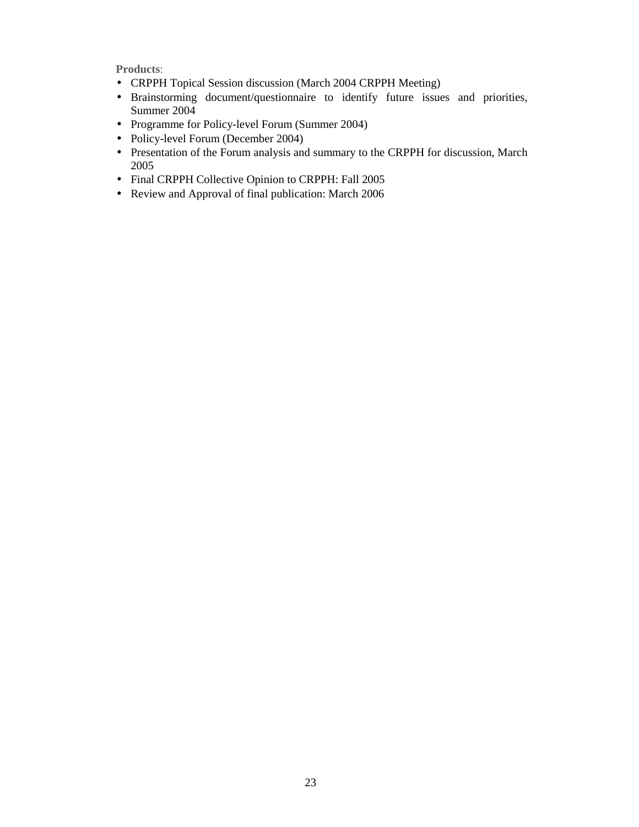**Products**:

- CRPPH Topical Session discussion (March 2004 CRPPH Meeting)
- Brainstorming document/questionnaire to identify future issues and priorities, Summer 2004
- Programme for Policy-level Forum (Summer 2004)
- Policy-level Forum (December 2004)
- Presentation of the Forum analysis and summary to the CRPPH for discussion, March 2005
- Final CRPPH Collective Opinion to CRPPH: Fall 2005
- Review and Approval of final publication: March 2006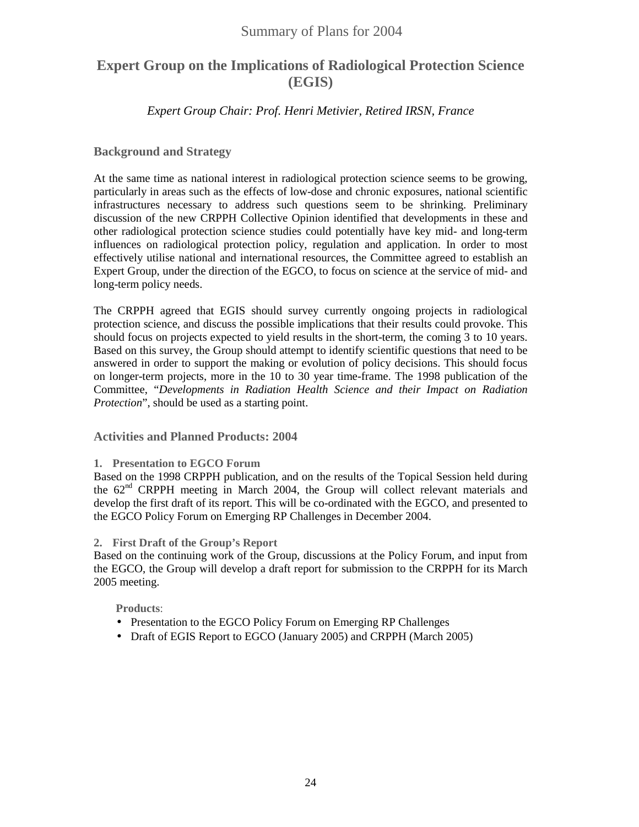# **Expert Group on the Implications of Radiological Protection Science (EGIS)**

*Expert Group Chair: Prof. Henri Metivier, Retired IRSN, France* 

### **Background and Strategy**

At the same time as national interest in radiological protection science seems to be growing, particularly in areas such as the effects of low-dose and chronic exposures, national scientific infrastructures necessary to address such questions seem to be shrinking. Preliminary discussion of the new CRPPH Collective Opinion identified that developments in these and other radiological protection science studies could potentially have key mid- and long-term influences on radiological protection policy, regulation and application. In order to most effectively utilise national and international resources, the Committee agreed to establish an Expert Group, under the direction of the EGCO, to focus on science at the service of mid- and long-term policy needs.

The CRPPH agreed that EGIS should survey currently ongoing projects in radiological protection science, and discuss the possible implications that their results could provoke. This should focus on projects expected to yield results in the short-term, the coming 3 to 10 years. Based on this survey, the Group should attempt to identify scientific questions that need to be answered in order to support the making or evolution of policy decisions. This should focus on longer-term projects, more in the 10 to 30 year time-frame. The 1998 publication of the Committee, "*Developments in Radiation Health Science and their Impact on Radiation Protection*", should be used as a starting point.

**Activities and Planned Products: 2004** 

#### **1. Presentation to EGCO Forum**

Based on the 1998 CRPPH publication, and on the results of the Topical Session held during the 62<sup>nd</sup> CRPPH meeting in March 2004, the Group will collect relevant materials and develop the first draft of its report. This will be co-ordinated with the EGCO, and presented to the EGCO Policy Forum on Emerging RP Challenges in December 2004.

#### **2. First Draft of the Group's Report**

Based on the continuing work of the Group, discussions at the Policy Forum, and input from the EGCO, the Group will develop a draft report for submission to the CRPPH for its March 2005 meeting.

**Products**:

- Presentation to the EGCO Policy Forum on Emerging RP Challenges
- Draft of EGIS Report to EGCO (January 2005) and CRPPH (March 2005)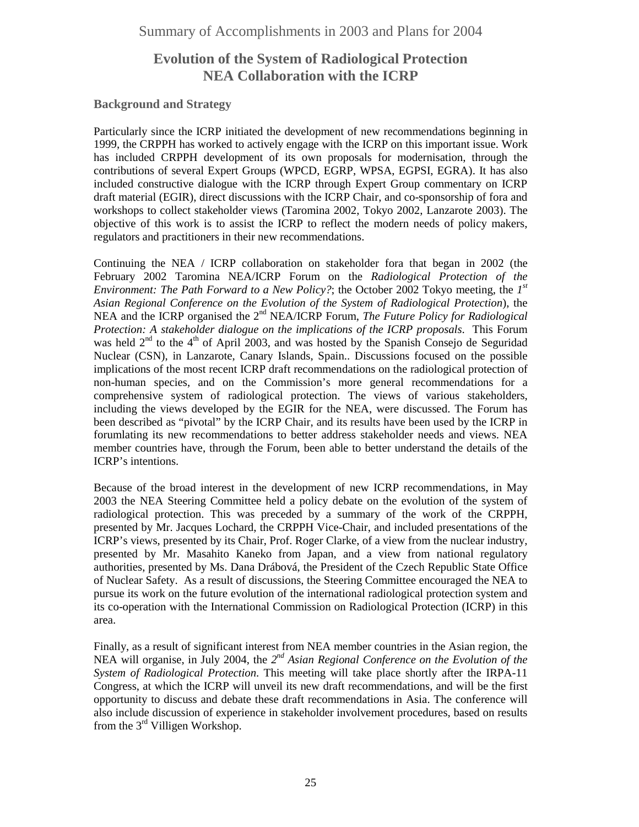# **Evolution of the System of Radiological Protection NEA Collaboration with the ICRP**

### **Background and Strategy**

Particularly since the ICRP initiated the development of new recommendations beginning in 1999, the CRPPH has worked to actively engage with the ICRP on this important issue. Work has included CRPPH development of its own proposals for modernisation, through the contributions of several Expert Groups (WPCD, EGRP, WPSA, EGPSI, EGRA). It has also included constructive dialogue with the ICRP through Expert Group commentary on ICRP draft material (EGIR), direct discussions with the ICRP Chair, and co-sponsorship of fora and workshops to collect stakeholder views (Taromina 2002, Tokyo 2002, Lanzarote 2003). The objective of this work is to assist the ICRP to reflect the modern needs of policy makers, regulators and practitioners in their new recommendations.

Continuing the NEA / ICRP collaboration on stakeholder fora that began in 2002 (the February 2002 Taromina NEA/ICRP Forum on the *Radiological Protection of the Environment: The Path Forward to a New Policy?*; the October 2002 Tokyo meeting, the *1st Asian Regional Conference on the Evolution of the System of Radiological Protection*), the NEA and the ICRP organised the 2<sup>nd</sup> NEA/ICRP Forum, *The Future Policy for Radiological Protection: A stakeholder dialogue on the implications of the ICRP proposals*. This Forum was held  $2^{nd}$  to the  $4^{th}$  of April 2003, and was hosted by the Spanish Consejo de Seguridad Nuclear (CSN), in Lanzarote, Canary Islands, Spain.. Discussions focused on the possible implications of the most recent ICRP draft recommendations on the radiological protection of non-human species, and on the Commission's more general recommendations for a comprehensive system of radiological protection. The views of various stakeholders, including the views developed by the EGIR for the NEA, were discussed. The Forum has been described as "pivotal" by the ICRP Chair, and its results have been used by the ICRP in forumlating its new recommendations to better address stakeholder needs and views. NEA member countries have, through the Forum, been able to better understand the details of the ICRP's intentions.

Because of the broad interest in the development of new ICRP recommendations, in May 2003 the NEA Steering Committee held a policy debate on the evolution of the system of radiological protection. This was preceded by a summary of the work of the CRPPH, presented by Mr. Jacques Lochard, the CRPPH Vice-Chair, and included presentations of the ICRP's views, presented by its Chair, Prof. Roger Clarke, of a view from the nuclear industry, presented by Mr. Masahito Kaneko from Japan, and a view from national regulatory authorities, presented by Ms. Dana Drábová, the President of the Czech Republic State Office of Nuclear Safety. As a result of discussions, the Steering Committee encouraged the NEA to pursue its work on the future evolution of the international radiological protection system and its co-operation with the International Commission on Radiological Protection (ICRP) in this area.

Finally, as a result of significant interest from NEA member countries in the Asian region, the NEA will organise, in July 2004, the 2<sup>nd</sup> Asian Regional Conference on the Evolution of the *System of Radiological Protection*. This meeting will take place shortly after the IRPA-11 Congress, at which the ICRP will unveil its new draft recommendations, and will be the first opportunity to discuss and debate these draft recommendations in Asia. The conference will also include discussion of experience in stakeholder involvement procedures, based on results from the  $3<sup>rd</sup>$  Villigen Workshop.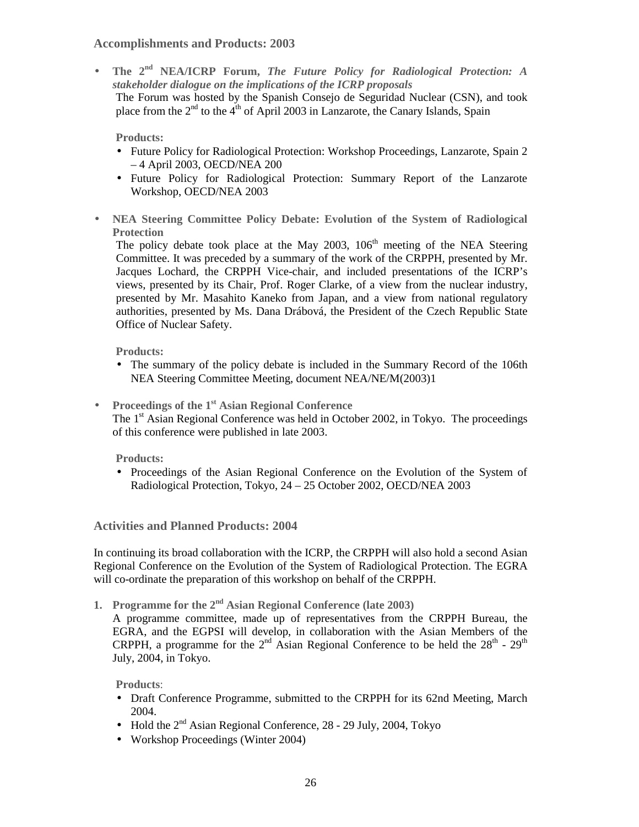#### **Accomplishments and Products: 2003**

• **The 2nd NEA/ICRP Forum,** *The Future Policy for Radiological Protection: A stakeholder dialogue on the implications of the ICRP proposals* The Forum was hosted by the Spanish Consejo de Seguridad Nuclear (CSN), and took place from the  $2<sup>nd</sup>$  to the  $4<sup>th</sup>$  of April 2003 in Lanzarote, the Canary Islands, Spain

#### **Products:**

- Future Policy for Radiological Protection: Workshop Proceedings, Lanzarote, Spain 2 – 4 April 2003, OECD/NEA 200
- Future Policy for Radiological Protection: Summary Report of the Lanzarote Workshop, OECD/NEA 2003
- **NEA Steering Committee Policy Debate: Evolution of the System of Radiological Protection**

The policy debate took place at the May 2003,  $106<sup>th</sup>$  meeting of the NEA Steering Committee. It was preceded by a summary of the work of the CRPPH, presented by Mr. Jacques Lochard, the CRPPH Vice-chair, and included presentations of the ICRP's views, presented by its Chair, Prof. Roger Clarke, of a view from the nuclear industry, presented by Mr. Masahito Kaneko from Japan, and a view from national regulatory authorities, presented by Ms. Dana Drábová, the President of the Czech Republic State Office of Nuclear Safety.

#### **Products:**

- The summary of the policy debate is included in the Summary Record of the 106th NEA Steering Committee Meeting, document NEA/NE/M(2003)1
- **Proceedings of the 1st Asian Regional Conference**  The 1<sup>st</sup> Asian Regional Conference was held in October 2002, in Tokyo. The proceedings of this conference were published in late 2003.

#### **Products:**

• Proceedings of the Asian Regional Conference on the Evolution of the System of Radiological Protection, Tokyo, 24 – 25 October 2002, OECD/NEA 2003

### **Activities and Planned Products: 2004**

In continuing its broad collaboration with the ICRP, the CRPPH will also hold a second Asian Regional Conference on the Evolution of the System of Radiological Protection. The EGRA will co-ordinate the preparation of this workshop on behalf of the CRPPH.

**1.** Programme for the  $2<sup>nd</sup>$  Asian Regional Conference (late  $2003$ )

A programme committee, made up of representatives from the CRPPH Bureau, the EGRA, and the EGPSI will develop, in collaboration with the Asian Members of the CRPPH, a programme for the  $2^{nd}$  Asian Regional Conference to be held the  $28^{th}$  -  $29^{th}$ July, 2004, in Tokyo.

#### **Products**:

- Draft Conference Programme, submitted to the CRPPH for its 62nd Meeting, March 2004.
- Hold the  $2<sup>nd</sup>$  Asian Regional Conference, 28 29 July, 2004, Tokyo
- Workshop Proceedings (Winter 2004)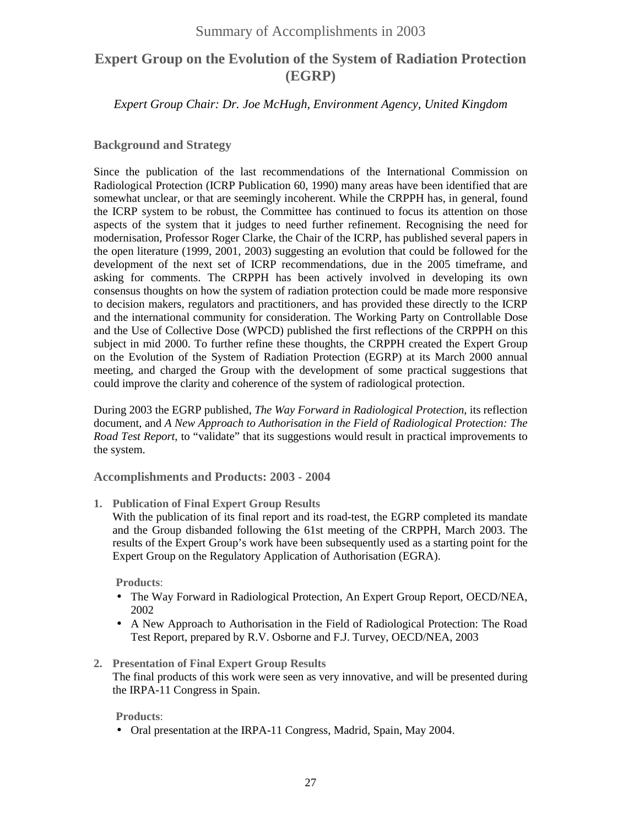# Summary of Accomplishments in 2003

# **Expert Group on the Evolution of the System of Radiation Protection (EGRP)**

*Expert Group Chair: Dr. Joe McHugh, Environment Agency, United Kingdom* 

### **Background and Strategy**

Since the publication of the last recommendations of the International Commission on Radiological Protection (ICRP Publication 60, 1990) many areas have been identified that are somewhat unclear, or that are seemingly incoherent. While the CRPPH has, in general, found the ICRP system to be robust, the Committee has continued to focus its attention on those aspects of the system that it judges to need further refinement. Recognising the need for modernisation, Professor Roger Clarke, the Chair of the ICRP, has published several papers in the open literature (1999, 2001, 2003) suggesting an evolution that could be followed for the development of the next set of ICRP recommendations, due in the 2005 timeframe, and asking for comments. The CRPPH has been actively involved in developing its own consensus thoughts on how the system of radiation protection could be made more responsive to decision makers, regulators and practitioners, and has provided these directly to the ICRP and the international community for consideration. The Working Party on Controllable Dose and the Use of Collective Dose (WPCD) published the first reflections of the CRPPH on this subject in mid 2000. To further refine these thoughts, the CRPPH created the Expert Group on the Evolution of the System of Radiation Protection (EGRP) at its March 2000 annual meeting, and charged the Group with the development of some practical suggestions that could improve the clarity and coherence of the system of radiological protection.

During 2003 the EGRP published, *The Way Forward in Radiological Protection*, its reflection document, and *A New Approach to Authorisation in the Field of Radiological Protection: The Road Test Report*, to "validate" that its suggestions would result in practical improvements to the system.

**Accomplishments and Products: 2003 - 2004** 

**1. Publication of Final Expert Group Results** 

With the publication of its final report and its road-test, the EGRP completed its mandate and the Group disbanded following the 61st meeting of the CRPPH, March 2003. The results of the Expert Group's work have been subsequently used as a starting point for the Expert Group on the Regulatory Application of Authorisation (EGRA).

**Products**:

- The Way Forward in Radiological Protection, An Expert Group Report, OECD/NEA, 2002
- A New Approach to Authorisation in the Field of Radiological Protection: The Road Test Report, prepared by R.V. Osborne and F.J. Turvey, OECD/NEA, 2003
- **2. Presentation of Final Expert Group Results**

The final products of this work were seen as very innovative, and will be presented during the IRPA-11 Congress in Spain.

**Products**:

• Oral presentation at the IRPA-11 Congress, Madrid, Spain, May 2004.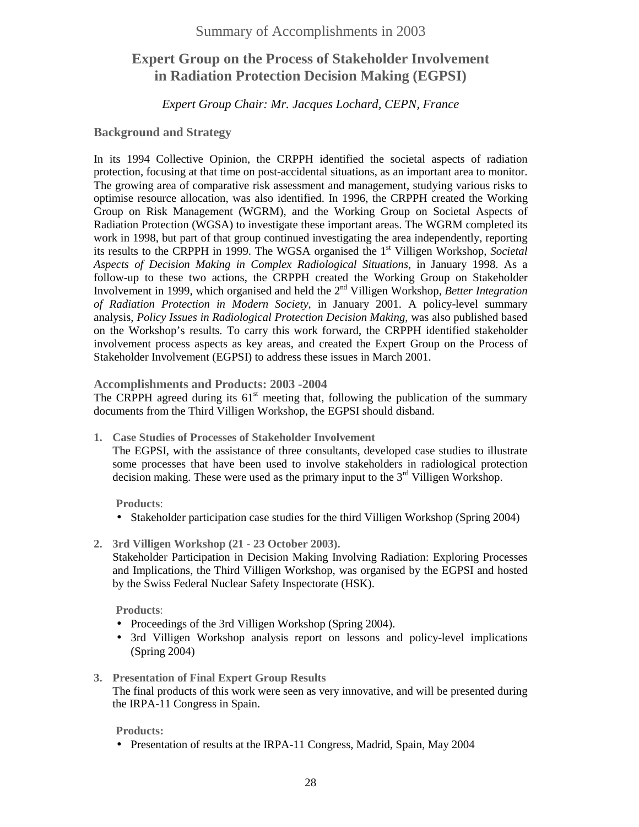Summary of Accomplishments in 2003

# **Expert Group on the Process of Stakeholder Involvement in Radiation Protection Decision Making (EGPSI)**

### *Expert Group Chair: Mr. Jacques Lochard, CEPN, France*

### **Background and Strategy**

In its 1994 Collective Opinion, the CRPPH identified the societal aspects of radiation protection, focusing at that time on post-accidental situations, as an important area to monitor. The growing area of comparative risk assessment and management, studying various risks to optimise resource allocation, was also identified. In 1996, the CRPPH created the Working Group on Risk Management (WGRM), and the Working Group on Societal Aspects of Radiation Protection (WGSA) to investigate these important areas. The WGRM completed its work in 1998, but part of that group continued investigating the area independently, reporting its results to the CRPPH in 1999. The WGSA organised the 1<sup>st</sup> Villigen Workshop, *Societal Aspects of Decision Making in Complex Radiological Situations*, in January 1998. As a follow-up to these two actions, the CRPPH created the Working Group on Stakeholder Involvement in 1999, which organised and held the 2nd Villigen Workshop, *Better Integration of Radiation Protection in Modern Society*, in January 2001. A policy-level summary analysis, *Policy Issues in Radiological Protection Decision Making*, was also published based on the Workshop's results. To carry this work forward, the CRPPH identified stakeholder involvement process aspects as key areas, and created the Expert Group on the Process of Stakeholder Involvement (EGPSI) to address these issues in March 2001.

#### **Accomplishments and Products: 2003 -2004**

The CRPPH agreed during its  $61<sup>st</sup>$  meeting that, following the publication of the summary documents from the Third Villigen Workshop, the EGPSI should disband.

**1. Case Studies of Processes of Stakeholder Involvement** 

The EGPSI, with the assistance of three consultants, developed case studies to illustrate some processes that have been used to involve stakeholders in radiological protection decision making. These were used as the primary input to the  $3<sup>rd</sup>$  Villigen Workshop.

**Products**:

- Stakeholder participation case studies for the third Villigen Workshop (Spring 2004)
- **2. 3rd Villigen Workshop (21 23 October 2003).**  Stakeholder Participation in Decision Making Involving Radiation: Exploring Processes and Implications, the Third Villigen Workshop, was organised by the EGPSI and hosted by the Swiss Federal Nuclear Safety Inspectorate (HSK).

**Products**:

- Proceedings of the 3rd Villigen Workshop (Spring 2004).
- 3rd Villigen Workshop analysis report on lessons and policy-level implications (Spring 2004)
- **3. Presentation of Final Expert Group Results**

The final products of this work were seen as very innovative, and will be presented during the IRPA-11 Congress in Spain.

**Products:** 

• Presentation of results at the IRPA-11 Congress, Madrid, Spain, May 2004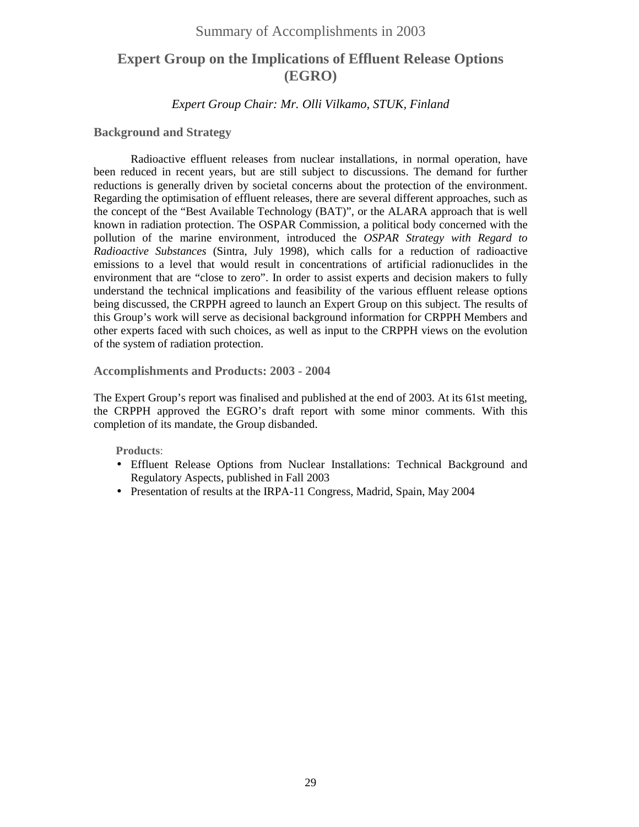### Summary of Accomplishments in 2003

# **Expert Group on the Implications of Effluent Release Options (EGRO)**

#### *Expert Group Chair: Mr. Olli Vilkamo, STUK, Finland*

#### **Background and Strategy**

 Radioactive effluent releases from nuclear installations, in normal operation, have been reduced in recent years, but are still subject to discussions. The demand for further reductions is generally driven by societal concerns about the protection of the environment. Regarding the optimisation of effluent releases, there are several different approaches, such as the concept of the "Best Available Technology (BAT)", or the ALARA approach that is well known in radiation protection. The OSPAR Commission, a political body concerned with the pollution of the marine environment, introduced the *OSPAR Strategy with Regard to Radioactive Substances* (Sintra, July 1998), which calls for a reduction of radioactive emissions to a level that would result in concentrations of artificial radionuclides in the environment that are "close to zero". In order to assist experts and decision makers to fully understand the technical implications and feasibility of the various effluent release options being discussed, the CRPPH agreed to launch an Expert Group on this subject. The results of this Group's work will serve as decisional background information for CRPPH Members and other experts faced with such choices, as well as input to the CRPPH views on the evolution of the system of radiation protection.

#### **Accomplishments and Products: 2003 - 2004**

The Expert Group's report was finalised and published at the end of 2003. At its 61st meeting, the CRPPH approved the EGRO's draft report with some minor comments. With this completion of its mandate, the Group disbanded.

#### **Products**:

- Effluent Release Options from Nuclear Installations: Technical Background and Regulatory Aspects, published in Fall 2003
- Presentation of results at the IRPA-11 Congress, Madrid, Spain, May 2004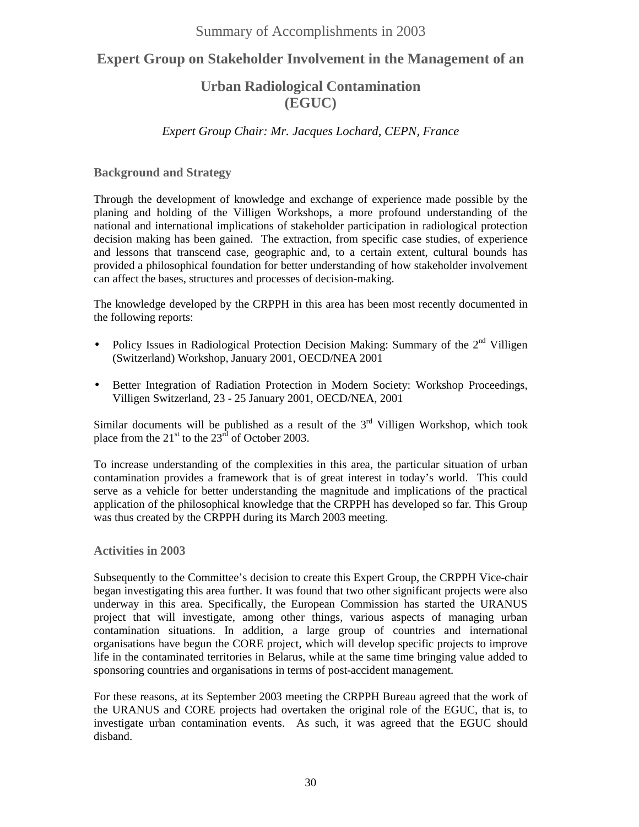# **Expert Group on Stakeholder Involvement in the Management of an**

# **Urban Radiological Contamination (EGUC)**

# *Expert Group Chair: Mr. Jacques Lochard, CEPN, France*

**Background and Strategy** 

Through the development of knowledge and exchange of experience made possible by the planing and holding of the Villigen Workshops, a more profound understanding of the national and international implications of stakeholder participation in radiological protection decision making has been gained. The extraction, from specific case studies, of experience and lessons that transcend case, geographic and, to a certain extent, cultural bounds has provided a philosophical foundation for better understanding of how stakeholder involvement can affect the bases, structures and processes of decision-making.

The knowledge developed by the CRPPH in this area has been most recently documented in the following reports:

- Policy Issues in Radiological Protection Decision Making: Summary of the  $2<sup>nd</sup>$  Villigen (Switzerland) Workshop, January 2001, OECD/NEA 2001
- Better Integration of Radiation Protection in Modern Society: Workshop Proceedings, Villigen Switzerland, 23 - 25 January 2001, OECD/NEA, 2001

Similar documents will be published as a result of the  $3<sup>rd</sup>$  Villigen Workshop, which took place from the  $21<sup>st</sup>$  to the  $23<sup>rd</sup>$  of October 2003.

To increase understanding of the complexities in this area, the particular situation of urban contamination provides a framework that is of great interest in today's world. This could serve as a vehicle for better understanding the magnitude and implications of the practical application of the philosophical knowledge that the CRPPH has developed so far. This Group was thus created by the CRPPH during its March 2003 meeting.

### **Activities in 2003**

Subsequently to the Committee's decision to create this Expert Group, the CRPPH Vice-chair began investigating this area further. It was found that two other significant projects were also underway in this area. Specifically, the European Commission has started the URANUS project that will investigate, among other things, various aspects of managing urban contamination situations. In addition, a large group of countries and international organisations have begun the CORE project, which will develop specific projects to improve life in the contaminated territories in Belarus, while at the same time bringing value added to sponsoring countries and organisations in terms of post-accident management.

For these reasons, at its September 2003 meeting the CRPPH Bureau agreed that the work of the URANUS and CORE projects had overtaken the original role of the EGUC, that is, to investigate urban contamination events. As such, it was agreed that the EGUC should disband.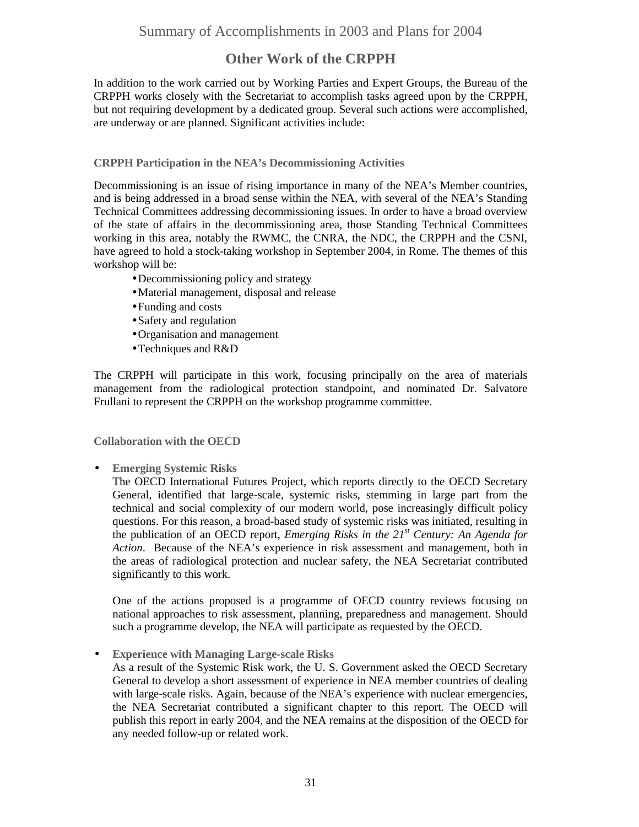# Summary of Accomplishments in 2003 and Plans for 2004

# **Other Work of the CRPPH**

In addition to the work carried out by Working Parties and Expert Groups, the Bureau of the CRPPH works closely with the Secretariat to accomplish tasks agreed upon by the CRPPH, but not requiring development by a dedicated group. Several such actions were accomplished, are underway or are planned. Significant activities include:

### **CRPPH Participation in the NEA's Decommissioning Activities**

Decommissioning is an issue of rising importance in many of the NEA's Member countries, and is being addressed in a broad sense within the NEA, with several of the NEA's Standing Technical Committees addressing decommissioning issues. In order to have a broad overview of the state of affairs in the decommissioning area, those Standing Technical Committees working in this area, notably the RWMC, the CNRA, the NDC, the CRPPH and the CSNI, have agreed to hold a stock-taking workshop in September 2004, in Rome. The themes of this workshop will be:

- •Decommissioning policy and strategy
- •Material management, disposal and release
- •Funding and costs
- •Safety and regulation
- •Organisation and management
- •Techniques and R&D

The CRPPH will participate in this work, focusing principally on the area of materials management from the radiological protection standpoint, and nominated Dr. Salvatore Frullani to represent the CRPPH on the workshop programme committee.

**Collaboration with the OECD** 

• **Emerging Systemic Risks**

The OECD International Futures Project, which reports directly to the OECD Secretary General, identified that large-scale, systemic risks, stemming in large part from the technical and social complexity of our modern world, pose increasingly difficult policy questions. For this reason, a broad-based study of systemic risks was initiated, resulting in the publication of an OECD report, *Emerging Risks in the 21st Century: An Agenda for Action*. Because of the NEA's experience in risk assessment and management, both in the areas of radiological protection and nuclear safety, the NEA Secretariat contributed significantly to this work.

One of the actions proposed is a programme of OECD country reviews focusing on national approaches to risk assessment, planning, preparedness and management. Should such a programme develop, the NEA will participate as requested by the OECD.

• **Experience with Managing Large-scale Risks**

As a result of the Systemic Risk work, the U. S. Government asked the OECD Secretary General to develop a short assessment of experience in NEA member countries of dealing with large-scale risks. Again, because of the NEA's experience with nuclear emergencies, the NEA Secretariat contributed a significant chapter to this report. The OECD will publish this report in early 2004, and the NEA remains at the disposition of the OECD for any needed follow-up or related work.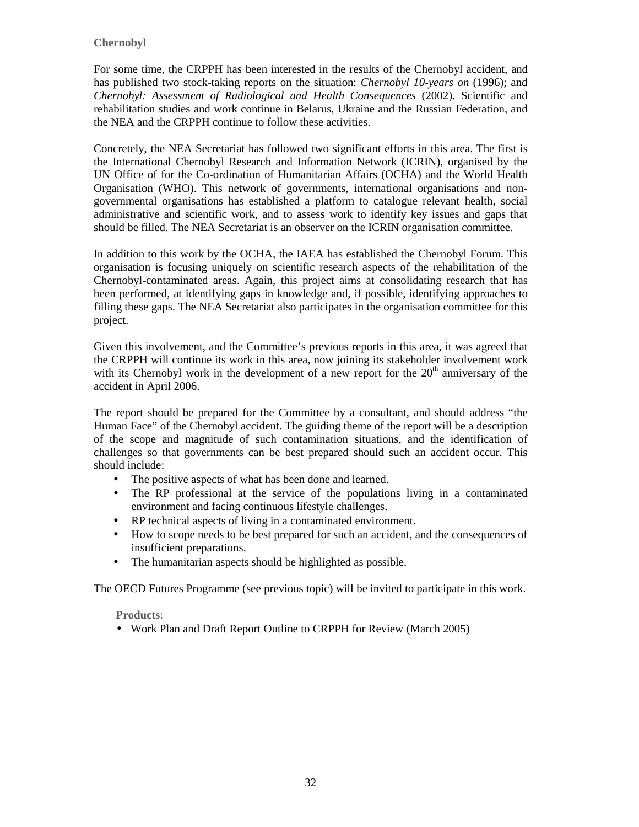### **Chernobyl**

For some time, the CRPPH has been interested in the results of the Chernobyl accident, and has published two stock-taking reports on the situation: *Chernobyl 10-years on* (1996); and *Chernobyl: Assessment of Radiological and Health Consequences* (2002). Scientific and rehabilitation studies and work continue in Belarus, Ukraine and the Russian Federation, and the NEA and the CRPPH continue to follow these activities.

Concretely, the NEA Secretariat has followed two significant efforts in this area. The first is the International Chernobyl Research and Information Network (ICRIN), organised by the UN Office of for the Co-ordination of Humanitarian Affairs (OCHA) and the World Health Organisation (WHO). This network of governments, international organisations and nongovernmental organisations has established a platform to catalogue relevant health, social administrative and scientific work, and to assess work to identify key issues and gaps that should be filled. The NEA Secretariat is an observer on the ICRIN organisation committee.

In addition to this work by the OCHA, the IAEA has established the Chernobyl Forum. This organisation is focusing uniquely on scientific research aspects of the rehabilitation of the Chernobyl-contaminated areas. Again, this project aims at consolidating research that has been performed, at identifying gaps in knowledge and, if possible, identifying approaches to filling these gaps. The NEA Secretariat also participates in the organisation committee for this project.

Given this involvement, and the Committee's previous reports in this area, it was agreed that the CRPPH will continue its work in this area, now joining its stakeholder involvement work with its Chernobyl work in the development of a new report for the  $20<sup>th</sup>$  anniversary of the accident in April 2006.

The report should be prepared for the Committee by a consultant, and should address "the Human Face" of the Chernobyl accident. The guiding theme of the report will be a description of the scope and magnitude of such contamination situations, and the identification of challenges so that governments can be best prepared should such an accident occur. This should include:

- The positive aspects of what has been done and learned.
- The RP professional at the service of the populations living in a contaminated environment and facing continuous lifestyle challenges.
- RP technical aspects of living in a contaminated environment.
- How to scope needs to be best prepared for such an accident, and the consequences of insufficient preparations.
- The humanitarian aspects should be highlighted as possible.

The OECD Futures Programme (see previous topic) will be invited to participate in this work.

**Products**:

• Work Plan and Draft Report Outline to CRPPH for Review (March 2005)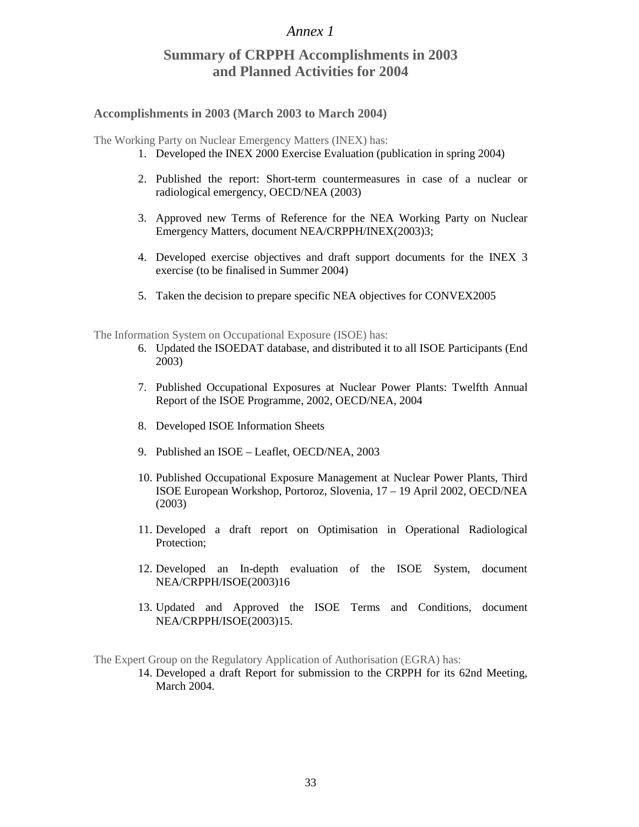# *Annex 1*

# **Summary of CRPPH Accomplishments in 2003 and Planned Activities for 2004**

### **Accomplishments in 2003 (March 2003 to March 2004)**

The Working Party on Nuclear Emergency Matters (INEX) has:

- 1. Developed the INEX 2000 Exercise Evaluation (publication in spring 2004)
- 2. Published the report: Short-term countermeasures in case of a nuclear or radiological emergency, OECD/NEA (2003)
- 3. Approved new Terms of Reference for the NEA Working Party on Nuclear Emergency Matters, document NEA/CRPPH/INEX(2003)3;
- 4. Developed exercise objectives and draft support documents for the INEX 3 exercise (to be finalised in Summer 2004)
- 5. Taken the decision to prepare specific NEA objectives for CONVEX2005

The Information System on Occupational Exposure (ISOE) has:

- 6. Updated the ISOEDAT database, and distributed it to all ISOE Participants (End 2003)
- 7. Published Occupational Exposures at Nuclear Power Plants: Twelfth Annual Report of the ISOE Programme, 2002, OECD/NEA, 2004
- 8. Developed ISOE Information Sheets
- 9. Published an ISOE Leaflet, OECD/NEA, 2003
- 10. Published Occupational Exposure Management at Nuclear Power Plants, Third ISOE European Workshop, Portoroz, Slovenia, 17 – 19 April 2002, OECD/NEA (2003)
- 11. Developed a draft report on Optimisation in Operational Radiological Protection;
- 12. Developed an In-depth evaluation of the ISOE System, document NEA/CRPPH/ISOE(2003)16
- 13. Updated and Approved the ISOE Terms and Conditions, document NEA/CRPPH/ISOE(2003)15.

The Expert Group on the Regulatory Application of Authorisation (EGRA) has:

14. Developed a draft Report for submission to the CRPPH for its 62nd Meeting, March 2004.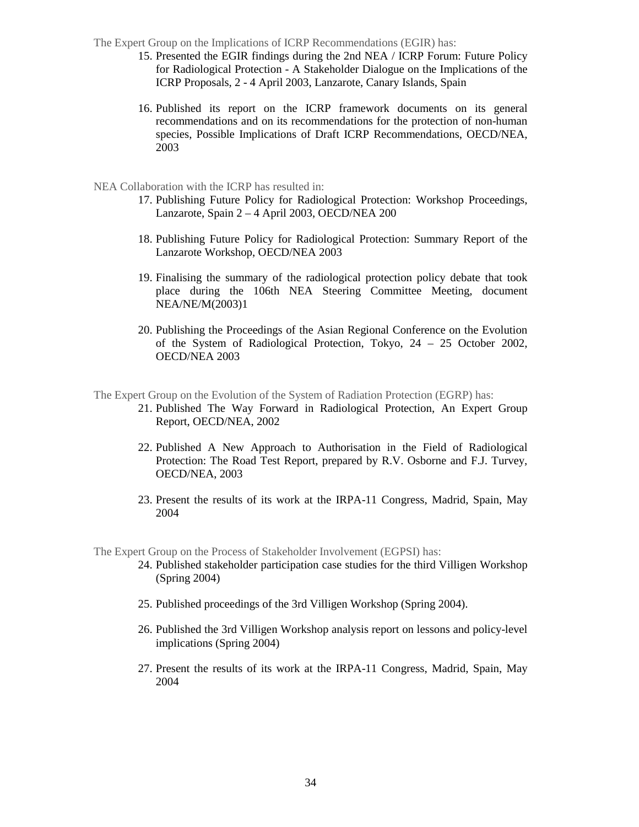The Expert Group on the Implications of ICRP Recommendations (EGIR) has:

- 15. Presented the EGIR findings during the 2nd NEA / ICRP Forum: Future Policy for Radiological Protection - A Stakeholder Dialogue on the Implications of the ICRP Proposals, 2 - 4 April 2003, Lanzarote, Canary Islands, Spain
- 16. Published its report on the ICRP framework documents on its general recommendations and on its recommendations for the protection of non-human species, Possible Implications of Draft ICRP Recommendations, OECD/NEA, 2003
- NEA Collaboration with the ICRP has resulted in:
	- 17. Publishing Future Policy for Radiological Protection: Workshop Proceedings, Lanzarote, Spain 2 – 4 April 2003, OECD/NEA 200
	- 18. Publishing Future Policy for Radiological Protection: Summary Report of the Lanzarote Workshop, OECD/NEA 2003
	- 19. Finalising the summary of the radiological protection policy debate that took place during the 106th NEA Steering Committee Meeting, document NEA/NE/M(2003)1
	- 20. Publishing the Proceedings of the Asian Regional Conference on the Evolution of the System of Radiological Protection, Tokyo, 24 – 25 October 2002, OECD/NEA 2003

The Expert Group on the Evolution of the System of Radiation Protection (EGRP) has:

- 21. Published The Way Forward in Radiological Protection, An Expert Group Report, OECD/NEA, 2002
	- 22. Published A New Approach to Authorisation in the Field of Radiological Protection: The Road Test Report, prepared by R.V. Osborne and F.J. Turvey, OECD/NEA, 2003
	- 23. Present the results of its work at the IRPA-11 Congress, Madrid, Spain, May 2004

The Expert Group on the Process of Stakeholder Involvement (EGPSI) has:

- 24. Published stakeholder participation case studies for the third Villigen Workshop (Spring 2004)
- 25. Published proceedings of the 3rd Villigen Workshop (Spring 2004).
- 26. Published the 3rd Villigen Workshop analysis report on lessons and policy-level implications (Spring 2004)
- 27. Present the results of its work at the IRPA-11 Congress, Madrid, Spain, May 2004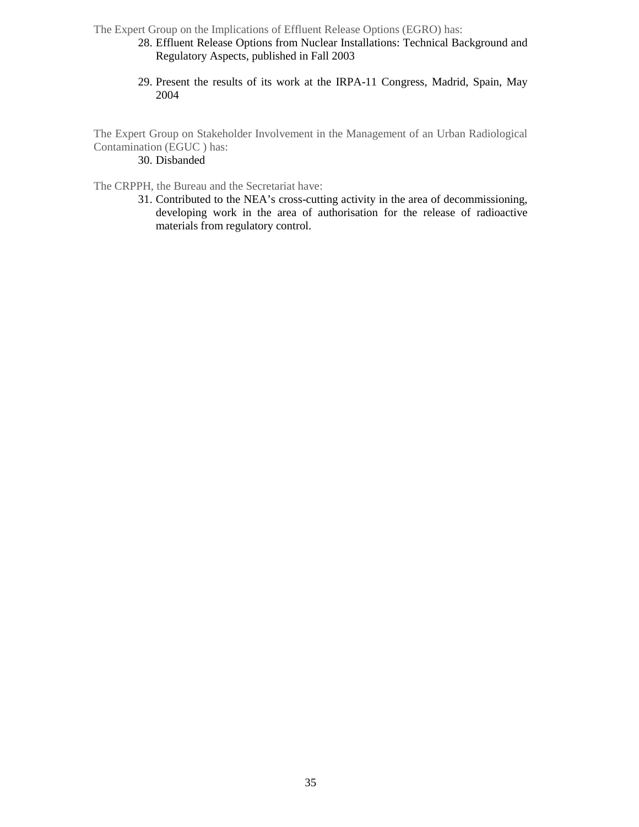The Expert Group on the Implications of Effluent Release Options (EGRO) has:

- 28. Effluent Release Options from Nuclear Installations: Technical Background and Regulatory Aspects, published in Fall 2003
- 29. Present the results of its work at the IRPA-11 Congress, Madrid, Spain, May 2004

The Expert Group on Stakeholder Involvement in the Management of an Urban Radiological Contamination (EGUC ) has:

#### 30. Disbanded

The CRPPH, the Bureau and the Secretariat have:

31. Contributed to the NEA's cross-cutting activity in the area of decommissioning, developing work in the area of authorisation for the release of radioactive materials from regulatory control.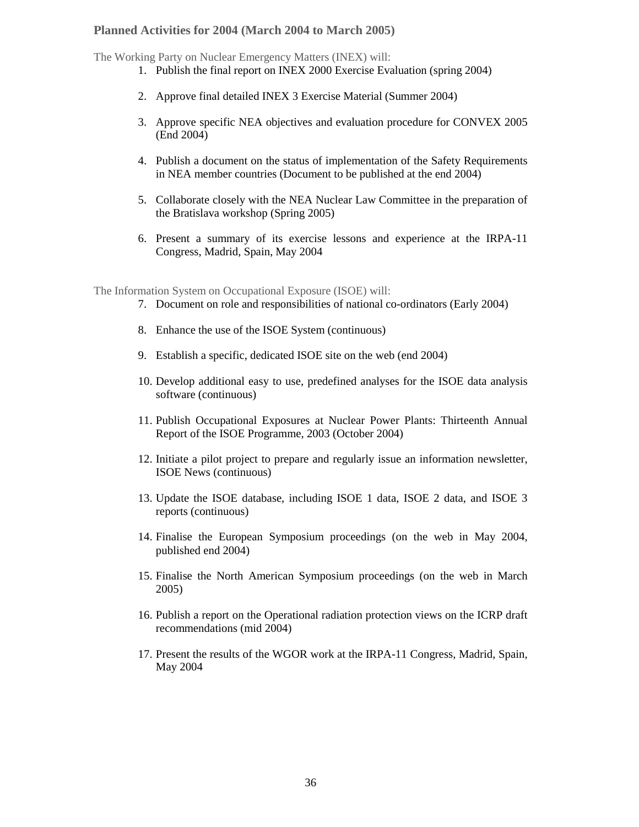#### **Planned Activities for 2004 (March 2004 to March 2005)**

The Working Party on Nuclear Emergency Matters (INEX) will:

- 1. Publish the final report on INEX 2000 Exercise Evaluation (spring 2004)
- 2. Approve final detailed INEX 3 Exercise Material (Summer 2004)
- 3. Approve specific NEA objectives and evaluation procedure for CONVEX 2005 (End 2004)
- 4. Publish a document on the status of implementation of the Safety Requirements in NEA member countries (Document to be published at the end 2004)
- 5. Collaborate closely with the NEA Nuclear Law Committee in the preparation of the Bratislava workshop (Spring 2005)
- 6. Present a summary of its exercise lessons and experience at the IRPA-11 Congress, Madrid, Spain, May 2004

The Information System on Occupational Exposure (ISOE) will:

- 7. Document on role and responsibilities of national co-ordinators (Early 2004)
- 8. Enhance the use of the ISOE System (continuous)
- 9. Establish a specific, dedicated ISOE site on the web (end 2004)
- 10. Develop additional easy to use, predefined analyses for the ISOE data analysis software (continuous)
- 11. Publish Occupational Exposures at Nuclear Power Plants: Thirteenth Annual Report of the ISOE Programme, 2003 (October 2004)
- 12. Initiate a pilot project to prepare and regularly issue an information newsletter, ISOE News (continuous)
- 13. Update the ISOE database, including ISOE 1 data, ISOE 2 data, and ISOE 3 reports (continuous)
- 14. Finalise the European Symposium proceedings (on the web in May 2004, published end 2004)
- 15. Finalise the North American Symposium proceedings (on the web in March 2005)
- 16. Publish a report on the Operational radiation protection views on the ICRP draft recommendations (mid 2004)
- 17. Present the results of the WGOR work at the IRPA-11 Congress, Madrid, Spain, May 2004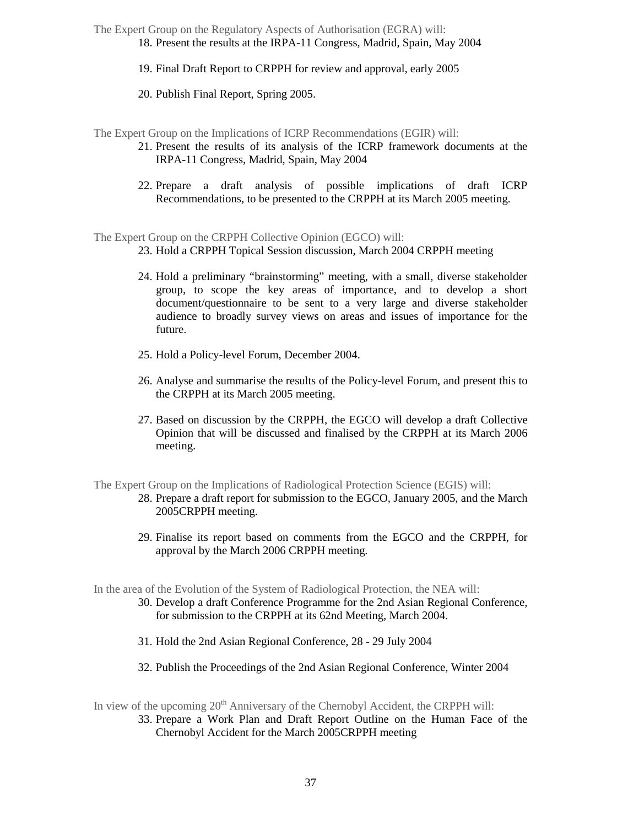The Expert Group on the Regulatory Aspects of Authorisation (EGRA) will: 18. Present the results at the IRPA-11 Congress, Madrid, Spain, May 2004

19. Final Draft Report to CRPPH for review and approval, early 2005

20. Publish Final Report, Spring 2005.

The Expert Group on the Implications of ICRP Recommendations (EGIR) will:

- 21. Present the results of its analysis of the ICRP framework documents at the IRPA-11 Congress, Madrid, Spain, May 2004
- 22. Prepare a draft analysis of possible implications of draft ICRP Recommendations, to be presented to the CRPPH at its March 2005 meeting.

The Expert Group on the CRPPH Collective Opinion (EGCO) will:

23. Hold a CRPPH Topical Session discussion, March 2004 CRPPH meeting

- 24. Hold a preliminary "brainstorming" meeting, with a small, diverse stakeholder group, to scope the key areas of importance, and to develop a short document/questionnaire to be sent to a very large and diverse stakeholder audience to broadly survey views on areas and issues of importance for the future.
- 25. Hold a Policy-level Forum, December 2004.
- 26. Analyse and summarise the results of the Policy-level Forum, and present this to the CRPPH at its March 2005 meeting.
- 27. Based on discussion by the CRPPH, the EGCO will develop a draft Collective Opinion that will be discussed and finalised by the CRPPH at its March 2006 meeting.

The Expert Group on the Implications of Radiological Protection Science (EGIS) will:

- 28. Prepare a draft report for submission to the EGCO, January 2005, and the March 2005CRPPH meeting.
- 29. Finalise its report based on comments from the EGCO and the CRPPH, for approval by the March 2006 CRPPH meeting.

In the area of the Evolution of the System of Radiological Protection, the NEA will:

- 30. Develop a draft Conference Programme for the 2nd Asian Regional Conference, for submission to the CRPPH at its 62nd Meeting, March 2004.
- 31. Hold the 2nd Asian Regional Conference, 28 29 July 2004
- 32. Publish the Proceedings of the 2nd Asian Regional Conference, Winter 2004
- In view of the upcoming  $20<sup>th</sup>$  Anniversary of the Chernobyl Accident, the CRPPH will: 33. Prepare a Work Plan and Draft Report Outline on the Human Face of the Chernobyl Accident for the March 2005CRPPH meeting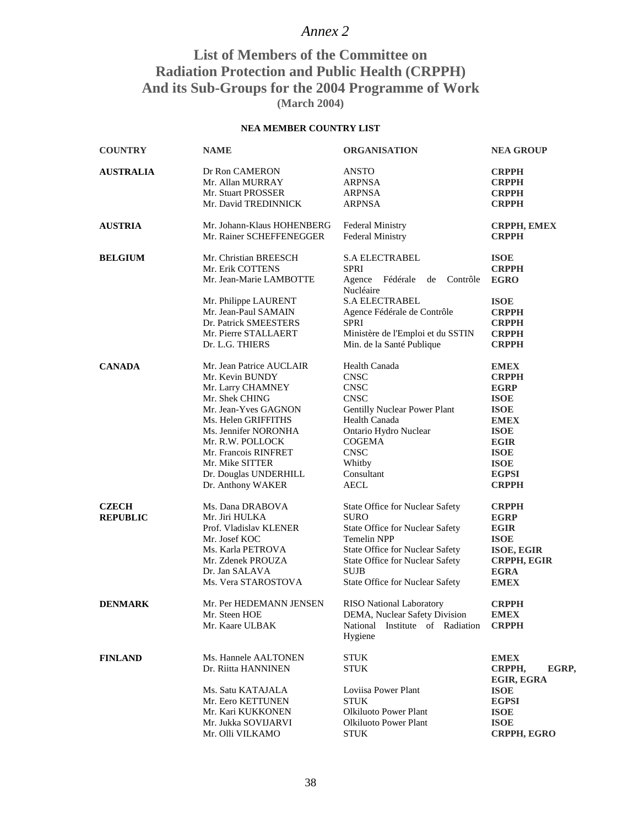# *Annex 2*

# **List of Members of the Committee on Radiation Protection and Public Health (CRPPH) And its Sub-Groups for the 2004 Programme of Work (March 2004)**

### **NEA MEMBER COUNTRY LIST**

| <b>COUNTRY</b>                  | <b>NAME</b>                                                                                                                                                                                                                                                            | <b>ORGANISATION</b>                                                                                                                                                                                                      | <b>NEA GROUP</b>                                                                                                                                                                    |
|---------------------------------|------------------------------------------------------------------------------------------------------------------------------------------------------------------------------------------------------------------------------------------------------------------------|--------------------------------------------------------------------------------------------------------------------------------------------------------------------------------------------------------------------------|-------------------------------------------------------------------------------------------------------------------------------------------------------------------------------------|
| <b>AUSTRALIA</b>                | Dr Ron CAMERON<br>Mr. Allan MURRAY<br>Mr. Stuart PROSSER<br>Mr. David TREDINNICK                                                                                                                                                                                       | <b>ANSTO</b><br><b>ARPNSA</b><br><b>ARPNSA</b><br>ARPNSA                                                                                                                                                                 | <b>CRPPH</b><br><b>CRPPH</b><br><b>CRPPH</b><br><b>CRPPH</b>                                                                                                                        |
| <b>AUSTRIA</b>                  | Mr. Johann-Klaus HOHENBERG<br>Mr. Rainer SCHEFFENEGGER                                                                                                                                                                                                                 | <b>Federal Ministry</b><br><b>Federal Ministry</b>                                                                                                                                                                       | <b>CRPPH, EMEX</b><br><b>CRPPH</b>                                                                                                                                                  |
| <b>BELGIUM</b>                  | Mr. Christian BREESCH<br>Mr. Erik COTTENS<br>Mr. Jean-Marie LAMBOTTE<br>Mr. Philippe LAURENT<br>Mr. Jean-Paul SAMAIN<br>Dr. Patrick SMEESTERS<br>Mr. Pierre STALLAERT<br>Dr. L.G. THIERS                                                                               | <b>S.A ELECTRABEL</b><br>SPRI<br>Agence Fédérale<br>de<br>Contrôle<br>Nucléaire<br><b>S.A ELECTRABEL</b><br>Agence Fédérale de Contrôle<br><b>SPRI</b><br>Ministère de l'Emploi et du SSTIN<br>Min. de la Santé Publique | <b>ISOE</b><br><b>CRPPH</b><br><b>EGRO</b><br><b>ISOE</b><br><b>CRPPH</b><br><b>CRPPH</b><br><b>CRPPH</b><br><b>CRPPH</b>                                                           |
| <b>CANADA</b>                   | Mr. Jean Patrice AUCLAIR<br>Mr. Kevin BUNDY<br>Mr. Larry CHAMNEY<br>Mr. Shek CHING<br>Mr. Jean-Yves GAGNON<br>Ms. Helen GRIFFITHS<br>Ms. Jennifer NORONHA<br>Mr. R.W. POLLOCK<br>Mr. Francois RINFRET<br>Mr. Mike SITTER<br>Dr. Douglas UNDERHILL<br>Dr. Anthony WAKER | Health Canada<br><b>CNSC</b><br><b>CNSC</b><br><b>CNSC</b><br>Gentilly Nuclear Power Plant<br>Health Canada<br>Ontario Hydro Nuclear<br><b>COGEMA</b><br><b>CNSC</b><br>Whitby<br>Consultant<br>AECL                     | <b>EMEX</b><br><b>CRPPH</b><br><b>EGRP</b><br><b>ISOE</b><br><b>ISOE</b><br><b>EMEX</b><br><b>ISOE</b><br><b>EGIR</b><br><b>ISOE</b><br><b>ISOE</b><br><b>EGPSI</b><br><b>CRPPH</b> |
| <b>CZECH</b><br><b>REPUBLIC</b> | Ms. Dana DRABOVA<br>Mr. Jiri HULKA<br>Prof. Vladislav KLENER<br>Mr. Josef KOC<br>Ms. Karla PETROVA<br>Mr. Zdenek PROUZA<br>Dr. Jan SALAVA<br>Ms. Vera STAROSTOVA                                                                                                       | State Office for Nuclear Safety<br><b>SURO</b><br>State Office for Nuclear Safety<br>Temelin NPP<br>State Office for Nuclear Safety<br>State Office for Nuclear Safety<br><b>SUJB</b><br>State Office for Nuclear Safety | <b>CRPPH</b><br><b>EGRP</b><br><b>EGIR</b><br><b>ISOE</b><br><b>ISOE, EGIR</b><br><b>CRPPH, EGIR</b><br><b>EGRA</b><br><b>EMEX</b>                                                  |
| <b>DENMARK</b>                  | Mr. Per HEDEMANN JENSEN<br>Mr. Steen HOE<br>Mr. Kaare ULBAK                                                                                                                                                                                                            | <b>RISO</b> National Laboratory<br>DEMA, Nuclear Safety Division<br>National Institute of Radiation<br>Hygiene                                                                                                           | <b>CRPPH</b><br><b>EMEX</b><br><b>CRPPH</b>                                                                                                                                         |
| <b>FINLAND</b>                  | Ms. Hannele AALTONEN<br>Dr. Riitta HANNINEN<br>Ms. Satu KATAJALA<br>Mr. Eero KETTUNEN<br>Mr. Kari KUKKONEN<br>Mr. Jukka SOVIJARVI<br>Mr. Olli VILKAMO                                                                                                                  | <b>STUK</b><br><b>STUK</b><br>Loviisa Power Plant<br><b>STUK</b><br><b>Olkiluoto Power Plant</b><br><b>Olkiluoto Power Plant</b><br><b>STUK</b>                                                                          | <b>EMEX</b><br>CRPPH,<br>EGRP,<br>EGIR, EGRA<br><b>ISOE</b><br><b>EGPSI</b><br><b>ISOE</b><br><b>ISOE</b><br>CRPPH, EGRO                                                            |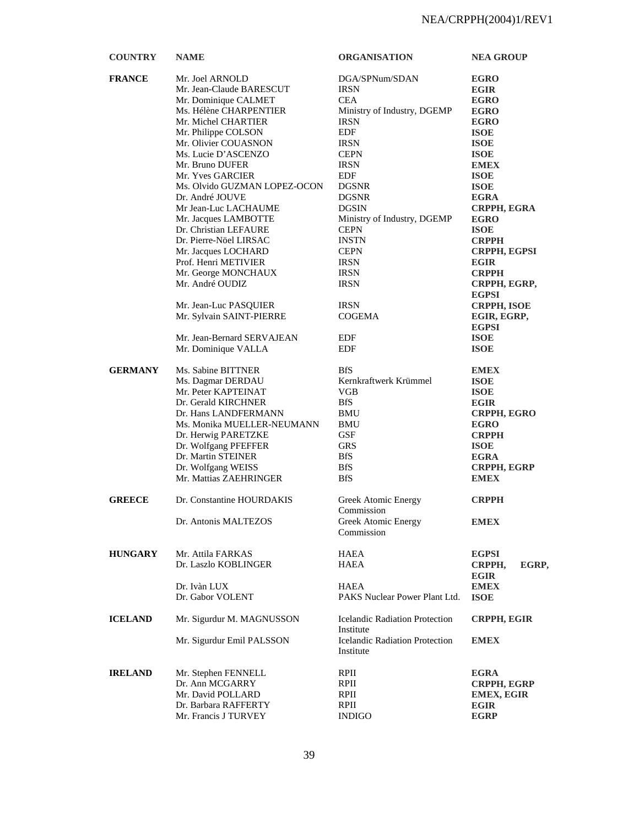| <b>COUNTRY</b> | <b>NAME</b>                                       | <b>ORGANISATION</b>                   | <b>NEA GROUP</b>            |
|----------------|---------------------------------------------------|---------------------------------------|-----------------------------|
| <b>FRANCE</b>  | Mr. Joel ARNOLD                                   | DGA/SPNum/SDAN                        | <b>EGRO</b>                 |
|                | Mr. Jean-Claude BARESCUT                          | <b>IRSN</b>                           | <b>EGIR</b>                 |
|                | Mr. Dominique CALMET                              | CEA                                   | <b>EGRO</b>                 |
|                | Ms. Hélène CHARPENTIER                            | Ministry of Industry, DGEMP           | <b>EGRO</b>                 |
|                | Mr. Michel CHARTIER                               | <b>IRSN</b>                           | <b>EGRO</b>                 |
|                | Mr. Philippe COLSON                               | EDF                                   | <b>ISOE</b>                 |
|                | Mr. Olivier COUASNON                              | <b>IRSN</b>                           | <b>ISOE</b>                 |
|                | Ms. Lucie D'ASCENZO                               | <b>CEPN</b>                           | <b>ISOE</b>                 |
|                | Mr. Bruno DUFER                                   | <b>IRSN</b>                           | <b>EMEX</b>                 |
|                | Mr. Yves GARCIER                                  | EDF                                   | <b>ISOE</b>                 |
|                | Ms. Olvido GUZMAN LOPEZ-OCON                      | <b>DGSNR</b>                          | <b>ISOE</b>                 |
|                | Dr. André JOUVE                                   | <b>DGSNR</b>                          | EGRA                        |
|                | Mr Jean-Luc LACHAUME                              | <b>DGSIN</b>                          | CRPPH, EGRA                 |
|                | Mr. Jacques LAMBOTTE                              | Ministry of Industry, DGEMP           | <b>EGRO</b>                 |
|                | Dr. Christian LEFAURE                             | <b>CEPN</b>                           | <b>ISOE</b>                 |
|                | Dr. Pierre-Nöel LIRSAC                            | <b>INSTN</b>                          | <b>CRPPH</b>                |
|                | Mr. Jacques LOCHARD                               | <b>CEPN</b>                           | CRPPH, EGPSI                |
|                | Prof. Henri METIVIER                              | <b>IRSN</b>                           | <b>EGIR</b>                 |
|                | Mr. George MONCHAUX                               | <b>IRSN</b>                           | <b>CRPPH</b>                |
|                | Mr. André OUDIZ                                   | <b>IRSN</b>                           | CRPPH, EGRP,                |
|                |                                                   |                                       | <b>EGPSI</b>                |
|                |                                                   | <b>IRSN</b>                           |                             |
|                | Mr. Jean-Luc PASQUIER<br>Mr. Sylvain SAINT-PIERRE | COGEMA                                | <b>CRPPH, ISOE</b>          |
|                |                                                   |                                       | EGIR, EGRP,<br><b>EGPSI</b> |
|                |                                                   |                                       |                             |
|                | Mr. Jean-Bernard SERVAJEAN                        | EDF                                   | <b>ISOE</b>                 |
|                | Mr. Dominique VALLA                               | <b>EDF</b>                            | <b>ISOE</b>                 |
| <b>GERMANY</b> | Ms. Sabine BITTNER                                | <b>BfS</b>                            | <b>EMEX</b>                 |
|                | Ms. Dagmar DERDAU                                 | Kernkraftwerk Krümmel                 | <b>ISOE</b>                 |
|                | Mr. Peter KAPTEINAT                               | VGB                                   | <b>ISOE</b>                 |
|                | Dr. Gerald KIRCHNER                               | <b>BfS</b>                            | <b>EGIR</b>                 |
|                | Dr. Hans LANDFERMANN                              | BMU                                   | <b>CRPPH, EGRO</b>          |
|                | Ms. Monika MUELLER-NEUMANN                        | BMU                                   | <b>EGRO</b>                 |
|                | Dr. Herwig PARETZKE                               | <b>GSF</b>                            | <b>CRPPH</b>                |
|                | Dr. Wolfgang PFEFFER                              | <b>GRS</b>                            | <b>ISOE</b>                 |
|                | Dr. Martin STEINER                                | <b>BfS</b>                            | <b>EGRA</b>                 |
|                | Dr. Wolfgang WEISS                                | <b>BfS</b>                            | <b>CRPPH, EGRP</b>          |
|                | Mr. Mattias ZAEHRINGER                            | <b>BfS</b>                            | <b>EMEX</b>                 |
|                |                                                   |                                       |                             |
| <b>GREECE</b>  | Dr. Constantine HOURDAKIS                         | Greek Atomic Energy                   | <b>CRPPH</b>                |
|                |                                                   | Commission                            |                             |
|                | Dr. Antonis MALTEZOS                              | Greek Atomic Energy                   | <b>EMEX</b>                 |
|                |                                                   | Commission                            |                             |
|                |                                                   |                                       |                             |
| <b>HUNGARY</b> | Mr. Attila FARKAS                                 | HAEA                                  | <b>EGPSI</b>                |
|                | Dr. Laszlo KOBLINGER                              | <b>HAEA</b>                           | CRPPH,<br>EGRP,             |
|                |                                                   |                                       | <b>EGIR</b>                 |
|                | Dr. Ivàn LUX                                      | <b>HAEA</b>                           | <b>EMEX</b>                 |
|                | Dr. Gabor VOLENT                                  | PAKS Nuclear Power Plant Ltd.         | <b>ISOE</b>                 |
| <b>ICELAND</b> | Mr. Sigurdur M. MAGNUSSON                         | <b>Icelandic Radiation Protection</b> |                             |
|                |                                                   | Institute                             | <b>CRPPH, EGIR</b>          |
|                | Mr. Sigurdur Emil PALSSON                         | <b>Icelandic Radiation Protection</b> |                             |
|                |                                                   |                                       | <b>EMEX</b>                 |
|                |                                                   | Institute                             |                             |
| <b>IRELAND</b> | Mr. Stephen FENNELL                               | RPII                                  | <b>EGRA</b>                 |
|                | Dr. Ann MCGARRY                                   | RPII                                  | <b>CRPPH, EGRP</b>          |
|                | Mr. David POLLARD                                 | RPII                                  | <b>EMEX, EGIR</b>           |
|                | Dr. Barbara RAFFERTY                              | RPII                                  | <b>EGIR</b>                 |
|                | Mr. Francis J TURVEY                              | <b>INDIGO</b>                         | <b>EGRP</b>                 |
|                |                                                   |                                       |                             |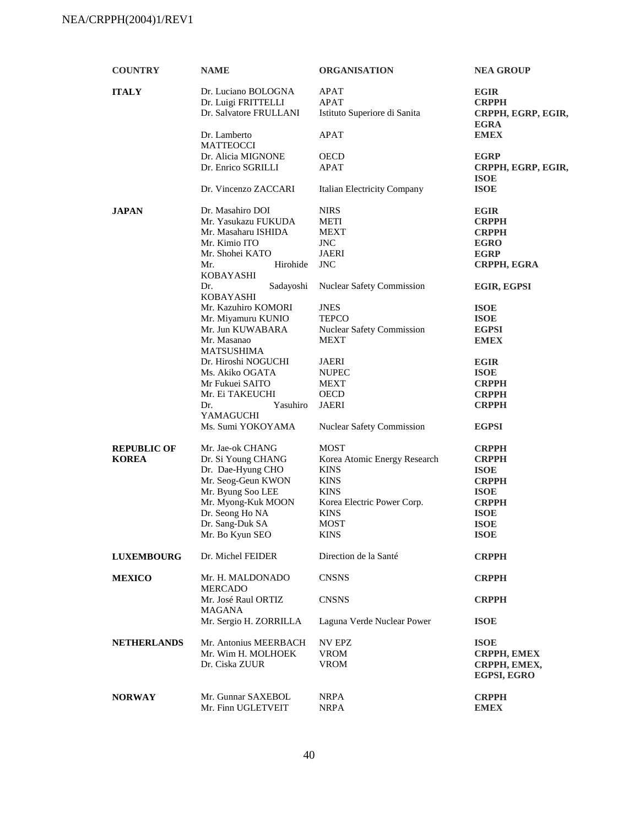| <b>COUNTRY</b>     | <b>NAME</b>                        | <b>ORGANISATION</b>          | <b>NEA GROUP</b>                  |
|--------------------|------------------------------------|------------------------------|-----------------------------------|
| <b>ITALY</b>       | Dr. Luciano BOLOGNA                | <b>APAT</b>                  | <b>EGIR</b>                       |
|                    | Dr. Luigi FRITTELLI                | <b>APAT</b>                  | <b>CRPPH</b>                      |
|                    | Dr. Salvatore FRULLANI             | Istituto Superiore di Sanita | CRPPH, EGRP, EGIR,<br><b>EGRA</b> |
|                    | Dr. Lamberto                       | APAT                         | <b>EMEX</b>                       |
|                    | <b>MATTEOCCI</b>                   |                              |                                   |
|                    | Dr. Alicia MIGNONE                 | <b>OECD</b>                  | <b>EGRP</b>                       |
|                    | Dr. Enrico SGRILLI                 | <b>APAT</b>                  | CRPPH, EGRP, EGIR,<br><b>ISOE</b> |
|                    | Dr. Vincenzo ZACCARI               | Italian Electricity Company  | <b>ISOE</b>                       |
| <b>JAPAN</b>       | Dr. Masahiro DOI                   | <b>NIRS</b>                  | <b>EGIR</b>                       |
|                    | Mr. Yasukazu FUKUDA                | METI                         | <b>CRPPH</b>                      |
|                    | Mr. Masaharu ISHIDA                | MEXT                         | <b>CRPPH</b>                      |
|                    | Mr. Kimio ITO                      | JNC                          | <b>EGRO</b>                       |
|                    | Mr. Shohei KATO                    | JAERI                        | <b>EGRP</b>                       |
|                    | Hirohide<br>Mr.                    | JNC                          | <b>CRPPH, EGRA</b>                |
|                    | <b>KOBAYASHI</b>                   |                              |                                   |
|                    | Sadayoshi<br>Dr.                   | Nuclear Safety Commission    | <b>EGIR, EGPSI</b>                |
|                    | <b>KOBAYASHI</b>                   |                              |                                   |
|                    | Mr. Kazuhiro KOMORI                | <b>JNES</b>                  | <b>ISOE</b>                       |
|                    | Mr. Miyamuru KUNIO                 | <b>TEPCO</b>                 | <b>ISOE</b>                       |
|                    | Mr. Jun KUWABARA                   | Nuclear Safety Commission    | <b>EGPSI</b>                      |
|                    | Mr. Masanao                        | <b>MEXT</b>                  |                                   |
|                    | <b>MATSUSHIMA</b>                  |                              | <b>EMEX</b>                       |
|                    | Dr. Hiroshi NOGUCHI                | <b>JAERI</b>                 | <b>EGIR</b>                       |
|                    | Ms. Akiko OGATA                    | <b>NUPEC</b>                 | <b>ISOE</b>                       |
|                    | Mr Fukuei SAITO                    | MEXT                         | <b>CRPPH</b>                      |
|                    | Mr. Ei TAKEUCHI                    | <b>OECD</b>                  | <b>CRPPH</b>                      |
|                    | Yasuhiro<br>Dr.                    | <b>JAERI</b>                 | <b>CRPPH</b>                      |
|                    | YAMAGUCHI                          |                              |                                   |
|                    | Ms. Sumi YOKOYAMA                  | Nuclear Safety Commission    | <b>EGPSI</b>                      |
| <b>REPUBLIC OF</b> | Mr. Jae-ok CHANG                   | MOST                         | <b>CRPPH</b>                      |
| <b>KOREA</b>       | Dr. Si Young CHANG                 | Korea Atomic Energy Research | <b>CRPPH</b>                      |
|                    | Dr. Dae-Hyung CHO                  | KINS                         | <b>ISOE</b>                       |
|                    | Mr. Seog-Geun KWON                 | <b>KINS</b>                  | <b>CRPPH</b>                      |
|                    | Mr. Byung Soo LEE                  | KINS                         | <b>ISOE</b>                       |
|                    | Mr. Myong-Kuk MOON                 | Korea Electric Power Corp.   | <b>CRPPH</b>                      |
|                    | Dr. Seong Ho NA                    | <b>KINS</b>                  | <b>ISOE</b>                       |
|                    | Dr. Sang-Duk SA                    | <b>MOST</b>                  | <b>ISOE</b>                       |
|                    | Mr. Bo Kyun SEO                    | <b>KINS</b>                  | <b>ISOE</b>                       |
|                    |                                    |                              |                                   |
| <b>LUXEMBOURG</b>  | Dr. Michel FEIDER                  | Direction de la Santé        | <b>CRPPH</b>                      |
| <b>MEXICO</b>      | Mr. H. MALDONADO<br><b>MERCADO</b> | <b>CNSNS</b>                 | <b>CRPPH</b>                      |
|                    | Mr. José Raul ORTIZ                | <b>CNSNS</b>                 | <b>CRPPH</b>                      |
|                    | <b>MAGANA</b>                      |                              |                                   |
|                    | Mr. Sergio H. ZORRILLA             | Laguna Verde Nuclear Power   | <b>ISOE</b>                       |
| <b>NETHERLANDS</b> | Mr. Antonius MEERBACH              | NV EPZ                       | <b>ISOE</b>                       |
|                    | Mr. Wim H. MOLHOEK                 | <b>VROM</b>                  | <b>CRPPH, EMEX</b>                |
|                    | Dr. Ciska ZUUR                     | <b>VROM</b>                  | CRPPH, EMEX,                      |
|                    |                                    |                              | EGPSI, EGRO                       |
|                    |                                    |                              |                                   |
| <b>NORWAY</b>      | Mr. Gunnar SAXEBOL                 | NRPA                         | <b>CRPPH</b>                      |
|                    | Mr. Finn UGLETVEIT                 | <b>NRPA</b>                  | <b>EMEX</b>                       |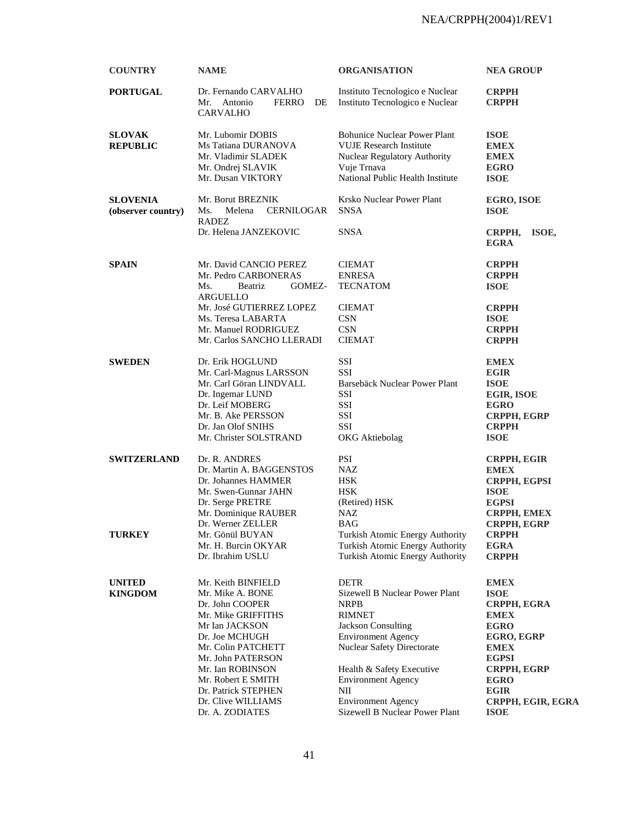| <b>COUNTRY</b>                   | <b>NAME</b>                                                                                                                                                                                                                                                              | <b>ORGANISATION</b>                                                                                                                                                                                                                                                                                          | <b>NEA GROUP</b>                                                                                                                                                                                             |
|----------------------------------|--------------------------------------------------------------------------------------------------------------------------------------------------------------------------------------------------------------------------------------------------------------------------|--------------------------------------------------------------------------------------------------------------------------------------------------------------------------------------------------------------------------------------------------------------------------------------------------------------|--------------------------------------------------------------------------------------------------------------------------------------------------------------------------------------------------------------|
| <b>PORTUGAL</b>                  | Dr. Fernando CARVALHO<br>Mr.<br>Antonio<br><b>FERRO</b><br>DE<br><b>CARVALHO</b>                                                                                                                                                                                         | Instituto Tecnologico e Nuclear<br>Instituto Tecnologico e Nuclear                                                                                                                                                                                                                                           | <b>CRPPH</b><br><b>CRPPH</b>                                                                                                                                                                                 |
| <b>SLOVAK</b><br><b>REPUBLIC</b> | Mr. Lubomir DOBIS<br>Ms Tatiana DURANOVA<br>Mr. Vladimir SLADEK<br>Mr. Ondrej SLAVIK<br>Mr. Dusan VIKTORY                                                                                                                                                                | <b>Bohunice Nuclear Power Plant</b><br><b>VUJE Research Institute</b><br>Nuclear Regulatory Authority<br>Vuje Trnava<br>National Public Health Institute                                                                                                                                                     | <b>ISOE</b><br><b>EMEX</b><br><b>EMEX</b><br><b>EGRO</b><br><b>ISOE</b>                                                                                                                                      |
| SLOVENIA<br>(observer country)   | Mr. Borut BREZNIK<br>Ms.<br>Melena<br><b>CERNILOGAR</b><br><b>RADEZ</b><br>Dr. Helena JANZEKOVIC                                                                                                                                                                         | Krsko Nuclear Power Plant<br>SNSA<br><b>SNSA</b>                                                                                                                                                                                                                                                             | <b>EGRO, ISOE</b><br><b>ISOE</b><br>ISOE,<br>CRPPH,                                                                                                                                                          |
|                                  |                                                                                                                                                                                                                                                                          |                                                                                                                                                                                                                                                                                                              | <b>EGRA</b>                                                                                                                                                                                                  |
| <b>SPAIN</b>                     | Mr. David CANCIO PEREZ<br>Mr. Pedro CARBONERAS<br>Ms.<br>Beatriz<br>GOMEZ-<br><b>ARGUELLO</b><br>Mr. José GUTIERREZ LOPEZ<br>Ms. Teresa LABARTA<br>Mr. Manuel RODRIGUEZ<br>Mr. Carlos SANCHO LLERADI                                                                     | <b>CIEMAT</b><br><b>ENRESA</b><br>TECNATOM<br><b>CIEMAT</b><br><b>CSN</b><br><b>CSN</b><br><b>CIEMAT</b>                                                                                                                                                                                                     | <b>CRPPH</b><br><b>CRPPH</b><br><b>ISOE</b><br><b>CRPPH</b><br><b>ISOE</b><br><b>CRPPH</b><br><b>CRPPH</b>                                                                                                   |
| <b>SWEDEN</b>                    | Dr. Erik HOGLUND<br>Mr. Carl-Magnus LARSSON<br>Mr. Carl Göran LINDVALL<br>Dr. Ingemar LUND<br>Dr. Leif MOBERG<br>Mr. B. Ake PERSSON<br>Dr. Jan Olof SNIHS<br>Mr. Christer SOLSTRAND                                                                                      | SSI<br><b>SSI</b><br>Barsebäck Nuclear Power Plant<br><b>SSI</b><br><b>SSI</b><br><b>SSI</b><br>SSI<br>OKG Aktiebolag                                                                                                                                                                                        | <b>EMEX</b><br><b>EGIR</b><br><b>ISOE</b><br><b>EGIR, ISOE</b><br><b>EGRO</b><br><b>CRPPH, EGRP</b><br><b>CRPPH</b><br><b>ISOE</b>                                                                           |
| <b>SWITZERLAND</b>               | Dr. R. ANDRES<br>Dr. Martin A. BAGGENSTOS<br>Dr. Johannes HAMMER<br>Mr. Swen-Gunnar JAHN<br>Dr. Serge PRETRE<br>Mr. Dominique RAUBER<br>Dr. Werner ZELLER                                                                                                                | <b>PSI</b><br><b>NAZ</b><br><b>HSK</b><br><b>HSK</b><br>(Retired) HSK<br>NAZ<br>BAG                                                                                                                                                                                                                          | <b>CRPPH, EGIR</b><br><b>EMEX</b><br>CRPPH, EGPSI<br><b>ISOE</b><br><b>EGPSI</b><br><b>CRPPH, EMEX</b><br>CRPPH, EGRP                                                                                        |
| <b>TURKEY</b>                    | Mr. Gönül BUYAN<br>Mr. H. Burcin OKYAR<br>Dr. Ibrahim USLU                                                                                                                                                                                                               | Turkish Atomic Energy Authority<br>Turkish Atomic Energy Authority<br>Turkish Atomic Energy Authority                                                                                                                                                                                                        | <b>CRPPH</b><br><b>EGRA</b><br><b>CRPPH</b>                                                                                                                                                                  |
| <b>UNITED</b><br><b>KINGDOM</b>  | Mr. Keith BINFIELD<br>Mr. Mike A. BONE<br>Dr. John COOPER<br>Mr. Mike GRIFFITHS<br>Mr Ian JACKSON<br>Dr. Joe MCHUGH<br>Mr. Colin PATCHETT<br>Mr. John PATERSON<br>Mr. Ian ROBINSON<br>Mr. Robert E SMITH<br>Dr. Patrick STEPHEN<br>Dr. Clive WILLIAMS<br>Dr. A. ZODIATES | <b>DETR</b><br>Sizewell B Nuclear Power Plant<br><b>NRPB</b><br><b>RIMNET</b><br><b>Jackson Consulting</b><br><b>Environment Agency</b><br><b>Nuclear Safety Directorate</b><br>Health & Safety Executive<br><b>Environment Agency</b><br>NII<br><b>Environment Agency</b><br>Sizewell B Nuclear Power Plant | <b>EMEX</b><br><b>ISOE</b><br>CRPPH, EGRA<br><b>EMEX</b><br><b>EGRO</b><br><b>EGRO, EGRP</b><br><b>EMEX</b><br><b>EGPSI</b><br>CRPPH, EGRP<br><b>EGRO</b><br><b>EGIR</b><br>CRPPH, EGIR, EGRA<br><b>ISOE</b> |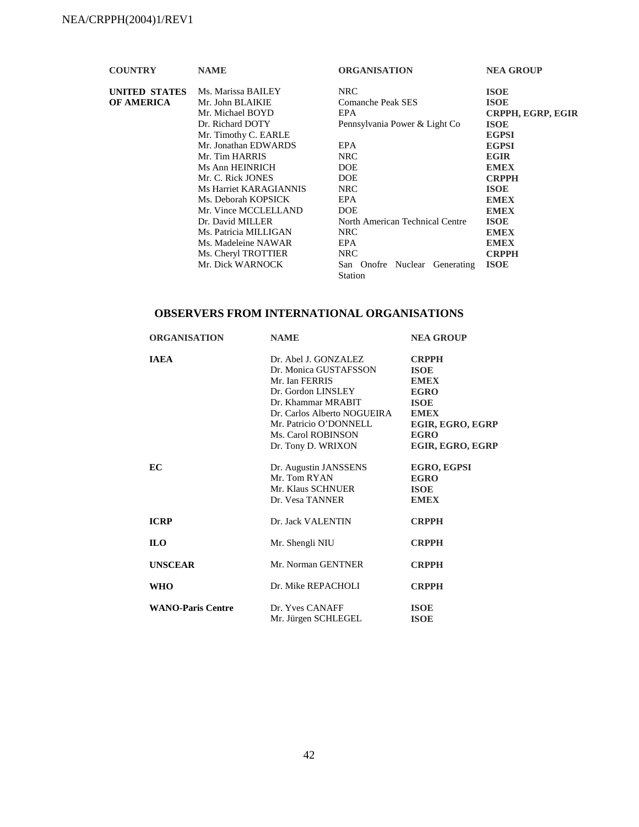| <b>COUNTRY</b> | <b>NAME</b>            | <b>ORGANISATION</b>             | <b>NEA GROUP</b>  |
|----------------|------------------------|---------------------------------|-------------------|
| UNITED STATES  | Ms. Marissa BAILEY     | NRC                             | <b>ISOE</b>       |
| OF AMERICA     | Mr. John BLAIKIE       | Comanche Peak SES               | <b>ISOE</b>       |
|                | Mr. Michael BOYD       | EPA                             | CRPPH, EGRP, EGIR |
|                | Dr. Richard DOTY       | Pennsylvania Power & Light Co   | <b>ISOE</b>       |
|                | Mr. Timothy C. EARLE   |                                 | <b>EGPSI</b>      |
|                | Mr. Jonathan EDWARDS   | EPA                             | <b>EGPSI</b>      |
|                | Mr. Tim HARRIS         | NRC                             | <b>EGIR</b>       |
|                | Ms Ann HEINRICH        | <b>DOE</b>                      | <b>EMEX</b>       |
|                | Mr. C. Rick JONES      | DOE.                            | <b>CRPPH</b>      |
|                | Ms Harriet KARAGIANNIS | <b>NRC</b>                      | <b>ISOE</b>       |
|                | Ms. Deborah KOPSICK    | EPA                             | <b>EMEX</b>       |
|                | Mr. Vince MCCLELLAND   | <b>DOE</b>                      | <b>EMEX</b>       |
|                | Dr. David MILLER       | North American Technical Centre | <b>ISOE</b>       |
|                | Ms. Patricia MILLIGAN  | <b>NRC</b>                      | <b>EMEX</b>       |
|                | Ms. Madeleine NAWAR    | EPA                             | <b>EMEX</b>       |
|                | Ms. Cheryl TROTTIER    | NRC                             | <b>CRPPH</b>      |
|                | Mr. Dick WARNOCK       | San Onofre Nuclear Generating   | <b>ISOE</b>       |
|                |                        | Station                         |                   |
|                |                        |                                 |                   |

#### **OBSERVERS FROM INTERNATIONAL ORGANISATIONS**

| <b>ORGANISATION</b>      | <b>NAME</b>                                                                                                                                                                                                      | <b>NEA GROUP</b>                                                                                                                               |
|--------------------------|------------------------------------------------------------------------------------------------------------------------------------------------------------------------------------------------------------------|------------------------------------------------------------------------------------------------------------------------------------------------|
| <b>IAEA</b>              | Dr. Abel J. GONZALEZ<br>Dr. Monica GUSTAFSSON<br>Mr. Ian FERRIS<br>Dr. Gordon LINSLEY<br>Dr. Khammar MRABIT<br>Dr. Carlos Alberto NOGUEIRA<br>Mr. Patricio O'DONNELL<br>Ms. Carol ROBINSON<br>Dr. Tony D. WRIXON | <b>CRPPH</b><br><b>ISOE</b><br><b>EMEX</b><br><b>EGRO</b><br><b>ISOE</b><br><b>EMEX</b><br>EGIR, EGRO, EGRP<br><b>EGRO</b><br>EGIR, EGRO, EGRP |
| EC                       | Dr. Augustin JANSSENS<br>Mr. Tom RYAN<br>Mr. Klaus SCHNUER<br>Dr. Vesa TANNER                                                                                                                                    | <b>EGRO, EGPSI</b><br><b>EGRO</b><br><b>ISOE</b><br><b>EMEX</b>                                                                                |
| <b>ICRP</b>              | Dr. Jack VALENTIN                                                                                                                                                                                                | <b>CRPPH</b>                                                                                                                                   |
| <b>ILO</b>               | Mr. Shengli NIU                                                                                                                                                                                                  | <b>CRPPH</b>                                                                                                                                   |
| <b>UNSCEAR</b>           | Mr. Norman GENTNER                                                                                                                                                                                               | <b>CRPPH</b>                                                                                                                                   |
| WHO                      | Dr. Mike REPACHOLI                                                                                                                                                                                               | <b>CRPPH</b>                                                                                                                                   |
| <b>WANO-Paris Centre</b> | Dr. Yves CANAFF<br>Mr. Jürgen SCHLEGEL                                                                                                                                                                           | <b>ISOE</b><br><b>ISOE</b>                                                                                                                     |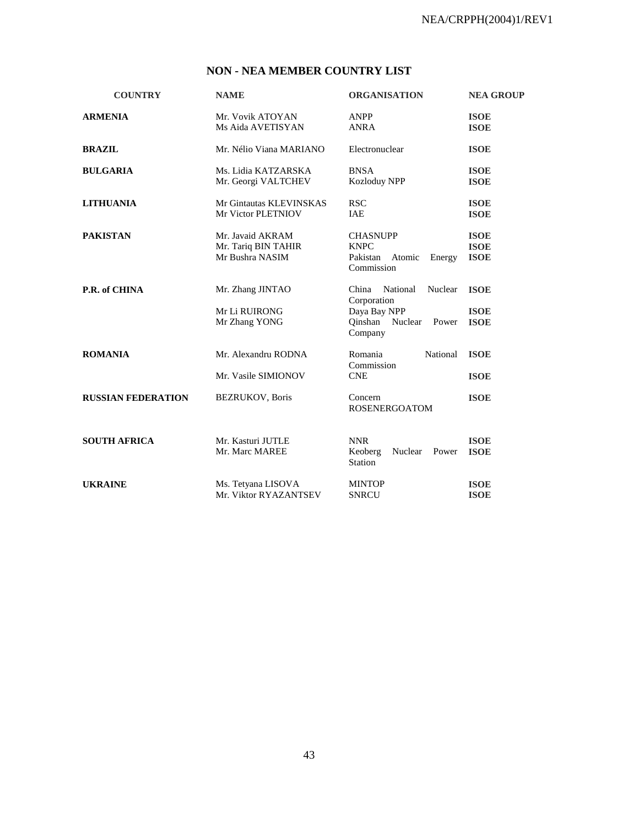# **NON - NEA MEMBER COUNTRY LIST**

| <b>COUNTRY</b>            | <b>NAME</b>                                                | <b>ORGANISATION</b>                                                                                   | <b>NEA GROUP</b>                          |
|---------------------------|------------------------------------------------------------|-------------------------------------------------------------------------------------------------------|-------------------------------------------|
| <b>ARMENIA</b>            | Mr. Vovik ATOYAN<br>Ms Aida AVETISYAN                      | <b>ANPP</b><br><b>ANRA</b>                                                                            | <b>ISOE</b><br><b>ISOE</b>                |
| <b>BRAZIL</b>             | Mr. Nélio Viana MARIANO                                    | Electronuclear                                                                                        | <b>ISOE</b>                               |
| <b>BULGARIA</b>           | Ms. Lidia KATZARSKA<br>Mr. Georgi VALTCHEV                 | <b>BNSA</b><br><b>Kozloduy NPP</b>                                                                    | <b>ISOE</b><br><b>ISOE</b>                |
| <b>LITHUANIA</b>          | Mr Gintautas KLEVINSKAS<br>Mr Victor PLETNIOV              | <b>RSC</b><br>IAE                                                                                     | <b>ISOE</b><br><b>ISOE</b>                |
| <b>PAKISTAN</b>           | Mr. Javaid AKRAM<br>Mr. Tariq BIN TAHIR<br>Mr Bushra NASIM | <b>CHASNUPP</b><br><b>KNPC</b><br>Pakistan Atomic<br>Energy<br>Commission                             | <b>ISOE</b><br><b>ISOE</b><br><b>ISOE</b> |
| P.R. of CHINA             | Mr. Zhang JINTAO<br>Mr Li RUIRONG<br>Mr Zhang YONG         | China<br>National<br>Nuclear<br>Corporation<br>Daya Bay NPP<br>Qinshan<br>Nuclear<br>Power<br>Company | <b>ISOE</b><br><b>ISOE</b><br><b>ISOE</b> |
| <b>ROMANIA</b>            | Mr. Alexandru RODNA                                        | Romania<br>National<br>Commission                                                                     | <b>ISOE</b>                               |
|                           | Mr. Vasile SIMIONOV                                        | <b>CNE</b>                                                                                            | <b>ISOE</b>                               |
| <b>RUSSIAN FEDERATION</b> | <b>BEZRUKOV</b> , Boris                                    | Concern<br><b>ROSENERGOATOM</b>                                                                       | <b>ISOE</b>                               |
| <b>SOUTH AFRICA</b>       | Mr. Kasturi JUTLE<br>Mr. Marc MAREE                        | <b>NNR</b><br>Keoberg<br>Nuclear<br>Power<br><b>Station</b>                                           | <b>ISOE</b><br><b>ISOE</b>                |
| <b>UKRAINE</b>            | Ms. Tetyana LISOVA<br>Mr. Viktor RYAZANTSEV                | <b>MINTOP</b><br><b>SNRCU</b>                                                                         | <b>ISOE</b><br><b>ISOE</b>                |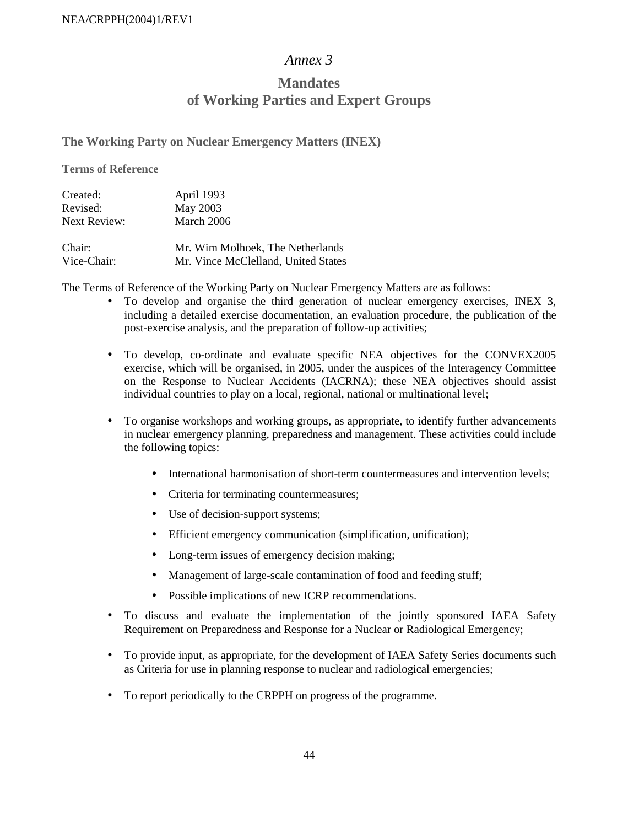# *Annex 3*

# **Mandates of Working Parties and Expert Groups**

**The Working Party on Nuclear Emergency Matters (INEX)** 

**Terms of Reference** 

| Created:     | April 1993                          |
|--------------|-------------------------------------|
| Revised:     | May 2003                            |
| Next Review: | March 2006                          |
| Chair:       | Mr. Wim Molhoek, The Netherlands    |
| Vice-Chair:  | Mr. Vince McClelland. United States |

The Terms of Reference of the Working Party on Nuclear Emergency Matters are as follows:

- To develop and organise the third generation of nuclear emergency exercises, INEX 3, including a detailed exercise documentation, an evaluation procedure, the publication of the post-exercise analysis, and the preparation of follow-up activities;
- To develop, co-ordinate and evaluate specific NEA objectives for the CONVEX2005 exercise, which will be organised, in 2005, under the auspices of the Interagency Committee on the Response to Nuclear Accidents (IACRNA); these NEA objectives should assist individual countries to play on a local, regional, national or multinational level;
- To organise workshops and working groups, as appropriate, to identify further advancements in nuclear emergency planning, preparedness and management. These activities could include the following topics:
	- International harmonisation of short-term countermeasures and intervention levels;
	- Criteria for terminating countermeasures;
	- Use of decision-support systems;
	- Efficient emergency communication (simplification, unification);
	- Long-term issues of emergency decision making;
	- Management of large-scale contamination of food and feeding stuff;
	- Possible implications of new ICRP recommendations.
- To discuss and evaluate the implementation of the jointly sponsored IAEA Safety Requirement on Preparedness and Response for a Nuclear or Radiological Emergency;
- To provide input, as appropriate, for the development of IAEA Safety Series documents such as Criteria for use in planning response to nuclear and radiological emergencies;
- To report periodically to the CRPPH on progress of the programme.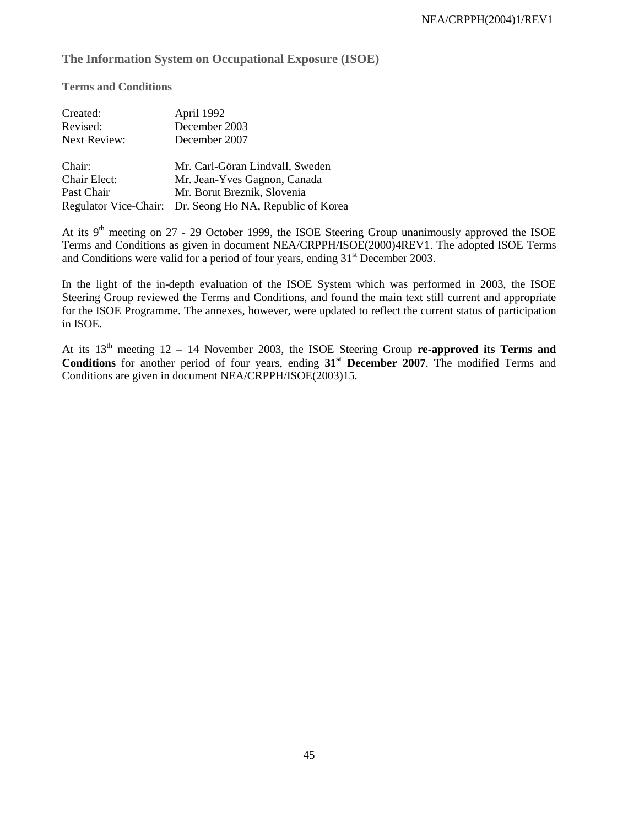### **The Information System on Occupational Exposure (ISOE)**

**Terms and Conditions** 

| Created:     | April 1992                                               |
|--------------|----------------------------------------------------------|
| Revised:     | December 2003                                            |
| Next Review: | December 2007                                            |
| Chair:       | Mr. Carl-Göran Lindvall, Sweden                          |
| Chair Elect: | Mr. Jean-Yves Gagnon, Canada                             |
| Past Chair   | Mr. Borut Breznik, Slovenia                              |
|              | Regulator Vice-Chair: Dr. Seong Ho NA, Republic of Korea |

At its 9<sup>th</sup> meeting on 27 - 29 October 1999, the ISOE Steering Group unanimously approved the ISOE Terms and Conditions as given in document NEA/CRPPH/ISOE(2000)4REV1. The adopted ISOE Terms and Conditions were valid for a period of four years, ending  $31<sup>st</sup>$  December 2003.

In the light of the in-depth evaluation of the ISOE System which was performed in 2003, the ISOE Steering Group reviewed the Terms and Conditions, and found the main text still current and appropriate for the ISOE Programme. The annexes, however, were updated to reflect the current status of participation in ISOE.

At its  $13<sup>th</sup>$  meeting  $12 - 14$  November 2003, the ISOE Steering Group **re-approved its Terms and Conditions** for another period of four years, ending **31st December 2007**. The modified Terms and Conditions are given in document NEA/CRPPH/ISOE(2003)15.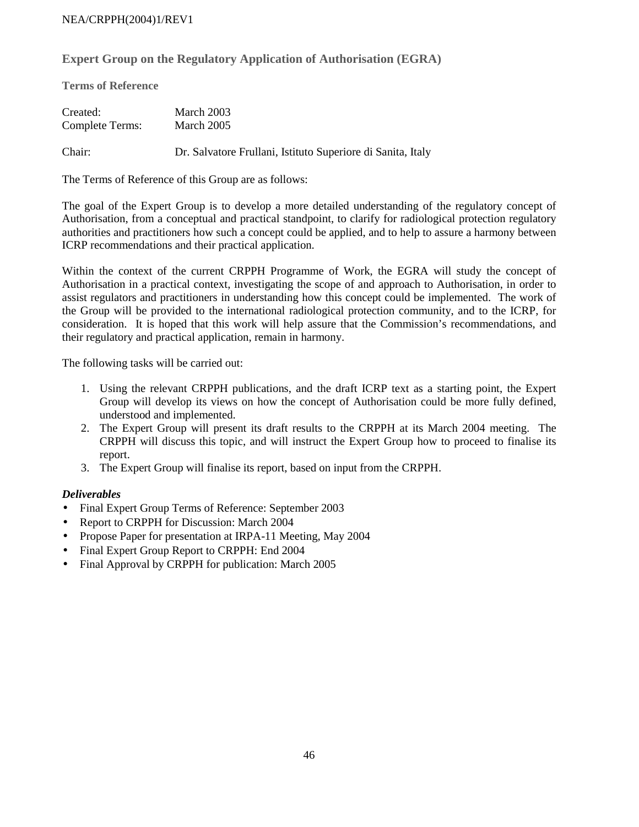#### NEA/CRPPH(2004)1/REV1

### **Expert Group on the Regulatory Application of Authorisation (EGRA)**

**Terms of Reference** 

| Created:        | March 2003                                                  |
|-----------------|-------------------------------------------------------------|
| Complete Terms: | March 2005                                                  |
| Chair:          | Dr. Salvatore Frullani, Istituto Superiore di Sanita, Italy |

The Terms of Reference of this Group are as follows:

The goal of the Expert Group is to develop a more detailed understanding of the regulatory concept of Authorisation, from a conceptual and practical standpoint, to clarify for radiological protection regulatory authorities and practitioners how such a concept could be applied, and to help to assure a harmony between ICRP recommendations and their practical application.

Within the context of the current CRPPH Programme of Work, the EGRA will study the concept of Authorisation in a practical context, investigating the scope of and approach to Authorisation, in order to assist regulators and practitioners in understanding how this concept could be implemented. The work of the Group will be provided to the international radiological protection community, and to the ICRP, for consideration. It is hoped that this work will help assure that the Commission's recommendations, and their regulatory and practical application, remain in harmony.

The following tasks will be carried out:

- 1. Using the relevant CRPPH publications, and the draft ICRP text as a starting point, the Expert Group will develop its views on how the concept of Authorisation could be more fully defined, understood and implemented.
- 2. The Expert Group will present its draft results to the CRPPH at its March 2004 meeting. The CRPPH will discuss this topic, and will instruct the Expert Group how to proceed to finalise its report.
- 3. The Expert Group will finalise its report, based on input from the CRPPH.

- Final Expert Group Terms of Reference: September 2003
- Report to CRPPH for Discussion: March 2004
- Propose Paper for presentation at IRPA-11 Meeting, May 2004
- Final Expert Group Report to CRPPH: End 2004
- Final Approval by CRPPH for publication: March 2005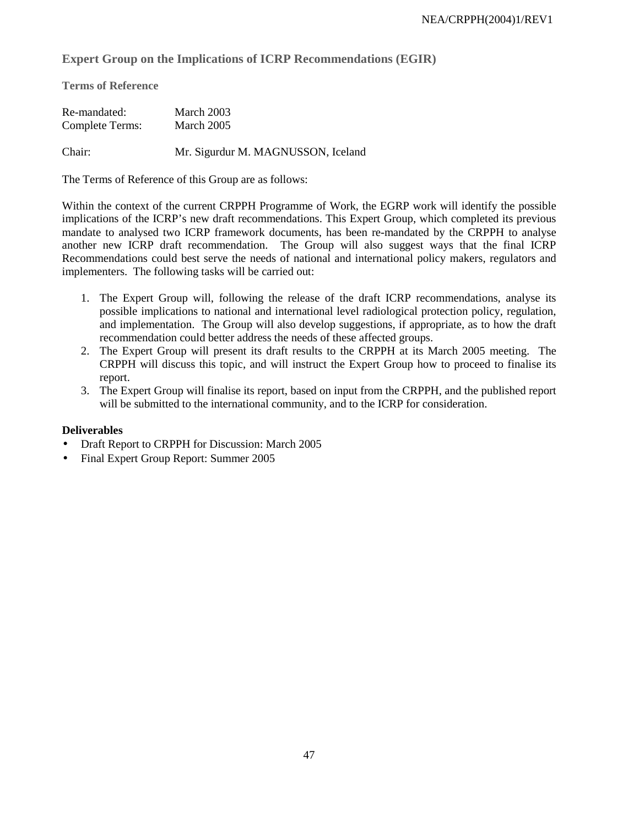**Expert Group on the Implications of ICRP Recommendations (EGIR)**

**Terms of Reference** 

| Re-mandated:    | March 2003                         |  |
|-----------------|------------------------------------|--|
| Complete Terms: | March 2005                         |  |
| Chair:          | Mr. Sigurdur M. MAGNUSSON, Iceland |  |

The Terms of Reference of this Group are as follows:

Within the context of the current CRPPH Programme of Work, the EGRP work will identify the possible implications of the ICRP's new draft recommendations. This Expert Group, which completed its previous mandate to analysed two ICRP framework documents, has been re-mandated by the CRPPH to analyse another new ICRP draft recommendation. The Group will also suggest ways that the final ICRP Recommendations could best serve the needs of national and international policy makers, regulators and implementers. The following tasks will be carried out:

- 1. The Expert Group will, following the release of the draft ICRP recommendations, analyse its possible implications to national and international level radiological protection policy, regulation, and implementation. The Group will also develop suggestions, if appropriate, as to how the draft recommendation could better address the needs of these affected groups.
- 2. The Expert Group will present its draft results to the CRPPH at its March 2005 meeting. The CRPPH will discuss this topic, and will instruct the Expert Group how to proceed to finalise its report.
- 3. The Expert Group will finalise its report, based on input from the CRPPH, and the published report will be submitted to the international community, and to the ICRP for consideration.

- Draft Report to CRPPH for Discussion: March 2005
- Final Expert Group Report: Summer 2005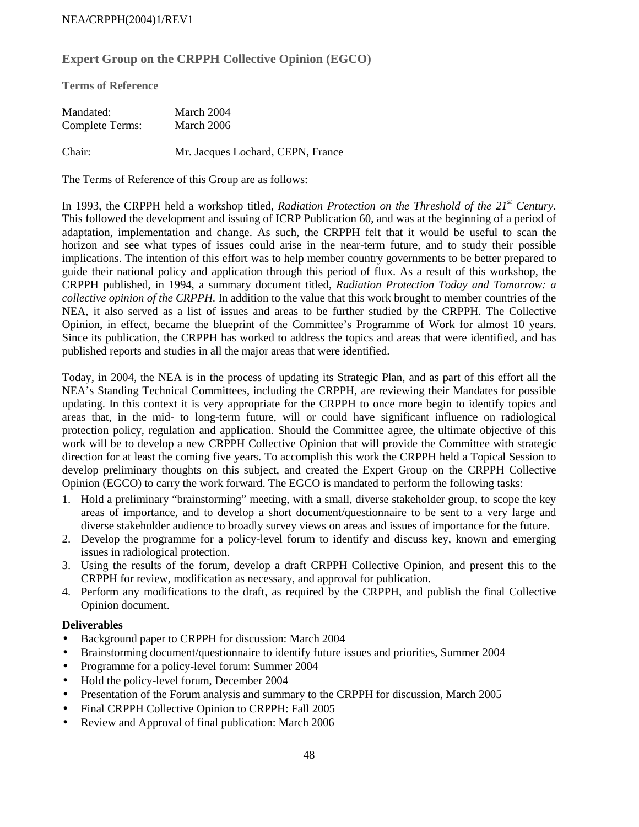#### NEA/CRPPH(2004)1/REV1

### **Expert Group on the CRPPH Collective Opinion (EGCO)**

**Terms of Reference** 

| Mandated:       | March 2004                        |
|-----------------|-----------------------------------|
| Complete Terms: | March 2006                        |
| Chair:          | Mr. Jacques Lochard, CEPN, France |

The Terms of Reference of this Group are as follows:

In 1993, the CRPPH held a workshop titled, *Radiation Protection on the Threshold of the 21st Century*. This followed the development and issuing of ICRP Publication 60, and was at the beginning of a period of adaptation, implementation and change. As such, the CRPPH felt that it would be useful to scan the horizon and see what types of issues could arise in the near-term future, and to study their possible implications. The intention of this effort was to help member country governments to be better prepared to guide their national policy and application through this period of flux. As a result of this workshop, the CRPPH published, in 1994, a summary document titled, *Radiation Protection Today and Tomorrow: a collective opinion of the CRPPH*. In addition to the value that this work brought to member countries of the NEA, it also served as a list of issues and areas to be further studied by the CRPPH. The Collective Opinion, in effect, became the blueprint of the Committee's Programme of Work for almost 10 years. Since its publication, the CRPPH has worked to address the topics and areas that were identified, and has published reports and studies in all the major areas that were identified.

Today, in 2004, the NEA is in the process of updating its Strategic Plan, and as part of this effort all the NEA's Standing Technical Committees, including the CRPPH, are reviewing their Mandates for possible updating. In this context it is very appropriate for the CRPPH to once more begin to identify topics and areas that, in the mid- to long-term future, will or could have significant influence on radiological protection policy, regulation and application. Should the Committee agree, the ultimate objective of this work will be to develop a new CRPPH Collective Opinion that will provide the Committee with strategic direction for at least the coming five years. To accomplish this work the CRPPH held a Topical Session to develop preliminary thoughts on this subject, and created the Expert Group on the CRPPH Collective Opinion (EGCO) to carry the work forward. The EGCO is mandated to perform the following tasks:

- 1. Hold a preliminary "brainstorming" meeting, with a small, diverse stakeholder group, to scope the key areas of importance, and to develop a short document/questionnaire to be sent to a very large and diverse stakeholder audience to broadly survey views on areas and issues of importance for the future.
- 2. Develop the programme for a policy-level forum to identify and discuss key, known and emerging issues in radiological protection.
- 3. Using the results of the forum, develop a draft CRPPH Collective Opinion, and present this to the CRPPH for review, modification as necessary, and approval for publication.
- 4. Perform any modifications to the draft, as required by the CRPPH, and publish the final Collective Opinion document.

- Background paper to CRPPH for discussion: March 2004
- Brainstorming document/questionnaire to identify future issues and priorities, Summer 2004
- Programme for a policy-level forum: Summer 2004
- Hold the policy-level forum, December 2004
- Presentation of the Forum analysis and summary to the CRPPH for discussion, March 2005
- Final CRPPH Collective Opinion to CRPPH: Fall 2005
- Review and Approval of final publication: March 2006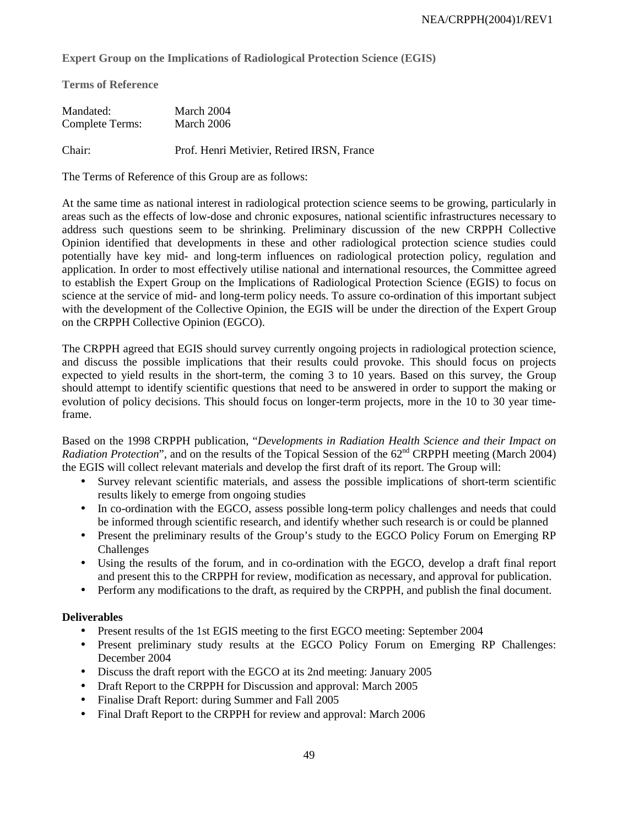**Expert Group on the Implications of Radiological Protection Science (EGIS)** 

**Terms of Reference** 

| Mandated:       | March 2004                                 |
|-----------------|--------------------------------------------|
| Complete Terms: | March 2006                                 |
|                 |                                            |
| Chair:          | Prof. Henri Metivier, Retired IRSN, France |

The Terms of Reference of this Group are as follows:

At the same time as national interest in radiological protection science seems to be growing, particularly in areas such as the effects of low-dose and chronic exposures, national scientific infrastructures necessary to address such questions seem to be shrinking. Preliminary discussion of the new CRPPH Collective Opinion identified that developments in these and other radiological protection science studies could potentially have key mid- and long-term influences on radiological protection policy, regulation and application. In order to most effectively utilise national and international resources, the Committee agreed to establish the Expert Group on the Implications of Radiological Protection Science (EGIS) to focus on science at the service of mid- and long-term policy needs. To assure co-ordination of this important subject with the development of the Collective Opinion, the EGIS will be under the direction of the Expert Group on the CRPPH Collective Opinion (EGCO).

The CRPPH agreed that EGIS should survey currently ongoing projects in radiological protection science, and discuss the possible implications that their results could provoke. This should focus on projects expected to yield results in the short-term, the coming 3 to 10 years. Based on this survey, the Group should attempt to identify scientific questions that need to be answered in order to support the making or evolution of policy decisions. This should focus on longer-term projects, more in the 10 to 30 year timeframe.

Based on the 1998 CRPPH publication, "*Developments in Radiation Health Science and their Impact on Radiation Protection*", and on the results of the Topical Session of the 62<sup>nd</sup> CRPPH meeting (March 2004) the EGIS will collect relevant materials and develop the first draft of its report. The Group will:

- Survey relevant scientific materials, and assess the possible implications of short-term scientific results likely to emerge from ongoing studies
- In co-ordination with the EGCO, assess possible long-term policy challenges and needs that could be informed through scientific research, and identify whether such research is or could be planned
- Present the preliminary results of the Group's study to the EGCO Policy Forum on Emerging RP Challenges
- Using the results of the forum, and in co-ordination with the EGCO, develop a draft final report and present this to the CRPPH for review, modification as necessary, and approval for publication.
- Perform any modifications to the draft, as required by the CRPPH, and publish the final document.

- Present results of the 1st EGIS meeting to the first EGCO meeting: September 2004
- Present preliminary study results at the EGCO Policy Forum on Emerging RP Challenges: December 2004
- Discuss the draft report with the EGCO at its 2nd meeting: January 2005
- Draft Report to the CRPPH for Discussion and approval: March 2005
- Finalise Draft Report: during Summer and Fall 2005
- Final Draft Report to the CRPPH for review and approval: March 2006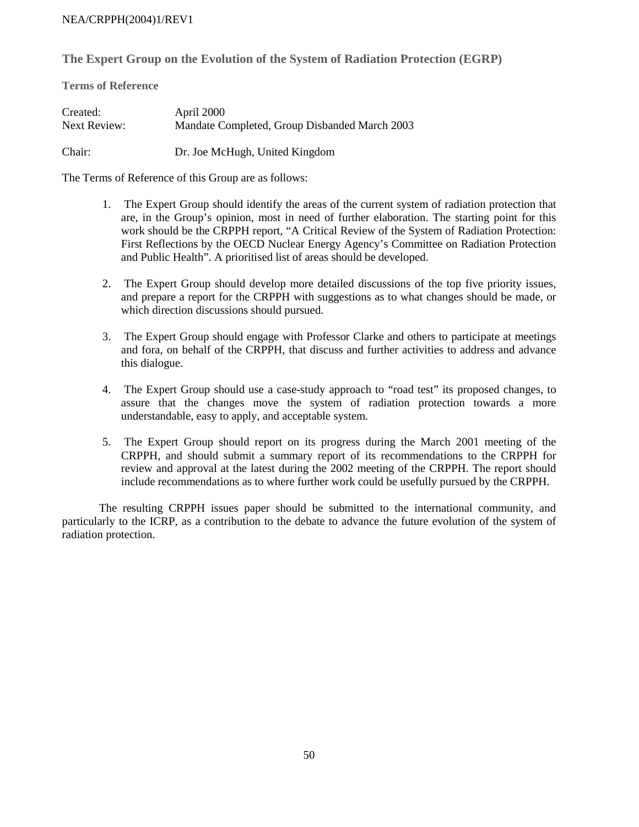#### NEA/CRPPH(2004)1/REV1

**The Expert Group on the Evolution of the System of Radiation Protection (EGRP)** 

**Terms of Reference** 

| Created:     | April 2000                                    |
|--------------|-----------------------------------------------|
| Next Review: | Mandate Completed, Group Disbanded March 2003 |
| Chair:       | Dr. Joe McHugh, United Kingdom                |

The Terms of Reference of this Group are as follows:

- 1. The Expert Group should identify the areas of the current system of radiation protection that are, in the Group's opinion, most in need of further elaboration. The starting point for this work should be the CRPPH report, "A Critical Review of the System of Radiation Protection: First Reflections by the OECD Nuclear Energy Agency's Committee on Radiation Protection and Public Health". A prioritised list of areas should be developed.
- 2. The Expert Group should develop more detailed discussions of the top five priority issues, and prepare a report for the CRPPH with suggestions as to what changes should be made, or which direction discussions should pursued.
- 3. The Expert Group should engage with Professor Clarke and others to participate at meetings and fora, on behalf of the CRPPH, that discuss and further activities to address and advance this dialogue.
- 4. The Expert Group should use a case-study approach to "road test" its proposed changes, to assure that the changes move the system of radiation protection towards a more understandable, easy to apply, and acceptable system.
- 5. The Expert Group should report on its progress during the March 2001 meeting of the CRPPH, and should submit a summary report of its recommendations to the CRPPH for review and approval at the latest during the 2002 meeting of the CRPPH. The report should include recommendations as to where further work could be usefully pursued by the CRPPH.

 The resulting CRPPH issues paper should be submitted to the international community, and particularly to the ICRP, as a contribution to the debate to advance the future evolution of the system of radiation protection.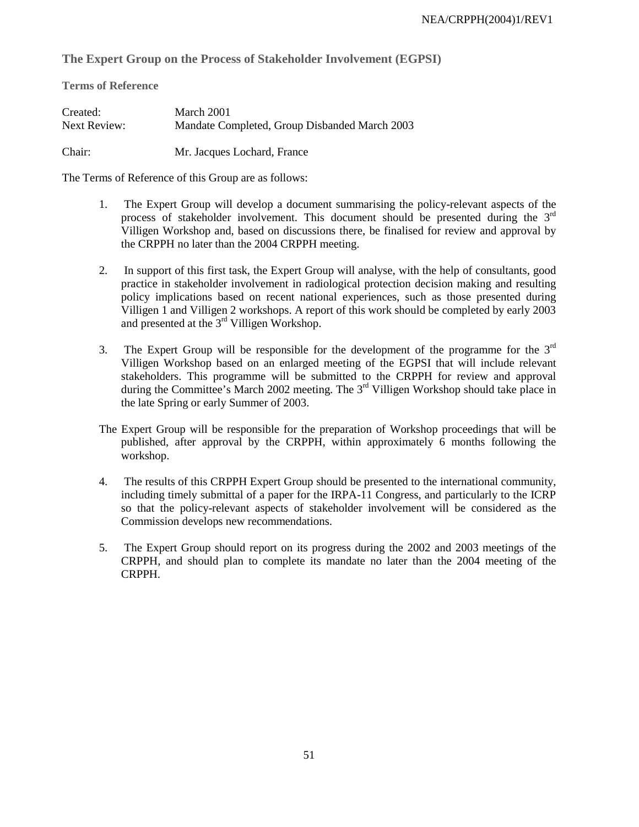**The Expert Group on the Process of Stakeholder Involvement (EGPSI)** 

**Terms of Reference** 

| Created:     | March 2001                                    |
|--------------|-----------------------------------------------|
| Next Review: | Mandate Completed, Group Disbanded March 2003 |
| Chair:       | Mr. Jacques Lochard, France                   |

The Terms of Reference of this Group are as follows:

- 1. The Expert Group will develop a document summarising the policy-relevant aspects of the process of stakeholder involvement. This document should be presented during the  $3<sup>rd</sup>$ Villigen Workshop and, based on discussions there, be finalised for review and approval by the CRPPH no later than the 2004 CRPPH meeting.
- 2. In support of this first task, the Expert Group will analyse, with the help of consultants, good practice in stakeholder involvement in radiological protection decision making and resulting policy implications based on recent national experiences, such as those presented during Villigen 1 and Villigen 2 workshops. A report of this work should be completed by early 2003 and presented at the 3<sup>rd</sup> Villigen Workshop.
- 3. The Expert Group will be responsible for the development of the programme for the  $3<sup>rd</sup>$ Villigen Workshop based on an enlarged meeting of the EGPSI that will include relevant stakeholders. This programme will be submitted to the CRPPH for review and approval during the Committee's March 2002 meeting. The  $3<sup>rd</sup>$  Villigen Workshop should take place in the late Spring or early Summer of 2003.
- The Expert Group will be responsible for the preparation of Workshop proceedings that will be published, after approval by the CRPPH, within approximately 6 months following the workshop.
- 4. The results of this CRPPH Expert Group should be presented to the international community, including timely submittal of a paper for the IRPA-11 Congress, and particularly to the ICRP so that the policy-relevant aspects of stakeholder involvement will be considered as the Commission develops new recommendations.
- 5. The Expert Group should report on its progress during the 2002 and 2003 meetings of the CRPPH, and should plan to complete its mandate no later than the 2004 meeting of the CRPPH.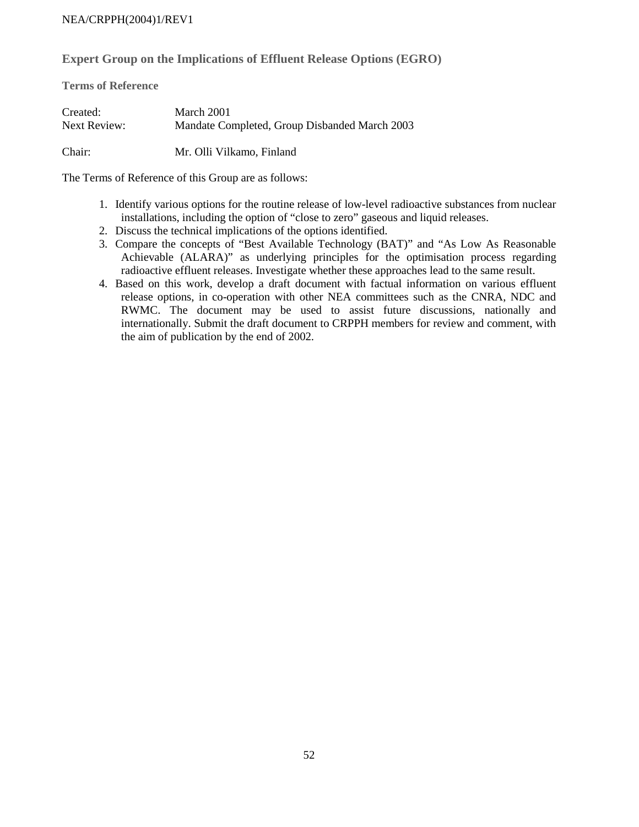#### NEA/CRPPH(2004)1/REV1

### **Expert Group on the Implications of Effluent Release Options (EGRO)**

**Terms of Reference** 

| Created:     | March 2001                                    |
|--------------|-----------------------------------------------|
| Next Review: | Mandate Completed, Group Disbanded March 2003 |
| Chair:       | Mr. Olli Vilkamo, Finland                     |

The Terms of Reference of this Group are as follows:

- 1. Identify various options for the routine release of low-level radioactive substances from nuclear installations, including the option of "close to zero" gaseous and liquid releases.
- 2. Discuss the technical implications of the options identified.
- 3. Compare the concepts of "Best Available Technology (BAT)" and "As Low As Reasonable Achievable (ALARA)" as underlying principles for the optimisation process regarding radioactive effluent releases. Investigate whether these approaches lead to the same result.
- 4. Based on this work, develop a draft document with factual information on various effluent release options, in co-operation with other NEA committees such as the CNRA, NDC and RWMC. The document may be used to assist future discussions, nationally and internationally. Submit the draft document to CRPPH members for review and comment, with the aim of publication by the end of 2002.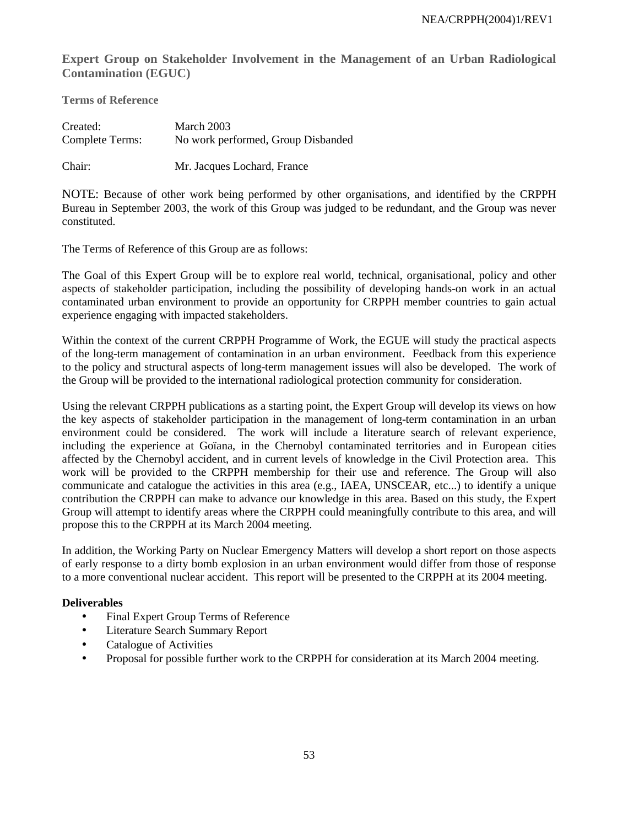**Expert Group on Stakeholder Involvement in the Management of an Urban Radiological Contamination (EGUC)**

**Terms of Reference** 

| Created:        | March 2003                         |
|-----------------|------------------------------------|
| Complete Terms: | No work performed, Group Disbanded |
| Chair:          | Mr. Jacques Lochard, France        |

NOTE: Because of other work being performed by other organisations, and identified by the CRPPH Bureau in September 2003, the work of this Group was judged to be redundant, and the Group was never constituted.

The Terms of Reference of this Group are as follows:

The Goal of this Expert Group will be to explore real world, technical, organisational, policy and other aspects of stakeholder participation, including the possibility of developing hands-on work in an actual contaminated urban environment to provide an opportunity for CRPPH member countries to gain actual experience engaging with impacted stakeholders.

Within the context of the current CRPPH Programme of Work, the EGUE will study the practical aspects of the long-term management of contamination in an urban environment. Feedback from this experience to the policy and structural aspects of long-term management issues will also be developed. The work of the Group will be provided to the international radiological protection community for consideration.

Using the relevant CRPPH publications as a starting point, the Expert Group will develop its views on how the key aspects of stakeholder participation in the management of long-term contamination in an urban environment could be considered. The work will include a literature search of relevant experience, including the experience at Goïana, in the Chernobyl contaminated territories and in European cities affected by the Chernobyl accident, and in current levels of knowledge in the Civil Protection area. This work will be provided to the CRPPH membership for their use and reference. The Group will also communicate and catalogue the activities in this area (e.g., IAEA, UNSCEAR, etc...) to identify a unique contribution the CRPPH can make to advance our knowledge in this area. Based on this study, the Expert Group will attempt to identify areas where the CRPPH could meaningfully contribute to this area, and will propose this to the CRPPH at its March 2004 meeting.

In addition, the Working Party on Nuclear Emergency Matters will develop a short report on those aspects of early response to a dirty bomb explosion in an urban environment would differ from those of response to a more conventional nuclear accident. This report will be presented to the CRPPH at its 2004 meeting.

- Final Expert Group Terms of Reference
- Literature Search Summary Report
- Catalogue of Activities
- Proposal for possible further work to the CRPPH for consideration at its March 2004 meeting.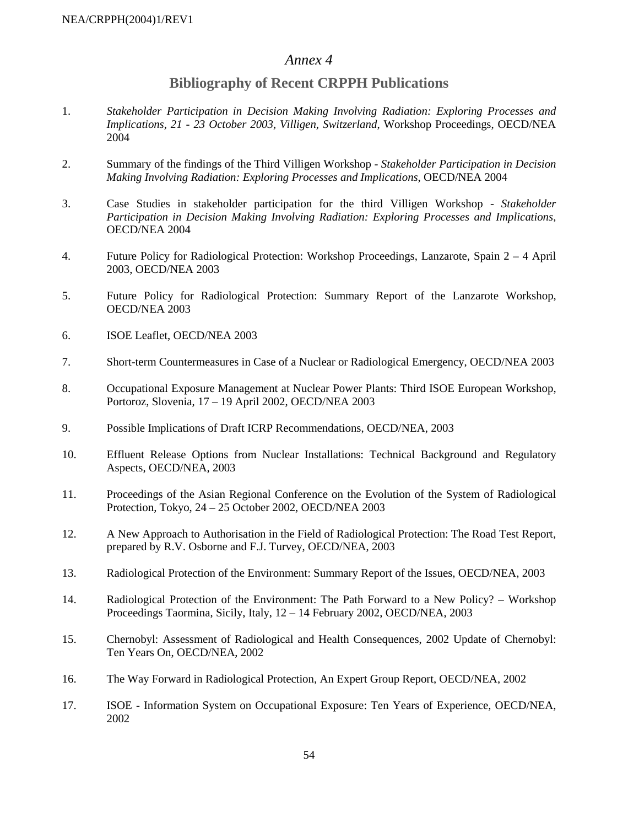# *Annex 4*

# **Bibliography of Recent CRPPH Publications**

- 1. *Stakeholder Participation in Decision Making Involving Radiation: Exploring Processes and Implications, 21 - 23 October 2003, Villigen, Switzerland*, Workshop Proceedings, OECD/NEA 2004
- 2. Summary of the findings of the Third Villigen Workshop *Stakeholder Participation in Decision Making Involving Radiation: Exploring Processes and Implications*, OECD/NEA 2004
- 3. Case Studies in stakeholder participation for the third Villigen Workshop *Stakeholder Participation in Decision Making Involving Radiation: Exploring Processes and Implications*, OECD/NEA 2004
- 4. Future Policy for Radiological Protection: Workshop Proceedings, Lanzarote, Spain 2 4 April 2003, OECD/NEA 2003
- 5. Future Policy for Radiological Protection: Summary Report of the Lanzarote Workshop, OECD/NEA 2003
- 6. ISOE Leaflet, OECD/NEA 2003
- 7. Short-term Countermeasures in Case of a Nuclear or Radiological Emergency, OECD/NEA 2003
- 8. Occupational Exposure Management at Nuclear Power Plants: Third ISOE European Workshop, Portoroz, Slovenia, 17 – 19 April 2002, OECD/NEA 2003
- 9. Possible Implications of Draft ICRP Recommendations, OECD/NEA, 2003
- 10. Effluent Release Options from Nuclear Installations: Technical Background and Regulatory Aspects, OECD/NEA, 2003
- 11. Proceedings of the Asian Regional Conference on the Evolution of the System of Radiological Protection, Tokyo, 24 – 25 October 2002, OECD/NEA 2003
- 12. A New Approach to Authorisation in the Field of Radiological Protection: The Road Test Report, prepared by R.V. Osborne and F.J. Turvey, OECD/NEA, 2003
- 13. Radiological Protection of the Environment: Summary Report of the Issues, OECD/NEA, 2003
- 14. Radiological Protection of the Environment: The Path Forward to a New Policy? Workshop Proceedings Taormina, Sicily, Italy, 12 – 14 February 2002, OECD/NEA, 2003
- 15. Chernobyl: Assessment of Radiological and Health Consequences, 2002 Update of Chernobyl: Ten Years On, OECD/NEA, 2002
- 16. The Way Forward in Radiological Protection, An Expert Group Report, OECD/NEA, 2002
- 17. ISOE Information System on Occupational Exposure: Ten Years of Experience, OECD/NEA, 2002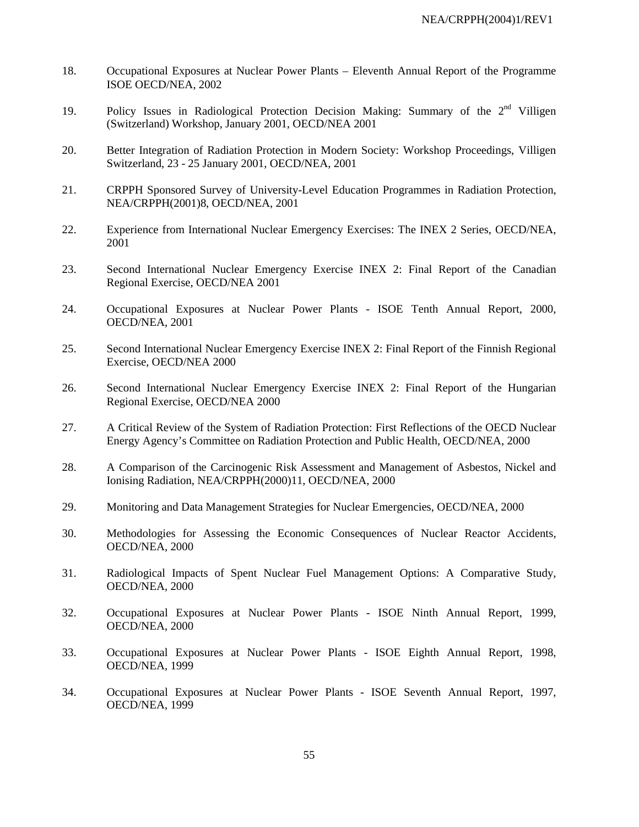- 18. Occupational Exposures at Nuclear Power Plants Eleventh Annual Report of the Programme ISOE OECD/NEA, 2002
- 19. Policy Issues in Radiological Protection Decision Making: Summary of the  $2<sup>nd</sup>$  Villigen (Switzerland) Workshop, January 2001, OECD/NEA 2001
- 20. Better Integration of Radiation Protection in Modern Society: Workshop Proceedings, Villigen Switzerland, 23 - 25 January 2001, OECD/NEA, 2001
- 21. CRPPH Sponsored Survey of University-Level Education Programmes in Radiation Protection, NEA/CRPPH(2001)8, OECD/NEA, 2001
- 22. Experience from International Nuclear Emergency Exercises: The INEX 2 Series, OECD/NEA, 2001
- 23. Second International Nuclear Emergency Exercise INEX 2: Final Report of the Canadian Regional Exercise, OECD/NEA 2001
- 24. Occupational Exposures at Nuclear Power Plants ISOE Tenth Annual Report, 2000, OECD/NEA, 2001
- 25. Second International Nuclear Emergency Exercise INEX 2: Final Report of the Finnish Regional Exercise, OECD/NEA 2000
- 26. Second International Nuclear Emergency Exercise INEX 2: Final Report of the Hungarian Regional Exercise, OECD/NEA 2000
- 27. A Critical Review of the System of Radiation Protection: First Reflections of the OECD Nuclear Energy Agency's Committee on Radiation Protection and Public Health, OECD/NEA, 2000
- 28. A Comparison of the Carcinogenic Risk Assessment and Management of Asbestos, Nickel and Ionising Radiation, NEA/CRPPH(2000)11, OECD/NEA, 2000
- 29. Monitoring and Data Management Strategies for Nuclear Emergencies, OECD/NEA, 2000
- 30. Methodologies for Assessing the Economic Consequences of Nuclear Reactor Accidents, OECD/NEA, 2000
- 31. Radiological Impacts of Spent Nuclear Fuel Management Options: A Comparative Study, OECD/NEA, 2000
- 32. Occupational Exposures at Nuclear Power Plants ISOE Ninth Annual Report, 1999, OECD/NEA, 2000
- 33. Occupational Exposures at Nuclear Power Plants ISOE Eighth Annual Report, 1998, OECD/NEA, 1999
- 34. Occupational Exposures at Nuclear Power Plants ISOE Seventh Annual Report, 1997, OECD/NEA, 1999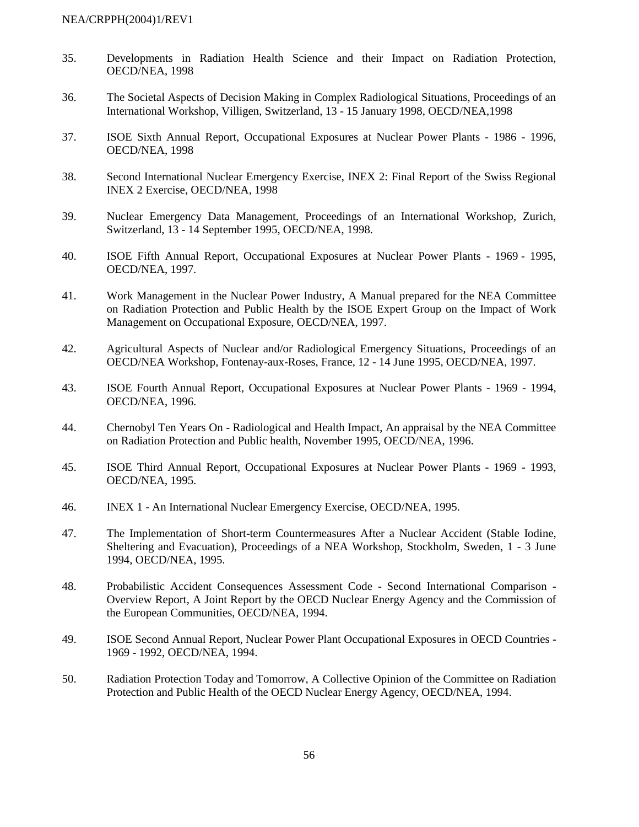- 35. Developments in Radiation Health Science and their Impact on Radiation Protection, OECD/NEA, 1998
- 36. The Societal Aspects of Decision Making in Complex Radiological Situations, Proceedings of an International Workshop, Villigen, Switzerland, 13 - 15 January 1998, OECD/NEA,1998
- 37. ISOE Sixth Annual Report, Occupational Exposures at Nuclear Power Plants 1986 1996, OECD/NEA, 1998
- 38. Second International Nuclear Emergency Exercise, INEX 2: Final Report of the Swiss Regional INEX 2 Exercise, OECD/NEA, 1998
- 39. Nuclear Emergency Data Management, Proceedings of an International Workshop, Zurich, Switzerland, 13 - 14 September 1995, OECD/NEA, 1998.
- 40. ISOE Fifth Annual Report, Occupational Exposures at Nuclear Power Plants 1969 1995, OECD/NEA, 1997.
- 41. Work Management in the Nuclear Power Industry, A Manual prepared for the NEA Committee on Radiation Protection and Public Health by the ISOE Expert Group on the Impact of Work Management on Occupational Exposure, OECD/NEA, 1997.
- 42. Agricultural Aspects of Nuclear and/or Radiological Emergency Situations, Proceedings of an OECD/NEA Workshop, Fontenay-aux-Roses, France, 12 - 14 June 1995, OECD/NEA, 1997.
- 43. ISOE Fourth Annual Report, Occupational Exposures at Nuclear Power Plants 1969 1994, OECD/NEA, 1996.
- 44. Chernobyl Ten Years On Radiological and Health Impact, An appraisal by the NEA Committee on Radiation Protection and Public health, November 1995, OECD/NEA, 1996.
- 45. ISOE Third Annual Report, Occupational Exposures at Nuclear Power Plants 1969 1993, OECD/NEA, 1995.
- 46. INEX 1 An International Nuclear Emergency Exercise, OECD/NEA, 1995.
- 47. The Implementation of Short-term Countermeasures After a Nuclear Accident (Stable Iodine, Sheltering and Evacuation), Proceedings of a NEA Workshop, Stockholm, Sweden, 1 - 3 June 1994, OECD/NEA, 1995.
- 48. Probabilistic Accident Consequences Assessment Code Second International Comparison Overview Report, A Joint Report by the OECD Nuclear Energy Agency and the Commission of the European Communities, OECD/NEA, 1994.
- 49. ISOE Second Annual Report, Nuclear Power Plant Occupational Exposures in OECD Countries 1969 - 1992, OECD/NEA, 1994.
- 50. Radiation Protection Today and Tomorrow, A Collective Opinion of the Committee on Radiation Protection and Public Health of the OECD Nuclear Energy Agency, OECD/NEA, 1994.